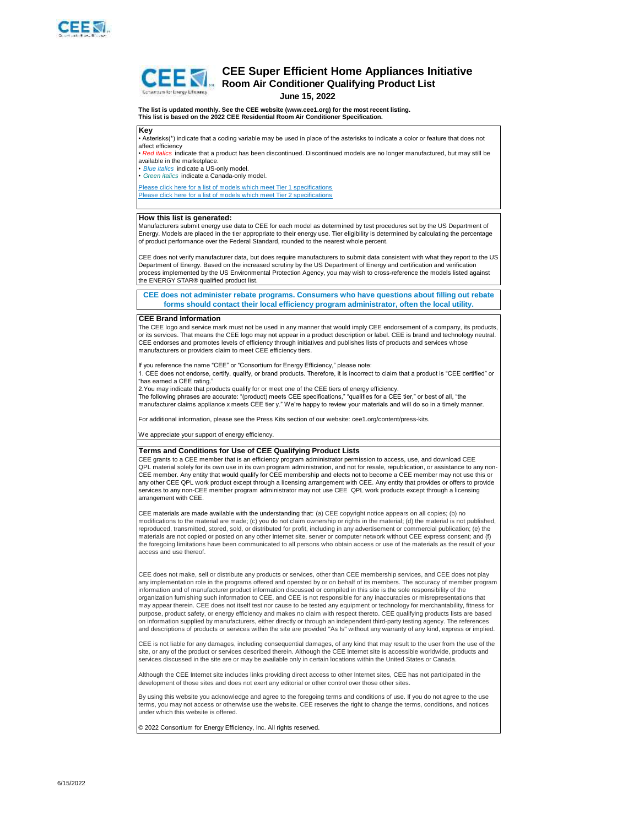

# **Key CEE Super Efficient Home Appliances Initiative Room Air Conditioner Qualifying Product List**<br>Commain Conditioner Qualifying Product List **June 15, 2022 The list is updated monthly. See the CEE website (www.cee1.org) for the most recent listing. This list is based on the 2022 CEE Residential Room Air Conditioner Specification.** • Asterisks(\*) indicate that a coding variable may be used in place of the asterisks to indicate a color or feature that does not affect efficiency • *Red italics* indicate that a product has been discontinued. Discontinued models are no longer manufactured, but may still be available in the marketplace.

*• Blue italics* indicate a US-only model.

*• Green italics* indicate a Canada-only model.

Please click here for a list of models which meet Tier 1 specifications Please click here for a list of models which meet Tier 2 specifications

## **How this list is generated:**

Manufacturers submit energy use data to CEE for each model as determined by test procedures set by the US Department of Energy. Models are placed in the tier appropriate to their energy use. Tier eligibility is determined by calculating the percentage of product performance over the Federal Standard, rounded to the nearest whole percent.

CEE does not verify manufacturer data, but does require manufacturers to submit data consistent with what they report to the US Department of Energy. Based on the increased scrutiny by the US Department of Energy and certification and verification process implemented by the US Environmental Protection Agency, you may wish to cross-reference the models listed against the ENERGY STAR® qualified product list.

**CEE does not administer rebate programs. Consumers who have questions about filling out rebate forms should contact their local efficiency program administrator, often the local utility.**

### **CEE Brand Information**

The CEE logo and service mark must not be used in any manner that would imply CEE endorsement of a company, its products, or its services. That means the CEE logo may not appear in a product description or label. CEE is brand and technology neutral. CEE endorses and promotes levels of efficiency through initiatives and publishes lists of products and services whose manufacturers or providers claim to meet CEE efficiency tiers.

If you reference the name "CEE" or "Consortium for Energy Efficiency," please note:

1. CEE does not endorse, certify, qualify, or brand products. Therefore, it is incorrect to claim that a product is "CEE certified" or "has earned a CEE rating."

2.You may indicate that products qualify for or meet one of the CEE tiers of energy efficiency.

The following phrases are accurate: "(product) meets CEE specifications," "qualifies for a CEE tier," or best of all, "the manufacturer claims appliance x meets CEE tier y." We're happy to review your materials and will do so in a timely manner.

For additional information, please see the Press Kits section of our website: cee1.org/content/press-kits.

We appreciate your support of energy efficiency.

#### **Terms and Conditions for Use of CEE Qualifying Product Lists**

CEE grants to a CEE member that is an efficiency program administrator permission to access, use, and download CEE QPL material solely for its own use in its own program administration, and not for resale, republication, or assistance to any non-CEE member. Any entity that would qualify for CEE membership and elects not to become a CEE member may not use this or any other CEE QPL work product except through a licensing arrangement with CEE. Any entity that provides or offers to provide services to any non-CEE member program administrator may not use CEE QPL work products except through a licensing arrangement with CEE.

CEE materials are made available with the understanding that: (a) CEE copyright notice appears on all copies; (b) no modifications to the material are made; (c) you do not claim ownership or rights in the material; (d) the material is not published, reproduced, transmitted, stored, sold, or distributed for profit, including in any advertisement or commercial publication; (e) the materials are not copied or posted on any other Internet site, server or computer network without CEE express consent; and (f) the foregoing limitations have been communicated to all persons who obtain access or use of the materials as the result of your access and use thereof.

CEE does not make, sell or distribute any products or services, other than CEE membership services, and CEE does not play any implementation role in the programs offered and operated by or on behalf of its members. The accuracy of member program information and of manufacturer product information discussed or compiled in this site is the sole responsibility of the organization furnishing such information to CEE, and CEE is not responsible for any inaccuracies or misrepresentations that may appear therein. CEE does not itself test nor cause to be tested any equipment or technology for merchantability, fitness for purpose, product safety, or energy efficiency and makes no claim with respect thereto. CEE qualifying products lists are based on information supplied by manufacturers, either directly or through an independent third-party testing agency. The references and descriptions of products or services within the site are provided "As Is" without any warranty of any kind, express or implied.

CEE is not liable for any damages, including consequential damages, of any kind that may result to the user from the use of the site, or any of the product or services described therein. Although the CEE Internet site is accessible worldwide, products and services discussed in the site are or may be available only in certain locations within the United States or Canada.

Although the CEE Internet site includes links providing direct access to other Internet sites, CEE has not participated in the development of those sites and does not exert any editorial or other control over those other sites.

By using this website you acknowledge and agree to the foregoing terms and conditions of use. If you do not agree to the use terms, you may not access or otherwise use the website. CEE reserves the right to change the terms, conditions, and notices under which this website is offered.

© 2022 Consortium for Energy Efficiency, Inc. All rights reserved.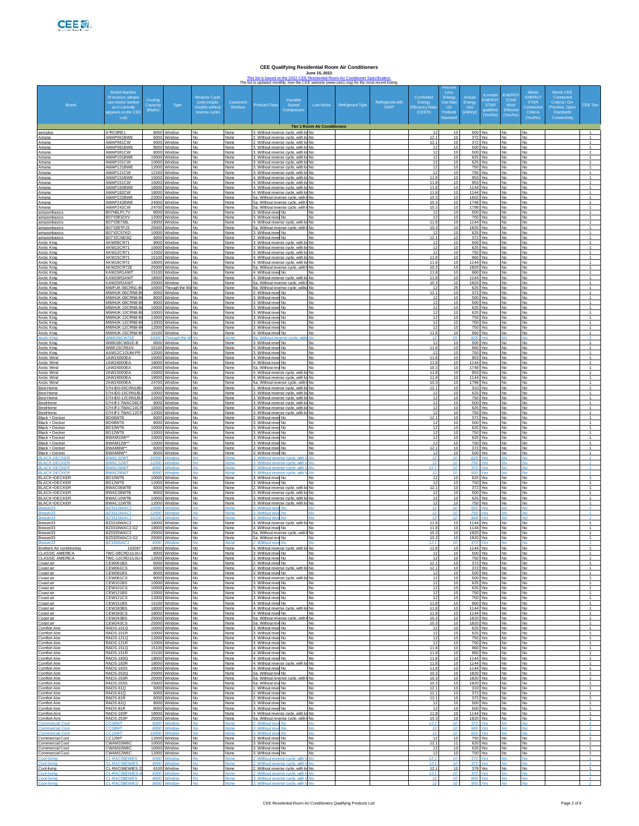**CEE Qualifying Residential Room Air Conditioners**<br>June 15, 2022<br>[T](https://cee1.force.com/s/resources?id=a0V2R00000sUQcmUAG)his list is based on the 2022 CEE Residential Room Air Conditioner Specification.<br>The list is updated monthly. See the CEE website (www.ceef .org) for the m

|                                                            |                                                   |                               |                                              |                                 |                      |                                                                          |                                                                                                                     |                                     | The list is updated monthly. See the CEE website (www.cee1.org) for the most recent listing. |                         |                                |                             |                                      |                          |                                     |                               |                                |                                                    |
|------------------------------------------------------------|---------------------------------------------------|-------------------------------|----------------------------------------------|---------------------------------|----------------------|--------------------------------------------------------------------------|---------------------------------------------------------------------------------------------------------------------|-------------------------------------|----------------------------------------------------------------------------------------------|-------------------------|--------------------------------|-----------------------------|--------------------------------------|--------------------------|-------------------------------------|-------------------------------|--------------------------------|----------------------------------------------------|
|                                                            | Model Number<br>(if revision, please              |                               |                                              | Reverse Cycle                   |                      |                                                                          |                                                                                                                     |                                     |                                                                                              |                         | Combined                       | Less<br>Energy              | Annual                               | <b>is mode</b><br>NERG   | <b>ENERGY</b><br><b>STAR</b>        | <b>Meets</b><br><b>ENERGY</b> | Meets CEE<br>Connected         |                                                    |
| <b>Brand</b>                                               | use model numbe<br>as it currently                | Cooling<br>Capaci<br>(Btu/hr) | Type                                         | (only include<br>models without | Casement<br>Window   | Product Class                                                            | Variable<br>Speed<br>Compresso                                                                                      | Low Noise                           | Refrigerant Type                                                                             | Refrigerant with<br>GWP | Energy<br><b>Efficiency Ra</b> | Jse tha<br><b>US</b>        | Energy<br><b>Use</b>                 | <b>STAR</b><br>qualified | Most<br>Efficient                   | <b>STAR</b><br>Connecte       | Criteria / On<br>Premise, Oper | CEE Tier                                           |
|                                                            | appears on the CEE<br>List)                       |                               |                                              | reverse cycle)                  |                      |                                                                          |                                                                                                                     |                                     |                                                                                              |                         | (CEER)                         | Federa<br>Standar           | (kWh/yr)                             | Yes/No)                  | (Yes/No)                            | Criteria<br>(Yes/No)          | Standards<br>Connectivity      |                                                    |
|                                                            |                                                   |                               |                                              |                                 |                      |                                                                          |                                                                                                                     | <b>Tier 1 Room Air Conditioners</b> |                                                                                              |                         |                                |                             |                                      |                          |                                     |                               |                                |                                                    |
| aeroplus<br>Amana                                          | A*RC8RE1<br>AMAP061BWE                            |                               | 8000 Window<br>6000 Window                   | N٥                              | None<br>None         |                                                                          | 3. Without reverse cycle, with lo No<br>Without reverse cycle, with Iol No.                                         |                                     |                                                                                              |                         | 12.                            | 10<br>10                    | 500 Yes<br>372 Yes                   |                          | No<br>N٥                            | Nc<br>Nc                      |                                | $\overline{1}$                                     |
| Amana<br>Amana                                             | AMAP061CW<br>AMAP081BWE<br>AMAP081CW              |                               | 6000 Window<br>8000 Window                   | No<br>No                        | None<br>None         |                                                                          | 2. Without reverse cycle, with lo No<br>3. Without reverse cycle, with lo No.                                       |                                     |                                                                                              |                         | 12.7<br>$\overline{17}$        | 10<br>10<br>10              | 372 Yes<br>500 Yes                   | Yes                      | <b>No</b><br><b>No</b>              | <b>No</b><br>No               |                                | $\overline{1}$<br>$\overline{1}$<br>$\mathbf{1}$   |
| Amana<br>Amana<br>Amana                                    | AMAP101BWF<br>AMAP101CW                           | 8000                          | Window<br>10000 Window<br>10000 Window       | No<br>N٥<br>N٥                  | None<br>None<br>None |                                                                          | . Without reverse cycle, with lo No<br>3. Without reverse cycle, with lo No<br>. Without reverse cycle, with lol No |                                     |                                                                                              |                         |                                | 10<br>10                    | 500<br>625 Yes<br>625 Yes            |                          | No<br>No<br>Nο                      | No<br>Nc<br>Nc                |                                | $\overline{1}$<br>$\overline{1}$                   |
| Amana<br>Amana                                             | AMAP121BWF<br>AMAP121CW                           | 12100 Window                  | 12000 Window                                 | N٥<br>No                        | None<br>None         |                                                                          | 3. Without reverse cycle, with lo No<br>3. Without reverse cycle, with lo No                                        |                                     |                                                                                              |                         | 12<br>$-12$                    | 10<br>10                    | 750 Yes<br>756 Yes                   |                          | <b>No</b><br><b>No</b>              | <b>No</b><br>No               |                                | $\overline{1}$<br>$\overline{1}$                   |
| Amana<br>Amana                                             | AMAP151BWE<br>AMAP151CW                           | 15000                         | Window<br>15000 Window                       | No<br>N٥                        | None<br>None         |                                                                          | Without reverse cycle, with lo No<br>4. Without reverse cycle, with lo No                                           |                                     |                                                                                              |                         | 11.<br>11.8                    | 10<br>10                    | 953 Yes<br>953 Yes                   |                          | No<br>No                            | Nc<br>No                      |                                | $\mathbf{1}$<br>$\overline{1}$                     |
| Amana<br>Amana                                             | AMAP182BWE<br>AMAP182CW                           |                               | 18000 Window<br>18000 Window                 | No<br>N٥                        | None<br>None         |                                                                          | 4. Without reverse cycle, with lot No.<br>4. Without reverse cycle, with lo No.                                     |                                     |                                                                                              |                         | 11.8<br>11.8                   | 10<br>10                    | 1144 Yes<br>1144 Yes                 |                          | <b>No</b><br><b>No</b>              | I No<br><b>No</b>             |                                | $\overline{1}$<br>$\overline{1}$                   |
| Amana<br>Amana                                             | AMAP222BWE<br>AMAP242BWE                          |                               | 22000 Window<br>24000 Window                 | No<br>No                        | None<br>None         |                                                                          | 5a. Without reverse cycle, with I No<br>5a. Without reverse cycle, with I No                                        |                                     |                                                                                              |                         | 10.3<br>10.3                   | 10<br>10                    | 1602 Yes<br>1748 Yes                 |                          | <b>No</b><br>No                     | No<br>No                      |                                | $\overline{1}$<br>$\mathbf{1}$                     |
| Amana<br>amazonbasics                                      | AMAP242CW<br>B07N6LPL7V                           |                               | 24700 Window<br>8000 Window                  | N٥<br>No                        | None<br>None         | 3. Without revel No                                                      | 5a. Without reverse cycle, with I No                                                                                | <b>No</b>                           |                                                                                              |                         | 10.3<br>-11                    | 10<br>10                    | 1798 Yes<br>500 Yes                  |                          | No<br><b>No</b>                     | No<br><b>No</b>               |                                | $\overline{1}$<br>$\overline{1}$                   |
| amazonbasics<br>amazonbasics                               | B07Y2B3ZXV<br>B07Y2B738L                          |                               | 12000 Window<br>18000 Window<br>25000 Window | N٥<br>No                        | None<br>None         | 3. Without revel No                                                      | 4. Without reverse cycle, with lo No                                                                                | <b>No</b>                           |                                                                                              |                         | 12<br>11.8                     | 10<br>10<br>10              | 750 Yes<br>1144 Yes                  |                          | <b>No</b><br><b>No</b>              | <b>No</b><br>No               |                                | $\overline{1}$<br>$\overline{1}$<br>$\mathbf{1}$   |
| amazonbasics<br>amazonbasics<br>amazonbasics               | B07Y2BTPJ3<br>B07Y2C57KD<br>B07Y2CND3C            |                               | 10000 Window<br>6000 Window                  | No<br>N٥<br>No                  | None<br>None<br>None | ba. Without reverse cycle,<br>3. Without revel No<br>2. Without revel No | with I No                                                                                                           | <b>No</b><br><b>No</b>              |                                                                                              |                         | 10.3<br>12<br>12.7             | 10<br>10                    | 1820<br>625 Yes<br>372 Yes           | Yes                      | No<br>No<br>No.                     | No<br>No<br><b>No</b>         |                                | $\overline{1}$<br>$\mathbf{1}$                     |
| Arctic King<br>Arctic King                                 | AKW08CR71<br>AKW10CR71                            |                               | 8000 Window<br>10000 Window                  | N٥<br>No                        | None<br>None         |                                                                          | 3. Without reverse cycle, with lo No<br>3. Without reverse cycle, with lo No                                        |                                     |                                                                                              |                         | 12<br>12                       | 10<br>10                    | 500 Yes<br>625 Yes                   |                          | <b>No</b><br><b>No</b>              | <b>No</b><br>No               |                                | $\overline{1}$<br>$\overline{1}$                   |
| Arctic King<br>Arctic King                                 | AKW12CR71<br>AKW15CR71                            |                               | 12000 Window<br>15100 Window                 | No<br>N٥                        | None<br>None         |                                                                          | 3. Without reverse cycle, with lo No<br>4. Without reverse cycle, with lo No                                        |                                     |                                                                                              |                         | $\ddot{ }$<br>11.8             | 10<br>10                    | <b>750 Yes</b><br>960 Yes            |                          | No<br>No                            | No<br>No                      |                                | $\mathbf{1}$<br>$\overline{1}$                     |
| <b>Arctic King</b><br>Arctic King                          | AKW18CR72<br>AKW25CR72E                           |                               | 18000 Window<br>25000 Window                 | Nο<br>N٥                        | None<br>None         |                                                                          | 4. Without reverse cycle, with lo No<br>5a. Without reverse cycle, with I No.                                       |                                     |                                                                                              |                         | 11.8<br>10.3                   | 10<br>10                    | 1144 Yes<br>1820 Yes                 |                          | No.<br><b>No</b>                    | No<br><b>No</b>               |                                | $\mathbf{1}$<br>$\overline{1}$                     |
| Arctic King<br>Arctic King                                 | KAW15R1AWT<br>KAW18R2AW                           | 15100 Window<br>18000         | Window                                       |                                 | None<br>None         | 4. Without revel No.                                                     | 4. Without reverse cycle, with lo No                                                                                | <b>No</b>                           |                                                                                              |                         | 11.8<br>11.                    | 10<br>10                    | 960 Yes<br>1144 Yes                  |                          | <b>No</b><br>No                     | No                            |                                | $\overline{1}$<br>$\overline{1}$                   |
| Arctic King<br><b>Arctic King</b>                          | KAW25R2AWT<br>MWFLIK-08CRN1-<br>MWHUK-06CRN8-E    |                               | 25000 Window<br>10000 Through the            | N٥<br>No<br>N٥                  | None<br>None<br>None | 2. Without revel No                                                      | 5a. Without reverse cycle, with I No<br>8a. Without reverse cycle, witho No                                         | <b>No</b>                           |                                                                                              |                         | 10.3<br>12.7                   | 10<br>25<br>10              | 1820 Yes<br>625 Yes<br>372 Yes       |                          | No<br>No.<br><b>No</b>              | No<br>Nc<br>No                |                                | $\overline{1}$<br>$\mathbf{1}$<br>$\overline{1}$   |
| Arctic King<br>Arctic King<br>Arctic King                  | MWHUK-08CRN8-E<br>MWHUK-08CRN8-E                  |                               | 6000 Window<br>8000 Window<br>8000 Window    | No                              | None<br>None         | 3. Without revel No.<br>. Without revel No.                              |                                                                                                                     | <b>No</b><br><b>No</b>              |                                                                                              |                         | 12<br>1                        | 10<br>10                    | 500 Yes<br>500                       | Yes                      | No<br>No                            | No                            |                                | $\overline{1}$<br>$\overline{1}$                   |
| Arctic King<br>Arctic King                                 | MWHUK-10CRN8-B<br>MWHUK-10CRN8-E                  |                               | 10000 Window<br>10000 Window                 | N٥<br>Nο                        | None<br>None         | 3. Without revel No<br>3. Without revel No                               |                                                                                                                     | No<br><b>No</b>                     |                                                                                              |                         | 12                             | 10<br>10                    | 625 Yes<br>625 Yes                   |                          | No<br>No.                           | No<br><b>No</b>               |                                | $\overline{1}$<br>$\mathbf{1}$                     |
| Arctic King<br>Arctic King                                 | MWHUK-12CRN8-E<br>MWHUK-12CRN8-E                  |                               | 12000 Window<br>12000 Window                 | N٥                              | None<br>None         | 3. Without revel No<br>3. Without revel No                               |                                                                                                                     | No<br>No                            |                                                                                              |                         | 12<br>12                       | 10<br>10                    | 750 Yes<br>750 Yes                   |                          | <b>No</b><br>No                     | No<br>No                      |                                | $\mathbf{1}$<br>$\overline{1}$                     |
| Arctic King<br>Arctic King                                 | MWHLIK-12CRN8-F<br>MWHUK-15CRN8-B                 |                               | 12000 Window<br>15100 Window                 | No<br>N٥                        | None<br>None         | Without revel No.<br>4. Without revel No                                 |                                                                                                                     | No<br>No                            |                                                                                              |                         | $\ddot{ }$<br>11.8             | 10<br>10                    | <b>750 Yes</b><br>960 Yes            |                          | No<br>No                            | No<br>No                      |                                | $\mathbf{1}$<br>$\overline{1}$                     |
| <b>Arctic Kinc</b><br>Arctic King                          | WWK08CW71E<br>WWK08CW91E-B                        | 10000                         | <b>Through</b><br>8000 Window                | N٥                              | lone<br>None         | Ba. Without reverse cw<br>3. Without revel No                            |                                                                                                                     | No                                  |                                                                                              |                         | 12                             | 25<br>10                    | 625 Yes<br><b>500 Yes</b>            |                          | <b>No</b>                           | No                            |                                | $\mathbf{1}$                                       |
| Arctic King<br>Arctic King                                 | WWK15CR91N<br>AAW12C1OUM-P<br>1AW15000EA          | 12000                         | 15100 Window<br>Window<br>15000 Window       | No<br>N٥                        | None<br>None         | 4. Without revel No<br>. Without revel No.<br>4. Without revel No.       |                                                                                                                     | <b>No</b><br>No<br>No               |                                                                                              |                         | 11.8<br>11.8                   | 10<br>10<br>10              | 960 Yes<br>750<br>953 Yes            | Yes                      | No<br>No<br>No                      | No<br>No<br>N <sub>c</sub>    |                                | $\overline{1}$<br>$\mathbf{1}$<br>$\overline{1}$   |
| Arctic Wind<br>Arctic Wind<br>Arctic Wind                  | 1AW18000EA<br>1AW24000EA                          |                               | 18000 Window<br>24000 Window                 | No                              | None<br>None<br>None | 4. Without revel No<br>5a. Without rew No                                |                                                                                                                     | <b>No</b><br>No.                    |                                                                                              |                         | 11.8<br>10.3                   | 10<br>10                    | 1144 Yes<br>1748 Yes                 |                          | <b>No</b><br><b>No</b>              | <b>No</b><br>No               |                                | $\mathbf{1}$<br>$\mathbf{1}$                       |
| Arctic Wind<br>Arctic Wind                                 | 2AW15000EA<br>AW18000FA                           |                               | 15000 Window<br>18000 Window                 | No                              | None<br>None         |                                                                          | 4. Without reverse cycle, with lo No<br>. Without reverse cycle, with lo No                                         |                                     |                                                                                              |                         | 11.8<br>11.                    | 10<br>10                    | 953 Yes<br>1144 Yes                  |                          | No<br>No                            | No<br>No                      |                                | $\overline{1}$<br>$\mathbf{1}$                     |
| Arctic Wind<br>Best Home                                   | 2AW24000EA<br>57H-ID0-05CRN1/                     |                               | 24700 Window<br>5000 Window                  | N٥                              | None<br>None         |                                                                          | 5a. Without reverse cycle, with I No<br>1. Without reverse cycle, with lol No                                       |                                     |                                                                                              |                         | 10.3<br>12.                    | 10<br>10                    | 1798 Yes<br>310 Yes                  |                          | No<br><b>No</b>                     | N <sub>c</sub><br><b>No</b>   |                                | $\overline{1}$<br>$\mathbf{1}$                     |
| <b>Best Home</b><br><b>Best Home</b>                       | 57H-ID0-10CRN1/E<br>57H-ID0-12CRN1/E              |                               | 10000 Window<br>12000 Window                 | No                              | None<br>None         |                                                                          | 3. Without reverse cycle, with lo No.<br>3. Without reverse cycle, with lo No                                       |                                     |                                                                                              |                         | 12<br>12                       | 10<br>10                    | 625 Yes<br>750 Yes                   |                          | <b>No</b><br>No                     | No<br>No                      |                                | $\mathbf{1}$<br>$\overline{1}$                     |
| BestHome<br>BestHome                                       | 57H-IFJ-TWAC08<br>57H-IFJ-TWAC10C                 |                               | 8000 Window<br>10000 Window                  | No<br>N٥                        | None<br>None         |                                                                          | . Without reverse cycle, with lo No<br>3. Without reverse cycle, with lo No                                         |                                     |                                                                                              |                         | 1<br>12                        | 10<br>10                    | 500<br>625 Yes                       | Yes                      | No<br>No                            | No<br>N <sub>c</sub>          |                                | $\mathbf{1}$<br>$\overline{1}$                     |
| BestHome<br>Black + Decker<br>Black + Decker               | 57H-IFJ-TWAC120<br>BD06WT6<br>BD08WT6             |                               | 12000 Window<br>6000 Window<br>8000 Window   | No                              | None<br>None<br>None | 2. Without revel No<br>3. Without revel No.                              | 3. Without reverse cycle, with lo No                                                                                | <b>No</b><br>No                     |                                                                                              |                         | 12.7<br>12                     | 10<br>10<br>10              | <b>750 Yes</b><br>372 Yes<br>500 Yes |                          | <b>No</b><br><b>No</b><br>No        | <b>No</b><br><b>No</b><br>No  |                                | $\mathbf{1}$<br>$\mathbf{1}$<br>$\overline{1}$     |
| Black + Decker<br>Black + Decker                           | BD10WT6<br>BD12WT6                                | 10000                         | Window<br>12000 Window                       | No<br>N٥                        | None<br>None         | . Without revel No.<br>3. Without revel No                               |                                                                                                                     | No<br>No                            |                                                                                              |                         | 12                             | 10<br>10                    | 625 Yes<br><b>750 Yes</b>            |                          | No<br>No                            | No<br>N <sub>c</sub>          |                                | $\overline{1}$<br>$\overline{1}$                   |
| Black + Decker<br>Black + Decker                           | BWAM10W<br>BWAM12W*                               |                               | 10000 Window<br>12000 Window                 | No                              | None<br>None         | 3. Without revel No<br>3. Without revel No                               |                                                                                                                     | <b>No</b><br>No                     |                                                                                              |                         | 12                             | 10<br>10                    | 625 Yes<br>750 Yes                   |                          | <b>No</b><br><b>No</b>              | <b>INc</b><br><b>No</b>       |                                | $\mathbf{1}$<br>$\mathbf{1}$                       |
| Black + Decker<br>Black + Decker                           | BWAM6W**<br>BWAM8W**                              | 8000                          | 6000 Window<br>Window                        | No                              | None<br>None         | 2. Without revel No<br>Without revel No.                                 |                                                                                                                     | <b>No</b><br>No                     |                                                                                              |                         | 12.1                           | 10<br>10                    | 372 Yes<br>500                       | Yes                      | No<br>No                            | No<br>No                      |                                | $\overline{1}$<br>$\mathbf{1}$                     |
| <b>BLACK DECKER</b><br><b>BLACK DECKER</b><br>BLACK DECKER | <b>BWAC10WT</b><br><b>BWAC12WT</b>                | 10000<br>1200                 | Window<br>Mindor                             |                                 | Jone                 |                                                                          | 3. Without reverse cycle, with<br>3. Without reverse cycle, with In-                                                | : No                                |                                                                                              |                         | 12                             |                             | 625<br>750                           |                          |                                     |                               |                                |                                                    |
| <b>BLACK DECKER</b>                                        | <b>BWAC06WT</b><br>BWAC08WT                       | 600<br>8000<br>10000          | <b><i><u>Mindo</u></i></b><br>Windor         |                                 |                      |                                                                          | 2. Without reverse cycle, with Ir No<br>3. Without reverse cycle, with lel                                          |                                     |                                                                                              |                         | 12.1<br>-12<br>1               | 10<br>$\overline{10}$<br>10 | 372<br>500                           | Voe<br>Yes               | M <sub>0</sub><br>No                | Me<br>No                      |                                | $\mathcal{A}$<br>$\mathbf{1}$<br>$\mathbf{1}$      |
| <b>BLACK+DECKER</b><br><b>BLACK+DECKER</b><br>BLACK+DECKER | BD10WT6<br>BD12WT6<br>BWAC06WTE                   |                               | Window<br>12000 Window<br>6000 Window        | No<br>N٥<br>No                  | None<br>None<br>None | Without revel No.<br>3. Without revel No                                 | 2. Without reverse cycle, with lo No                                                                                | No                                  |                                                                                              |                         | 12<br>12 <sup>1</sup>          | 10<br>10                    | 625<br><b>750 Yes</b><br>372 Yes     |                          | N٥<br><b>No</b>                     | N <sub>c</sub><br><b>No</b>   |                                | $\overline{1}$<br>$\overline{1}$                   |
| BLACK+DECKER<br><b>BLACK+DECKER</b>                        | <b>BWAC08WTB</b><br>BWAC10WTB                     |                               | 8000 Window<br>10000 Window                  | No                              | None<br>None         |                                                                          | 3. Without reverse cycle, with lo No<br>3. Without reverse cycle, with lo No                                        |                                     |                                                                                              |                         | 12<br>12                       | 10<br>10                    | 500 Yes<br>625 Yes                   |                          | <b>No</b><br>No                     | <b>No</b><br>No               |                                | $\overline{1}$<br>$\overline{1}$                   |
| <b>BLACK+DECKER</b><br>Breeze33                            | BWAC12WTB<br>BZ3310WAC1                           | 12000<br>10000                | Window<br>Window                             | No                              | None<br>Vone         | 3. Without reve No                                                       | 3. Without reverse cycle, with lo No                                                                                |                                     |                                                                                              |                         | 12                             | 10<br>10                    | 750<br>625                           | Yes                      | No<br>۷n                            | No                            |                                | $\mathbf{1}$<br>$\mathcal{I}$                      |
| Breeze33<br>E                                              | BZ3312WAC1<br><b>873315WAC</b>                    | 12000<br>15100                | Window                                       | ما                              | Vone                 | 3. Without rave No.<br>4. Without reve No.                               |                                                                                                                     | <b>No</b>                           |                                                                                              |                         | -12<br>-12                     | 10<br>12                    | 750<br>944                           | <b>Yes</b>               | ۷n                                  | Ν۵                            |                                | $\mathbf{1}$<br>$\mathcal{A}$                      |
| Breeze33<br>Breeze33                                       | BZ3318WAC2<br>3Z3318WAC2-G<br>B73325WAC2          | 18000 Window<br>1800          | Window<br>25000 Window                       | No<br>No<br>N٥                  | None<br>None         | . Without revel No.                                                      | 4. Without reverse cycle, with lo No                                                                                |                                     |                                                                                              |                         | 11.8<br>11.<br>10.3            | 10<br>10<br>10              | 1144 Yes<br>1144<br>1820 Yes         | Yes                      | <b>No</b><br>No                     | No<br>Nc                      |                                | $\overline{1}$<br>$\mathbf{1}$<br>$\overline{1}$   |
| Breeze33<br>Breeze33<br>Ŀ                                  | BZ3325WAC2-G2<br><b>RZ336WAC1</b>                 | 25000 Window<br><b>BOOD</b>   |                                              | No                              | None<br>None         | 5a. Without rew No<br>2. Without reve No                                 | 5a. Without reverse cycle, with I No                                                                                | <b>No</b>                           |                                                                                              |                         | 10.3<br>12.1                   | 10<br>10                    | 1820 Yes<br>372                      |                          | No<br><b>No</b><br>N۵               | No<br><b>No</b>               |                                | $\overline{1}$                                     |
| <b>Brothers Air conditioning</b><br><b>CLASSIC AMERICA</b> | 102087<br>TWC-08CRD1/L0U-                         |                               | 18000 Window<br>8000 Window                  | No<br>No                        | None<br>None         | . Without revel No.                                                      | 4. Without reverse cycle, with lo No                                                                                |                                     |                                                                                              |                         | 11.8<br>12                     | 10<br>10                    | 1144 Yes<br>500 Yes                  |                          | No<br>No                            | No<br>No                      |                                |                                                    |
| <b>CLASSIC AMERICA</b><br>Coast air                        | TWC-12CRD1/L0U-<br>CEW061BS                       |                               | 12000 Window<br>6000 Window                  | No<br>No                        | None<br>None         | 3. Without revel No<br>2. Without revel No                               |                                                                                                                     | <b>No</b><br><b>No</b>              |                                                                                              |                         | $\overline{12}$<br>12.1        | 10<br>10                    | 750 Yes<br>372 Yes                   |                          | <b>No</b><br>No.                    | <b>No</b><br>No               |                                | $\mathbf{1}$<br>$\overline{1}$                     |
| Coast air<br>Coast air                                     | CEW061CS<br>CEW081BS                              |                               | 6000 Window<br>8000 Window                   | N٥<br>No                        | None<br>None         | . Without reverse cycle<br>3. Without revel No                           | with In No.                                                                                                         | No                                  |                                                                                              |                         | 12.1<br>12                     | 10<br>10                    | 372 Yes<br>500 Yes                   |                          | <b>No</b><br>No                     | No.<br>No                     |                                | $\overline{1}$<br>$\overline{1}$                   |
| Coast air<br>Coast air                                     | CEW081CS<br>CEW101BS<br>CEW101CS                  |                               | 8000 Window<br>10000 Window<br>10000 Window  | No<br>No<br>No                  | None<br>None<br>None | 3. Without revel No<br>3. Without revel No.                              | . Without reverse cycle, with I                                                                                     | o No<br><b>No</b><br><b>No</b>      |                                                                                              |                         | 1<br>12<br>12                  | 10<br>10<br>10              | 500 Yes<br>625 Yes<br>625 Yes        |                          | <b>No</b><br><b>No</b><br><b>No</b> | No<br><b>No</b><br>No         |                                | $\mathbf{1}$<br>$\overline{1}$<br>$\overline{1}$   |
| Coast air<br>Coast air<br>Coast air                        | CEW121BS<br>CEW121CS                              |                               | 12000 Window<br>12000 Window                 | No<br>No                        | None<br>None         | 3. Without revel No.<br>3. Without revel No                              |                                                                                                                     | No<br>No                            |                                                                                              |                         | 12<br>12                       | 10<br>10                    | 750 Yes<br>750 Yes                   |                          | <b>No</b><br>No                     | No<br>No                      |                                | $\mathbf{1}$<br>$\overline{1}$                     |
| Coast air<br>Coast air                                     | CEW151BS<br>CEW183BS                              |                               | 15100 Window<br>18000 Window                 | No<br>No                        | None<br>None         | . Without revel No<br>4. Without reverse cycle, with                     |                                                                                                                     | No<br>ol No                         |                                                                                              |                         | 11.8<br>11.8                   | 10<br>10                    | 960 Yes<br>1144 Yes                  |                          | <b>No</b><br><b>No</b>              | No<br><b>No</b>               |                                | $\mathbf{1}$<br>$\overline{1}$                     |
| Coast air<br>Coast air                                     | CEW183CS<br>CEW243BS                              |                               | 18000 Window<br>25000 Window                 | No<br>No                        | None<br>None         | 4. Without revel No<br>5a. Without reverse cycle                         | with I No.                                                                                                          | <b>No</b>                           |                                                                                              |                         | 11.8<br>10.2                   | 10<br>10                    | 1144 Yes<br>1820 Yes                 |                          | <b>No</b><br><b>No</b>              | No<br>No                      |                                | $\overline{1}$<br>$\overline{1}$                   |
| Coast air<br><b>Comfort Aire</b>                           | <b>CEW243CS</b><br>RADS-101Q                      |                               | 25000 Window<br>10000 Window                 | No<br>No                        | None<br>None         | 5a. Without rev No<br>. Without revel No                                 |                                                                                                                     | <b>No</b><br><b>No</b>              |                                                                                              |                         | 10.3                           | 10<br>10                    | 1820 Yes<br>625 Yes                  |                          | No<br><b>No</b>                     | No<br>No                      |                                | $\overline{1}$<br>$\mathbf{1}$                     |
| Comfort Aire<br>Comfort Aire                               | RADS-101R<br><b>RADS-1210</b><br><b>RADS-121R</b> |                               | 10000 Window<br>12000 Window                 | No<br>No<br>No                  | None<br>None         | 3. Without revel No<br>3. Without revel No                               |                                                                                                                     | No<br><b>No</b><br>No               |                                                                                              |                         | 12<br>12<br>$\overline{1}$     | 10<br>10<br>10              | 625 Yes<br>750 Yes<br>750 Yes        |                          | <b>No</b><br><b>No</b><br><b>No</b> | No<br>No                      |                                | $\overline{1}$<br>$\overline{1}$<br>$\overline{1}$ |
| Comfort Aire<br>Comfort Aire<br>Comfort Aire               | RADS-151Q<br>RADS-151R                            |                               | 12000 Window<br>15100 Window<br>15100 Window | No<br>No                        | None<br>None<br>None | 3. Without revel No.<br>4. Without revel No<br>4. Without revel No       |                                                                                                                     | No<br><b>No</b>                     |                                                                                              |                         | 11.8<br>11.                    | 10<br>10                    | 960 Yes<br>960 Yes                   |                          | No<br><b>No</b>                     | No<br>No<br>No                |                                | $\overline{1}$<br>$\mathbf{1}$                     |
| Comfort Aire<br>Comfort Aire                               | RADS-1830<br>RADS-183R                            |                               | 18000 Window<br>18000 Window                 | No<br>No                        | None<br>None         | 4. Without revel No.                                                     | 4. Without reverse cycle, with lo No.                                                                               | No                                  |                                                                                              |                         | 11.8<br>11.8                   | 10<br>10                    | 1144 Yes<br>1144 Yes                 |                          | <b>No</b><br><b>No</b>              | No<br><b>No</b>               |                                | $\overline{1}$<br>$\overline{1}$                   |
| <b>Comfort Aire</b><br>omfort Aire                         | <b>RADS-183S</b><br><b>RADS-253Q</b>              |                               | 18000 Window<br>25000 Window                 | No<br>No                        | None<br>None         | 4. Without revel No.<br>5a. Without rew No                               |                                                                                                                     | <b>No</b><br>No                     |                                                                                              |                         | 11.8<br>10.3                   | 10<br>10                    | 1144 Yes<br>1820 Yes                 |                          | No<br>No                            | No<br>No                      |                                | $\overline{1}$<br>$\overline{1}$                   |
| Comfort Aire<br>Comfort Aire                               | RADS-253R<br><b>RADS-253S</b>                     |                               | 25000 Window<br>25000 Window                 | No<br>No                        | None<br>None         | 5a. Without reverse cycle, with<br>5a Without rew No.                    |                                                                                                                     | $\overline{1}$ No<br>No             |                                                                                              |                         | 10.3<br>10.3                   | 10<br>10                    | 1820 Yes<br>1820 Yes                 |                          | <b>No</b><br><b>No</b>              | No<br>No                      |                                | $\mathbf{1}$<br>$\overline{1}$                     |
| Comfort Aire<br><b>Comfort Aire</b><br>omfort Aire         | RADS-51Q<br>RADS-61Q<br>RADS-61R                  |                               | 5000 Window<br>6000 Window<br>6000 Window    | No<br>No<br>No                  | None<br>None<br>None | 1. Without revel No<br>2. Without revel No<br>2. Without revel No        |                                                                                                                     | <b>No</b><br><b>No</b><br>No        |                                                                                              |                         | 12.7<br>12.7<br>12.1           | 10<br>10<br>10              | 310 Yes<br>372 Yes<br>372 Yes        |                          | <b>No</b><br>No<br>No               | <b>No</b><br>No<br>No         |                                | $\overline{1}$<br>$\overline{1}$<br>$\overline{1}$ |
| Comfort Aire<br>Comfort Aire                               | <b>RADS-81Q</b><br>RADS-81R                       |                               | 8000 Window<br>8000 Window                   | No<br>No                        | None<br>None         | . Without revel No<br>3. Without revel No                                |                                                                                                                     | No<br>No                            |                                                                                              |                         | 1<br>12                        | 10<br>10                    | 500 Yes<br>500 Yes                   |                          | <b>No</b><br><b>No</b>              | <b>No</b><br>No               |                                | $\mathbf{1}$<br>$\overline{1}$                     |
| Comfort-Aire<br>Comfort-Aire                               | RADS-183P<br>RADS-253P                            |                               | 18000 Window<br>25000 Window                 | No<br>No                        | None<br>None         |                                                                          | 4. Without reverse cycle, with lo No<br>5a. Without reverse cycle, with I No                                        |                                     |                                                                                              |                         | 11.8<br>10.3                   | 10<br>10                    | 1144 Yes<br>1820 Yes                 |                          | <b>No</b><br>No                     | No<br>No                      |                                | $\overline{1}$<br>$\overline{1}$                   |
| ommercial Cool<br><b>Commercial Cool</b>                   | CC06WT<br>COBWT                                   | 6000<br>800                   | Window                                       | ٧o                              | lone                 | 2. Without reve No<br>. Without n                                        |                                                                                                                     |                                     |                                                                                              |                         | 12.1<br>12                     | 10<br>10                    | 372<br>500                           |                          | <b>No</b>                           | No                            |                                | $\mathbf{1}$<br>$\mathcal{I}$                      |
| <b>Commercial Cool</b><br>Commercial Cool                  | <b>CC10WT</b><br>CC12WT                           | 10000                         | Window<br>12000 Window                       | No<br>No                        | Vone<br>None         | 3. Without reve No<br>3. Without revel No                                |                                                                                                                     | No<br><b>No</b>                     |                                                                                              |                         | 12<br>12                       | 10<br>10                    | 625<br>750 Yes                       | Ye:                      | No<br><b>No</b>                     | N <sub>c</sub><br><b>No</b>   |                                | $\overline{1}$<br>$\overline{1}$                   |
| Commercial Cool<br>Commercial Cool                         | CWAM10W6C<br>CWAM10W6C                            |                               | 10000 Window<br>10000 Window                 | No                              | None<br>None         | 3. Without revel No.<br>3. Without revel No                              |                                                                                                                     | <b>No</b><br>No                     |                                                                                              |                         | 12.1<br>12                     | 11<br>10                    | 620 Yes<br>625 Yes                   |                          | No<br>No                            | No<br>No                      |                                | $\mathbf{1}$<br>$\overline{1}$                     |
| Commercial Cool<br>ool-livina<br>anl-living                | CWAM12W6C<br>CL-RAC06EWES<br><b>CL-RACOSEWIES</b> | 6000<br>6000                  | 12000 Window<br>Window<br>Window             | No<br>No<br>No                  | None<br>None<br>lone | . Without revel No                                                       | Without reverse cycle, with It No.<br>2. Without reverse cycle, with Ic No                                          | <b>No</b>                           |                                                                                              |                         | $\ddot{ }$<br>12.1<br>12.1     | 10<br>10<br>10              | 750 Yes<br>372<br>372                | Yes<br><b>Yes</b>        | <b>No</b><br>Nο<br>Nο               | <b>No</b><br>No<br>No         |                                | $\mathbf{1}$<br>$\mathcal{L}$<br>$\mathcal{I}$     |
| Cool-living<br>ool-living                                  | CL-RAC06EWIES-<br>CL-RAC06EWIE                    | 6100<br>6000                  | Window<br>Window                             | No<br>٧o                        | None<br>lone         |                                                                          | 2. Without reverse cycle, with lo No<br>2. Without reverse cycle, with It No                                        |                                     |                                                                                              |                         | 12.1<br>12.1                   | 10<br>10                    | 378 Yes<br>372 Yes                   |                          | No<br>No                            | No<br>No                      |                                | $\overline{1}$<br>$\mathbf{1}$                     |
| <b>Cool-living</b><br><b>Cool-livina</b>                   | L-RACOBEWES<br><b>CL-RAC08EWIES</b>               | 800                           | 8000 Window                                  | No                              | <b>None</b>          |                                                                          | 3. Without reverse cycle, with<br>3. Without reverse cycle, with It No                                              |                                     |                                                                                              |                         |                                |                             | 500<br><b>500 Yes</b>                | Yes                      | No<br><b>No</b>                     | <b>Nc</b>                     |                                | $\mathcal{I}$                                      |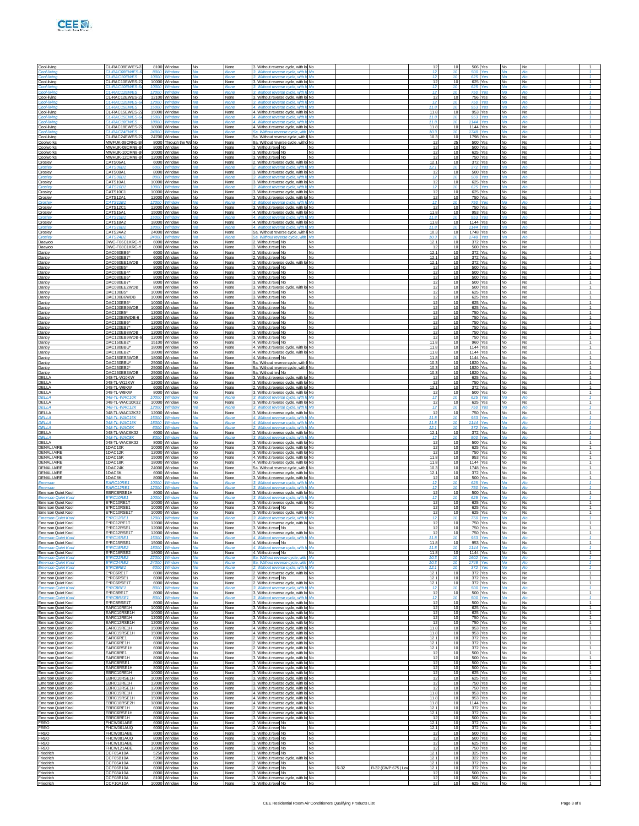

| Cool-living                                                                  | CL-RAC08EWIES-2                                              |                | 8100 Window                                 |                      | None                        | 3. Without reverse cycle, with lo No                                                                           |                        |      |                    |                       |                        |              | 506 Yes                       |                        |                 |                                                  |
|------------------------------------------------------------------------------|--------------------------------------------------------------|----------------|---------------------------------------------|----------------------|-----------------------------|----------------------------------------------------------------------------------------------------------------|------------------------|------|--------------------|-----------------------|------------------------|--------------|-------------------------------|------------------------|-----------------|--------------------------------------------------|
| Cool-livina<br>Cooldiving                                                    | <b>CL-RACOBEWIES-</b><br><b>CL-RAC10FWES</b>                 | 10000          | 8000 Window                                 | M <sub>0</sub>       | <b>None</b>                 | 3. Without reverse cycle, with It No.<br>3. Without reverse cycle, with I                                      |                        |      |                    | 12<br>12 <sub>2</sub> | 10                     | 500<br>625   | Ves                           | No                     | No              | $\mathcal{L}$                                    |
| Cool-living                                                                  | CL-RAC10EWES-                                                |                | 10000 Window                                | No                   | None                        | 3. Without reverse cycle, with lo No<br>3. Without reverse cycle, with In                                      |                        |      |                    | 12<br>12              | 10                     | 625          | 625 Yes<br>Ves                | No                     | <b>No</b>       | $\mathbf{1}$<br>1.                               |
| Cool-living<br>Cool-livine<br>Cool-living                                    | <i>CL-RAC10EWES-</i><br><b>CL-RAC12EWES</b><br>CL-RAC12EWES- | 10000          | Window<br>12000 Window<br>12100 Window      | No                   | None<br>Noni<br>None        | 3. Without reverse cycle, with Ir No.<br>3. Without reverse cycle, with lo No                                  | Nο                     |      |                    | 12<br>12              | 10<br>10               | 750          | Yes<br>756 Yes                | No                     | No              | 1.<br>$\mathbf{1}$                               |
| Cool-livine<br>Cool-livin                                                    | CL-RAC12EWES-<br>CL-RAC15EWES                                | 12000<br>15000 | Window<br>Windo                             |                      | None<br>Non                 | 3. Without reverse cycle, with It No<br>4. Without reverse cycle, with In No                                   |                        |      |                    | 12<br>11.8            |                        | 750<br>953   |                               | Ne                     |                 |                                                  |
| Cool-living                                                                  | CL-RAC15EWES-2                                               |                | 15000 Window                                | No                   | None                        | 4. Without reverse cycle, with lo No                                                                           |                        |      |                    | 11.8                  | 10                     |              | Yes<br>953 Yes                | No                     | No              | $\mathbf{1}$                                     |
| Cool-living<br>Cool-living                                                   | CL-RAC15FWFS-<br><b>CL-RAC18FWES</b>                         |                | 15000 Window<br>18000 Window                | $M_{\odot}$          | None<br><b>None</b>         | 4. Without reverse cycle, with It No.<br>4. Without reverse cycle, with In No.                                 |                        |      |                    | 11.8<br>11.8          | -10<br>$\overline{10}$ | 953<br>1144  | Yes<br>Yes                    | Νc<br>Mo               | No              | $\mathcal{I}$<br>$\mathcal{I}$                   |
| Cool-living<br>Cool-living                                                   | CL-RAC18EWES-<br>CL-RAC24EWES                                | 18000<br>24000 | Window<br>Windov                            | No                   | None<br>None                | 4. Without reverse cycle, with lo No.<br>5a. Without reverse cycle, with                                       |                        |      |                    | 11.8<br>10.3          |                        | 1748         | 1144 Yes<br>Yes               | No                     |                 | $\overline{1}$                                   |
| Cool-living<br>Coolworks                                                     | CL-RAC24EWES-<br>MWFUK-08CRN1-E                              |                | 24700 Window<br>8000 Through the            | i No                 | None<br>None                | 5a. Without reverse cycle, with I No<br>8a. Without reverse cycle, witho No                                    |                        |      |                    | 10.3<br>-12           | 10<br>25               |              | 1798 Yes<br>500 Yes           | No<br>No               | No<br>No        | $\mathbf{1}$<br>1                                |
| Coolworks<br>Coolworks                                                       | MWHLIK-08CRN8-F<br>MWHUK-10CRN8-E                            | 10000          | 8000 Window<br>Window                       | No                   | None<br>None                | 3. Without revel No<br>3. Without revel No                                                                     | <b>No</b><br><b>No</b> |      |                    | 12<br>12              | 10<br>10               |              | 500 Yes<br>625 Yes            | No<br>No               | No.             | $\overline{1}$<br>$\overline{1}$                 |
| Coolworks<br>Crosley                                                         | MWHUK-12CRN8-B<br>CATS06A1                                   |                | 12000 Window<br>6000 Window                 | No<br>No             | None<br>None                | 3. Without revel No<br>2. Without reverse cycle, with lo No                                                    | No                     |      |                    | 12<br>12.1            | 10<br>10               |              | 750 Yes<br>372 Yes            | No<br>No               | <b>No</b><br>No | $\mathbf{1}$<br>$\mathbf{1}$                     |
| :msley<br>Crosley                                                            | CATS06B1<br>CATS08A1                                         |                | 6000 Window<br>8000 Window                  | <b>No</b>            | None<br>None                | 2. Without reverse cvcle, with Io<br>3. Without reverse cycle, with lo No                                      | Nο                     |      |                    | 12.1<br>12            | 10<br>10               | 372          | Yes<br>500 Yes                | No                     | ۷n<br>No        | $\mathcal{I}$<br>$\overline{1}$                  |
| Crosley                                                                      | CATS08R1<br>CATS10A1                                         | 8000           | Window<br>10000 Window                      | No                   | None<br>None                | 3. Without reverse cycle, with Io<br>3. Without reverse cycle, with lo No                                      | M <sub>0</sub>         |      |                    | 12<br>12              | 10<br>10               | 500          | Yes<br>625 Yes                | Mc<br>No               | <b>No</b>       | и.<br>$\overline{1}$                             |
| Croslev<br>Croslev                                                           | CATS10B1<br>CATS10C1                                         | 10000          | Window<br>10000 Window                      |                      | None<br>None                | 3. Without reverse cycle, with In<br>3. Without reverse cycle, with lo No                                      | Nο                     |      |                    | 12<br>12              | 10<br>10               | 625          | Yes<br>625 Yes                | No                     | ۷ñ<br>No        | $\mathcal{I}$<br>$\mathbf{1}$                    |
| Crosley                                                                      | CATS12A1<br>CATS12R1                                         | 12000          | 12000 Window<br>Window                      | No                   | None<br>None                | 3. Without reverse cycle, with lo No<br>3. Without reverse cycle, with Io                                      |                        |      |                    | 12<br>12 <sub>2</sub> | 10                     | 750          | 750 Yes<br>Yes                | <b>No</b><br>Ne        | No.             | $\overline{1}$<br>$\mathcal{A}$                  |
| Crosley<br>Crosley                                                           | CATS12C1<br>CATS15A1                                         | 12000          | Window<br>15000 Window                      | No<br>No             | None<br>None                | 3. Without reverse cycle, with lo No<br>4. Without reverse cycle, with lo No                                   |                        |      |                    | 12<br>11.8            | 10<br>10               |              | 750 Yes<br>953 Yes            | No<br>No               | <b>No</b><br>No | $\overline{1}$<br>$\mathbf{1}$                   |
| Crosley                                                                      | CATS15B<br>CATS18A2                                          | 15000          | Mindo<br>18000 Window                       | No                   | Mon.<br>None                | 4. Without reverse cycle, with In No<br>4. Without reverse cycle, with lo No                                   |                        |      |                    | 11.8<br>11.8          | 10<br>10               | 953          | 1144 Yes                      | No                     | No              | и.<br>$\overline{1}$                             |
| Crosley                                                                      | CATS18B2<br>CATS24A2                                         | 18000          | Windor<br>24000 Window                      | No                   | None<br>None                | 4. Without reverse cycle, with Io<br>5a. Without reverse cycle, with I No                                      | No                     |      |                    | 11.8<br>10.3          | 10                     | 1144         | Yes<br>1748 Yes               | Mc<br>No               | No              | и.<br>$\overline{1}$                             |
| Croslev<br>Daewoo                                                            | CATS24B2<br>DWC-F06C1KRC-                                    | 24000          | Window<br>6000 Window                       |                      | None<br>None                | 5a. Without reverse cycle, with<br>2. Without revel No.                                                        | No<br><b>No</b>        |      |                    | 10.3<br>12.1          | 10<br>10               | 1748         | Yes<br>372 Yes                | No                     | ۷n<br>No        | $\mathcal{I}$<br>$\mathbf{1}$                    |
| Daewoo<br>Danby                                                              | DWC-F08C1KRC-<br>DAC060EB6*                                  | 6000           | 8000 Window<br>Window                       | No                   | None<br>None                | 3. Without revel No<br>2. Without revel No                                                                     | <b>No</b><br>No        |      |                    | -12<br>12.1           | 10<br>10               |              | 500 Yes<br>372 Yes            | No<br>No               | No.<br>No       | $\overline{1}$<br>$\overline{1}$                 |
| Danby<br>Danby                                                               | DAC060EB7<br>DAC060EE1WDB                                    |                | 6000 Window<br>6000 Window                  | No<br>Nο             | None<br>None                | 2. Without revel No.<br>2. Without reverse cycle, with lo No                                                   | No                     |      |                    | 12.1<br>12.1          | 10<br>10               |              | 372 Yes<br>372 Yes            | No<br>No               | No<br>No        | $\mathbf{1}$<br>$\mathbf{1}$                     |
| Danby<br>Danby                                                               | DAC080B5*<br>DAC080EB4*                                      |                | 8000 Window<br>8000 Window                  | No<br>No             | None<br>None                | 3. Without revel No<br>3. Without revel No                                                                     | <b>No</b><br><b>No</b> |      |                    | -12<br>12             | 10<br>10               |              | 500 Yes<br>500 Yes            | No<br>No               | No<br>No.       | $\mathbf{1}$<br>$\overline{1}$                   |
| Danby<br>Danby                                                               | DAC080EB6*<br>DAC080EB7                                      | 8000           | Window<br>8000 Window                       | No<br>No             | None<br>None                | 3. Without revel No<br>3. Without revel No.                                                                    | No<br>No               |      |                    | 12<br>12              | 10<br>10               |              | 500 Yes<br>500 Yes            | No<br>No               | No<br>No        | $\overline{1}$<br>$\overline{1}$                 |
| Danby<br>Danby                                                               | DAC080EE2WDB<br>DAC100B5*                                    |                | 8000 Window<br>10000 Window                 | Nο<br>No             | None<br>None                | 3. Without reverse cycle, with lo No<br>3. Without revel No                                                    | <b>No</b>              |      |                    | 12<br>12              | 10<br>10               |              | 500 Yes<br>625 Yes            | No<br>No               | No<br>No        | $\mathbf{1}$<br>$\mathbf{1}$                     |
| Danby<br>Danby                                                               | DAC100B6WDB<br>DAC100EB6*                                    | 10000          | 10000 Window<br>Window                      | No<br>No             | None<br>None                | 3. Without revel No<br>3. Without revel No                                                                     | <b>No</b><br>No        |      |                    | 12<br>12              | 10<br>10               |              | 625 Yes<br>625 Yes            | No<br>No               | No.<br>No       | $\overline{1}$<br>$\overline{1}$                 |
| Danby<br>Danby                                                               | DAC100EB9WDB<br>DAC120B5*                                    |                | 10000 Window<br>12000 Window                | No<br>Nο             | None<br>None                | 3. Without revel No.<br>3. Without revel No.                                                                   | No<br>No               |      |                    | 12<br>12              | 10<br>10               |              | 625 Yes<br>750 Yes            | No<br>No               | No<br>No        | $\overline{1}$<br>$\mathbf{1}$                   |
| Danby<br>Danby                                                               | DAC120B6WDB-6<br>DAC120EB6*                                  |                | 12000 Window<br>12000 Window                | No<br>No             | None<br>None                | 3. Without revel No<br>3. Without revel No                                                                     | <b>No</b><br><b>No</b> |      |                    | 12<br>12              | 10<br>10               |              | 750 Yes<br>750 Yes            | No<br>No               | No<br><b>No</b> | $\mathbf{1}$<br>$\overline{1}$                   |
| Danby<br>Danby                                                               | DAC120EB7*<br>DAC120EB8WDB                                   | 12000<br>12000 | Window<br>Window                            | No<br>No             | None<br>None                | 3. Without revel No<br>3. Without revel No.                                                                    | No<br><b>No</b>        |      |                    | 12<br>12              | 10<br>10               |              | 750 Yes<br>750 Yes            | No<br>No               | No<br><b>No</b> | $\overline{1}$<br>$\overline{1}$                 |
| Danby<br>Danby                                                               | DAC120EB9WDB-<br>DAC150EB2*                                  |                | 12000 Window<br>15100 Window                | Nο<br>No             | None<br>None                | 3. Without revel No.<br>4. Without revel No                                                                    | No<br><b>No</b>        |      |                    | 12<br>11.8            | 10<br>10               |              | 750 Yes<br>960 Yes            | No<br>No               | No<br>No        | $\mathbf{1}$<br>$\mathbf{1}$                     |
| Danby<br>Danby                                                               | DAC180BBU*<br>DAC180EB2*                                     | 18000          | 18000 Window<br>Window                      | No                   | None<br>None                | 4. Without reverse cycle, with lo No<br>4. Without reverse cycle, with lo No                                   |                        |      |                    | 11.8<br>11.8          | 10<br>10               |              | 1144 Yes<br>1144 Yes          | No<br>No               | <b>No</b><br>No | $\overline{1}$<br>$\overline{1}$                 |
| Danby<br>Danby                                                               | DAC180EB3WDB<br>DAC250BBU*                                   |                | 18000 Window<br>25000 Window                | No<br>Nο             | None<br>None                | 4. Without revel No<br>5a. Without reverse cycle, with I No.                                                   | No                     |      |                    | 11.8<br>10.3          | 10<br>10               |              | 1144 Yes<br>1820 Yes          | No<br>No               | <b>No</b><br>No | $\overline{1}$<br>$\mathbf{1}$                   |
| Danby<br>Danby                                                               | DAC250EB2*<br>DAC250EB3WDB                                   | 25000          | 25000 Window<br>Window                      | No<br>No             | None<br>None                | 5a. Without reverse cycle, with I No<br>5a. Without rew No                                                     | No.                    |      |                    | 10.3<br>10.3          | 10<br>10               |              | 1820 Yes<br>1820 Yes          | No<br>No               | No<br><b>No</b> | $\mathbf{1}$<br>$\overline{1}$                   |
| DELLA<br>DELLA                                                               | 048-TL-W10KW<br>048-TL-W12KW                                 | 10000          | Window<br>12000 Window                      | No                   | None<br>None                | 3. Without reverse cycle, with I<br>3. Without reverse cycle, with lo No                                       | No                     |      |                    | 12<br>12              | 10<br>10               |              | 625 Yes<br>750 Yes            | No<br>No               | No<br><b>No</b> | $\overline{1}$<br>$\overline{1}$                 |
| DELLA<br>DELLA                                                               | 048-TL-W6KW<br>048-TL-W8KW                                   |                | 6000 Window<br>8000 Window                  | Nο<br>No             | None<br>None                | 2. Without reverse cycle, with lo No<br>3. Without reverse cycle, with lo No                                   |                        |      |                    | 12.1<br>12            | 10<br>10               | 372          | Yes<br>500 Yes                | No<br>No               | No<br>No        | $\mathbf{1}$<br>$\mathbf{1}$                     |
| DEI LA<br>DELLA                                                              | 048-TI-WAC10K<br>048-TL-WAC10K32                             | 10000<br>10000 | Window<br>Window                            | ۸Ιο                  | None<br>None                | 3. Without reverse cycle, with It No.<br>3. Without reverse cycle, with lo No                                  |                        |      |                    | 12<br>12              | 10                     | 625          | Yes<br>625 Yes                | No<br>No               | ۷n              | $\mathcal{I}$<br>$\overline{1}$                  |
| DELLA<br>DELLA                                                               | 048-TL-WAC12K<br>048-TL-WAC12K32                             | 12000          | 12000 Window                                | Nο                   | Non<br>None                 | 3. Without reverse cycle, with Io<br>3. Without reverse cycle, with lo No                                      |                        |      |                    | 12<br>12              | 10                     | 750<br>750   | Yes<br>Yes                    | Nc<br>No               | No              | $\mathcal{I}$<br>$\mathbf{1}$                    |
| <b>DELLA</b><br>DELLA                                                        | 048-TI-WAC15K<br>048-TI-WAC18K                               | 18000          | 15000 Window<br>Window                      | Mo.                  | None<br>None                | 4. Without reverse cycle, with It No<br>4. Without reverse cycle, with Ic No.                                  |                        |      |                    | 11.8<br>11R           | 10<br>$\overline{10}$  | 953<br>1144  | Ves<br>Yes                    | No<br>No               | M٥<br>۷o        | $\mathcal{I}$<br>$\mathcal{I}$                   |
| DELLA<br>DELLA                                                               | 048-TL-WAC6K<br>048-TL-WAC6K32                               | 6000           | Window<br>6000 Window                       | No                   | None<br>None                | 2. Without reverse cycle, with Io<br>2. Without reverse cycle, with lo No                                      |                        |      |                    | 12.1<br>12.1          | 10                     | 372          | Yes<br>372 Yes                | Ne<br>No               | No              | и.<br>$\overline{1}$                             |
| DELLA<br>DELLA                                                               | 048-TL-WAC8K<br>048-TL-WAC8K32                               | 8000           | Window<br>8000 Window                       | No                   | None<br>None                | 3. Without reverse cycle, with Io<br>3. Without reverse cycle, with lo No                                      |                        |      |                    | 12<br>12              | 10<br>10               | 500          | ٧es<br>500 Yes                | No                     | No              | $\mathcal{I}$<br>1                               |
| <b>DENALIAIRE</b><br><b>DENALIAIRE</b>                                       | 1DAC10K<br>1DAC12K                                           | 12000          | 10000 Window<br>Window                      |                      | None<br>None                | 3. Without reverse cycle, with lo No<br>3. Without reverse cycle, with lo No                                   |                        |      |                    | 12<br>12              | 10<br>10               |              | 625 Yes<br>750 Yes            | No<br>No               | No<br>No        | $\mathbf{1}$<br>$\overline{1}$                   |
| <b>DENALIAIRE</b><br><b>DENALIAIRE</b>                                       | 1DAC15K<br>1DAC18K                                           | 15000          | Window<br>18000 Window                      | No                   | None<br>None                | 4. Without reverse cycle, with lo No<br>4. Without reverse cycle, with lo No                                   |                        |      |                    | 11.8<br>11.8          | 10<br>10               |              | 953 Yes<br>1144 Yes           | No<br>No               | <b>No</b><br>No | $\overline{1}$<br>$\mathbf{1}$                   |
| <b>DENALIAIRE</b><br>DENALIAIRE                                              | 1DAC24K<br>1DAC6K                                            |                | 24000 Window<br>6000 Window                 | No                   | None<br>None                | 5a. Without reverse cycle, with I No.<br>2. Without reverse cycle, with lo No                                  |                        |      |                    | 10.3<br>12.1          | 10<br>10               |              | 1748 Yes<br>372 Yes           | No<br>No               | No<br>No        | $\mathbf{1}$<br>$\mathbf{1}$                     |
| <b>DENALI AIRE</b><br>Emersor                                                | 1DAC8K<br>EARC10RE                                           | 8000<br>10000  | Window                                      |                      | None<br>Non                 | 3. Without reverse cycle, with lo No<br>3. Without reverse cycle, with In                                      |                        |      |                    | 12<br>12              | 10                     | 625          | 500 Yes                       | No<br>Nc               | No<br>٧o        | $\overline{1}$<br>$\mathcal{I}$                  |
| Emerson<br>Emerson Quiet Kool                                                | EARC12RE1<br>EBRC8RSE1H                                      | 12000          | Window<br>8000 Window                       | No                   | None<br>None                | 3 Without reverse cycle, with In<br>3. Without reverse cycle, with lo No                                       | No                     |      |                    | 12<br>12              | 10                     | 750          | Ves<br>500 Yes                | No                     | No              | $\mathcal{I}$<br>$\mathbf{1}$                    |
| <b>Emerson Quiet Kool</b><br>Emerson Quiet Kool                              | F*RC10RF1<br>E*RC10RE1T                                      | 10000<br>10000 | <b>Window</b><br>Window                     |                      | None                        | 3. Without reverse cycle, with Io<br>3. Without reverse cycle, with lo No                                      | <b>Mo</b>              |      |                    | 12<br>12              |                        | 625<br>625   | Voe<br>Yes                    | Me<br>No               |                 | $\mathcal{A}$<br>$\mathbf{1}$                    |
| Emerson Quiet Koo<br>Emerson Quiet Kool                                      | E*RC10RSE<br>E*RC10RSE11                                     |                | 10000 Window<br>10000 Window                | No<br>Nο             | None<br>None                | 3. Without revel No<br>3. Without reverse cycle, with lo No                                                    | <b>No</b>              |      |                    | 12<br>12              | 10                     |              | 625 Yes<br>625 Yes            | No<br>No               | <b>No</b><br>No | $\overline{1}$<br>$\mathbf{1}$                   |
| Emerson Quiet Kool<br>Emerson Quiet Kool                                     | <b>F'RC12RF1</b><br>E*RC12RE1T                               | 12000          | <i><u><b>Mindow</b></u></i><br>12000 Window | No                   | Noni<br>None                | 3. Without reverse cycle, with In<br>3. Without reverse cycle, with lo No                                      |                        |      |                    | 12 <sup>5</sup><br>12 | 10<br>10               | 750          | ٧es<br>750 Yes                | Mo<br><b>No</b>        | No              | $\mathcal{L}$<br>$\overline{1}$                  |
| Emerson Quiet Kool                                                           | E*RC12RSE1T                                                  |                | 12000 Window                                | No                   | None                        | 3. Without reverse cycle, with lo No                                                                           |                        |      |                    | 12                    |                        |              | 750 Yes                       | No                     | No              | $\overline{1}$                                   |
| <b>Emerson Quiet Kool</b>                                                    | E*RC15RE1<br>E*RC15RSE1                                      | 15000          | Vindow                                      | No                   | None                        | 4. Without reverse cycle, with It                                                                              | No                     |      |                    | 11.8<br>11.8          | 10                     | 953          | Yel<br>953 Yes                | No                     | No              | $\mathbf{1}$                                     |
| Emerson Quiet Kool<br><b>Emerson Quiet Kool</b><br>Emerson Quiet Kool        | <b>E'RC18RE2</b><br>E*RC18RSE2                               | 18000<br>18000 | 15000 Window<br>Window<br>Window            | Mo<br>No             | None<br>Vone<br>None        | 4. Without revel No<br>4. Without rever<br>se cycle, with I<br>4. Without revel No                             | No<br>No               |      |                    | 11.8<br>11.8          |                        | 1144         | Yes<br>1144 Yes               | No<br>No               | No              | $\mathcal{I}$<br>$\mathbf{1}$                    |
| Emerson Quiet Koo                                                            | E'RC22RE2                                                    | 22000          | Windo                                       | <b>No</b>            | None                        | 5a. Without reverse cycle.                                                                                     |                        |      |                    | 10.3<br>10.3          |                        | 1602<br>1748 | Yes                           | No                     | ٧o              | $\mathcal{I}$                                    |
| Emerson Quiet Kool<br>marson Quiet Koo                                       | E"RC24RE2<br><b>F'RC6RE1</b>                                 | 24000<br>6000  | Window<br>Window                            | No                   | None<br>None                | 5a. Without reverse cycle, with<br>2. Without reverse cycle, with I                                            |                        |      |                    | 12.1                  | 10<br>10               | 372          | Yes<br>Yes                    | No<br>No               |                 | $\mathcal{I}$<br>$\mathcal{A}$<br>$\overline{1}$ |
| Emerson Quiet Kool<br>Emerson Quiet Kool                                     | E*RC6RE1T<br>E*RC6RSE1                                       | 600            | 6000 Window<br>Window                       | No                   | None<br>None                | 2. Without reverse cycle, with lo No.<br>2. Without revel No                                                   |                        |      |                    | 12.1<br>12.1<br>12.1  | 10<br>10               |              | 372 Yes<br>372 Yes<br>372 Yes | No<br>No               | No<br>No<br>No  | $\mathbf{1}$<br>$\overline{1}$                   |
| <b>Emerson Quiet Kool</b><br>Emerson Quiet Kool                              | E*RC6RSE1T<br>E*RC8RE1                                       | 8000           | 6000 Window<br>Nindow                       | No                   | None<br>None                | 2. Without reverse cycle, with lo No<br>3. Without reverse cycle, with Io                                      |                        |      |                    | 12<br>12              | 10<br>10               | 500          | ٧es                           | No                     | ۷n<br>No        | $\mathcal{I}$<br>1                               |
| Emerson Quiet Kool<br><b>Emerson Quiet Kool</b><br><b>Emerson Quiet Kool</b> | E*RC8RE1T<br>E'RC8RSE1<br>E*RC8RSE1T                         | 8000<br>8000   | 8000 Window<br>Window<br>Window             | M <sub>0</sub><br>No | None<br><b>None</b><br>None | 3. Without reverse cycle, with lo No.<br>3. Without reverse cycle, with It<br>3. Without reverse cycle, with k | No.                    |      |                    | 12<br>12              | 10                     | 500<br>500   | 500 Yes<br>Yes<br>Yes         | No<br>No               | No              | $\mathbf{1}$<br>$\mathbf{1}$                     |
| <b>Emerson Quiet Kool</b>                                                    | EARC10RE1H<br>FARC10RSF1H                                    |                | 10000 Window<br>10000 Window                | No                   | None                        | 3. Without reverse cycle, with lo No                                                                           |                        |      |                    | 12<br>12              | 10                     |              | 625 Yes<br>625 Yes            | No                     | No              | $\mathbf{1}$                                     |
| <b>Emerson Quiet Kool</b><br>Emerson Quiet Kool                              | EARC12RE1H                                                   |                | 12000 Window                                | <b>No</b><br>No      | None<br>None                | 3. Without reverse cycle, with lo No<br>3. Without reverse cycle, with lo No                                   |                        |      |                    | 12                    | 10<br>10               |              | 750 Yes                       | No<br>No               | No<br>No.       | $\mathbf{1}$<br>1                                |
| Emerson Quiet Kool<br>Emerson Quiet Kool                                     | EARC12RSE1H<br>EARC15RE1H                                    |                | 12000 Window<br>15000 Window                | No                   | None<br>None                | 3. Without reverse cycle, with lo No<br>4. Without reverse cycle, with k                                       |                        |      |                    | 12<br>11.8            | 10<br>10               |              | 750 Yes<br>953 Yes            | No<br>No               | No<br>No        | $\overline{1}$<br>$\mathbf{1}$                   |
| <b>Emerson Quiet Kool</b><br><b>Emerson Quiet Kool</b>                       | EARC15RSE1H<br>EARC6RE1                                      |                | 15000 Window<br>6000 Window                 | No<br><b>No</b>      | None<br>None                | 4. Without reverse cycle, with lo No<br>2. Without reverse cycle, with lo No                                   |                        |      |                    | 11.8<br>12.1          | 10<br>10               |              | 953 Yes<br>372 Yes            | No<br>No               | No<br>No        | $\mathbf{1}$<br>$\mathbf{1}$                     |
| Emerson Quiet Kool<br>Emerson Quiet Kool                                     | EARC6RE1H<br>EARC6RSE1H                                      |                | 6000 Window<br>6000 Window                  | No<br>No             | None<br>None                | 2. Without reverse cycle, with lo No.<br>2. Without reverse cycle, with lo No                                  |                        |      |                    | 12.1<br>12.1          | 10<br>10               |              | 372 Yes<br>372 Yes            | <b>No</b><br>No        | No.<br>No       | 1<br>$\overline{1}$                              |
| Emerson Quiet Kool<br><b>Emerson Quiet Kool</b>                              | EARC8RE1<br>EARC8RE1H                                        |                | 8000 Window<br>8000 Window                  | No                   | None<br>None                | 3. Without reverse cycle, with k<br>3. Without reverse cycle, with lo No                                       |                        |      |                    | 12<br>12              | 10<br>10               |              | 500 Yes<br>500 Yes            | No<br>No               | No<br>No        | $\mathbf{1}$<br>$\mathbf{1}$                     |
| Emerson Quiet Kool<br>Emerson Quiet Kool                                     | EARC8RSE1<br>EARC8RSE1H                                      |                | 8000 Window<br>8000 Window                  | <b>No</b><br>No      | None<br>None                | 3. Without reverse cycle, with lo No<br>3. Without reverse cycle, with lo No                                   |                        |      |                    | 12<br>12              | 10<br>10               |              | 500 Yes<br>500 Yes            | No<br><b>No</b>        | No<br>No.       | $\mathbf{1}$<br>1                                |
| Emerson Quiet Kool<br>Emerson Quiet Kool                                     | EBRC10RE1H<br>EBRC10RSE1H                                    |                | 10000 Window<br>10000 Window                | No<br>No             | None<br>None                | 3. Without reverse cycle, with lo No<br>3. Without reverse cycle, with lo No                                   |                        |      |                    | 12<br>12              | 10<br>10               |              | 625 Yes<br>625 Yes            | No<br>No               | No<br><b>No</b> | $\overline{1}$<br>$\mathbf{1}$                   |
| <b>Emerson Quiet Kool</b><br><b>Emerson Quiet Kool</b>                       | EBRC12RE1H<br>EBRC12RSE1H                                    |                | 12000 Window<br>12000 Window                | No<br><b>No</b>      | None<br>None                | 3. Without reverse cycle, with lo No<br>3. Without reverse cycle, with lo No                                   |                        |      |                    | 12<br>12              | 10<br>10               |              | 750 Yes<br>750 Yes            | No<br>No               | No<br>No        | $\mathbf{1}$<br>$\mathbf{1}$                     |
| Emerson Quiet Kool<br>Emerson Quiet Kool                                     | EBRC15RE1H<br>EBRC15RSE1H                                    |                | 15000 Window<br>15000 Window                | No<br>No             | None<br>None                | 4. Without reverse cycle, with lo No<br>4. Without reverse cycle, with lo No.                                  |                        |      |                    | 11.8<br>11.8          | 10<br>10               |              | 953 Yes<br>953 Yes            | <b>No</b><br>No        | No.<br>No       | 1<br>$\mathbf{1}$                                |
| Emerson Quiet Kool<br>Emerson Quiet Koo                                      | EBRC18RSE2H<br>EBRC6RE1H                                     |                | 18000 Window<br>6000 Window                 | No<br>No             | None<br>None                | 4. Without reverse cycle, with lo No<br>2. Without reverse cycle, with lo No                                   |                        |      |                    | 11.8<br>12.1          | 10<br>10               |              | 1144 Yes<br>372 Yes           | No<br>No               | <b>No</b><br>No | $\mathbf{1}$<br>$\mathbf{1}$                     |
| Emerson Quiet Koo<br><b>Emerson Quiet Kool</b>                               | EBRC6RSE1H<br>EBRC8RE1H                                      |                | 6000 Window<br>8000 Window                  | <b>No</b><br>No      | None<br>None                | 2. Without reverse cycle, with lo No<br>3. Without reverse cycle, with lo No                                   |                        |      |                    | 12.1<br>-12           | 10<br>10               |              | 372 Yes<br>500 Yes            | No<br>No               | No<br>No.       | $\mathbf{1}$<br>1                                |
| <b>FREO</b><br><b>FREO</b>                                                   | FHCW061ABE<br>FHCW061AUQ                                     |                | 6000 Window<br>6000 Window                  | No<br>No             | None<br>None                | 2. Without revel No<br>2. Without revel No.                                                                    | No<br><b>No</b>        |      |                    | 12.1<br>12.1          | 10<br>10               |              | 372 Yes<br>372 Yes            | No<br>No               | No<br><b>No</b> | $\mathbf{1}$<br>$\mathbf{1}$                     |
| <b>FREO</b><br><b>FREO</b>                                                   | FHCW081ABE<br>FHCW081AUC                                     |                | 8000 Window<br>8000 Window                  | No<br><b>No</b>      | None<br>None                | 3. Without revel No.<br>3. Without revel No.                                                                   | No<br><b>No</b>        |      |                    | 12<br>12              | 10<br>10               |              | 500 Yes<br>500 Yes            | No<br><b>No</b>        | No<br>No        | $\mathbf{1}$<br>$\mathbf{1}$                     |
| <b>FREO</b><br><b>FREO</b>                                                   | FHCW101ABE<br>FHCW121ABE                                     |                | 10000 Window<br>12000 Window                | No<br>No             | None<br>None                | 3. Without revel No.<br>3. Without revel No                                                                    | <b>No</b><br>No        |      |                    | 12<br>12              | 10<br>10               |              | 625 Yes<br>750 Yes            | No<br>No               | No.<br>No       | 1<br>$\mathbf{1}$                                |
| Friedrich<br>Friedrich                                                       | CCF05A10A<br>CCF05B10A                                       | 5250           | Window<br>5200 Window                       | No<br>No             | None<br>None                | 1. Without revel No.<br>1. Without reverse cycle, with I                                                       | No.<br>No              |      |                    | 12.1<br>12.1          | 10                     | 325<br>322   | Yes<br>Yes                    | No<br>No               | No<br>No        | $\mathbf{1}$<br>$\overline{1}$                   |
| Friedrich<br>Friedrich                                                       | CCF06A10A<br>CCF06B10A                                       |                | 6000 Window<br>6000 Window                  | I No<br>No           | None<br>None                | 2. Without revel No<br>2. Without revel No.                                                                    | <b>No</b><br><b>No</b> | R-32 | R-32 (GWP:675   Lo | 12.1<br>12.1          | 10<br>10               | 372          | Yes<br>372 Yes                | <b>No</b><br><b>No</b> | No<br>No.       | $\mathbf{1}$<br>$\mathbf{1}$                     |
| Friedrich<br>Friedrich                                                       | CCF08A10A<br>CCF08B10A                                       |                | 8000 Window<br>8100 Window                  | No<br>No             | None<br>None                | 3. Without revel No<br>3. Without reverse cycle, with k                                                        | No<br>No               |      |                    | 12<br>12              | 10                     | 506          | 500 Yes<br>Yes                | No<br>No               | No<br>No        | 1<br>1                                           |
| Friedrich                                                                    | CCF10A10A                                                    |                | 10000 Window                                | <b>No</b>            | None                        | 3. Without revel No                                                                                            | <b>No</b>              |      |                    | 12                    |                        |              | 625 Yes                       | <b>No</b>              | <b>No</b>       |                                                  |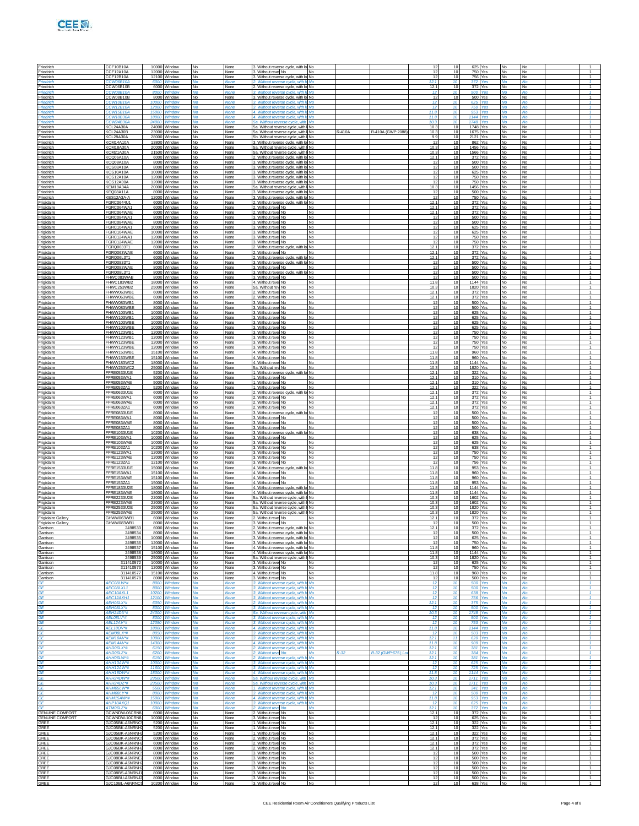| Friedrich                                        | CCF10B10A                                          |                       | 10000 Window                                 |                              | None                 | 3. Without reverse cycle, with lo No                                                                              |                               |         |                   | 12                             | 10                            |                     | 625 Yes                        |                              |                              |                                                    |
|--------------------------------------------------|----------------------------------------------------|-----------------------|----------------------------------------------|------------------------------|----------------------|-------------------------------------------------------------------------------------------------------------------|-------------------------------|---------|-------------------|--------------------------------|-------------------------------|---------------------|--------------------------------|------------------------------|------------------------------|----------------------------------------------------|
| Friedrich<br>Friedrich                           | CCF12A10A<br>CCF12B10A                             |                       | 12000 Window<br>12100 Window                 | No<br><b>No</b>              | None<br>None         | 3. Without revel No<br>3. Without reverse cycle, with lo No                                                       | <b>No</b>                     |         |                   | 12<br>12.1                     | 10<br>10                      |                     | <b>750 Yes</b><br>756 Yes      | No<br>No                     | No<br>No                     | $\overline{1}$<br>$\mathbf{f}$                     |
| Friedrich                                        | CW06B10A<br>CCW06B10B<br>CW08B10.                  | 6000                  | Window                                       | No                           | None                 | 2. Without reverse cycle, with I<br>2. Without reverse cycle, with lo No.<br>Without reverse cycle, with I        | No<br>No                      |         |                   | 12.1<br>12                     | 10<br>10<br>10                | 372<br>372<br>500   | Yes<br>Yes                     | No                           | No<br>No                     | $\overline{1}$<br>$\overline{1}$                   |
| Friedrich<br>Friedrich                           | CCW08B10B<br>CCW10B10A                             | 10000                 | 8000 Window<br>Window                        | N٥<br><b>No</b>              | None<br>None         | 3. Without reverse cycle, with lo No.<br>3. Without reverse cycle, with It No                                     |                               |         |                   | 12<br>12 <sup>12</sup>         | 10<br>10 <sup>1</sup>         |                     | 500 Yes<br>625 Yes             | No<br><b>No</b>              | No<br>M <sub>0</sub>         | $\overline{1}$<br>$\mathcal{I}$                    |
| Friedrich<br>Friedrich                           | CCW12B10A<br><b>CCW15B10A</b>                      | 1200<br>1500          | Windov<br>Window                             |                              |                      | 3. Without reverse cycle, with It No<br>4. Without reverse cycle, with                                            | <b>No</b>                     |         |                   | $\bar{1}2$<br>11.8             | 10                            | 750<br>953          |                                |                              | No                           | $\mathbf{f}$<br>$\mathbf{f}$                       |
| <i>riedrich</i><br>Friedrich                     | CW18B30/<br>CCW24B30A                              | 1800<br>24000         | Window<br>Window                             |                              | None                 | 4. Without reverse cycle, with I<br>5a. Without reverse cycle, with No.                                           | No                            |         |                   | 11.8<br>10.3                   | 10<br>10                      | 1144<br>1748        | Yes<br>Yes                     |                              | No                           | $\overline{1}$<br>$\overline{1}$                   |
| Friedrich<br>riedrich                            | KCL24A30A<br>KCL24A30B                             | 23000                 | 24000 Window<br>Window                       | <b>No</b>                    | None<br>None         | 5a. Without reverse cycle, with I No<br>5a. Without reverse cycle, with I No                                      |                               | $-410A$ | R-410A (GWP:2088  | 10.3<br>10.3                   | 10 <sup>1</sup><br>10         | 1748 Yes            | 1675 Yes                       | No<br>No                     | <b>No</b><br>No              | $\overline{1}$<br>1                                |
| Friedrich<br>Friedrich                           | KCL28A30A<br><b>KCM14A10A</b><br><b>KCM18A30A</b>  | 28000                 | Window<br>13800 Window                       | ٧o                           | None<br>None         | 5b. Without reverse cycle, with I No<br>. Without reverse cycle, with lo                                          | No.                           |         |                   | 9.9<br>12<br>10.3              | 10<br>10<br>10                | 862                 | 2121 Yes<br>Yes<br>1456 Yes    | No<br>No                     | No<br>No                     | $\overline{1}$<br>$\overline{1}$<br>$\overline{1}$ |
| Friedrich<br>Friedrich<br>riedrich               | <b>KCM21A30A</b><br>KCQ06A10A                      | 6000                  | 20000 Window<br>21500 Window<br>Window       | N٥<br>No                     | None<br>None<br>None | 5a. Without reverse cycle, with I No<br>5a. Without reverse cycle, with I No                                      |                               |         |                   | 10.3<br>12.1                   | 10 <sup>1</sup><br>10         |                     | 1566 Yes<br>372 Yes            | No<br><b>No</b><br>No        | No<br>No<br>No               | $\overline{1}$<br>1                                |
| Friedrich<br>Friedrich                           | KCQ08A10A<br>KCS08A10A                             | 8000                  | Window<br>8000 Window                        | ٧o                           | None<br>None         | 2. Without reverse cycle, with lo No<br>3. Without reverse cycle, with lo No.<br>. Without reverse cycle, with lo | No.                           |         |                   | 12<br>12                       | 10<br>10                      | 500                 | 500 Yes<br>Yes                 | No<br>No                     | No<br><b>No</b>              | $\overline{1}$<br>$\overline{1}$                   |
| Friedrich<br>Friedrich                           | <b>KCS10A10A</b><br><b>KCS12A10A</b>               |                       | 10000 Window<br>12000 Window                 | N٥<br>No                     | None<br>None         | 3. Without reverse cycle, with lo No.<br>3. Without reverse cycle, with lo No                                     |                               |         |                   | 12<br>12                       | 10<br>10 <sup>1</sup>         |                     | 625 Yes<br>750 Yes             | No<br><b>No</b>              | No<br>No                     | $\overline{1}$<br>$\overline{1}$                   |
| riedrich<br>Friedrich                            | <b>KCS12A30A</b><br>KEM18A34A                      |                       | 12000 Window<br>20000 Window                 | No                           | None<br>None         | 3. Without reverse cycle, with k<br>5a. Without reverse cycle, with I No.                                         | No.                           |         |                   | 12<br>10.3                     | 10<br>10                      |                     | 750 Yes<br>1456 Yes            | No<br>No                     | No<br>No                     | 1<br>$\overline{1}$                                |
| Friedrich<br>Friedrich                           | KEQ08A11A<br>KES12A3A-A                            |                       | 8000 Window<br>12000 Window                  | N٥<br>No                     | None<br>None         | Without reverse cycle with lo No<br>3. Without reverse cycle, with lo No                                          |                               |         |                   | 12<br>12                       | 10<br>10                      |                     | 500 Yes<br>750 Yes             | No<br><b>No</b>              | <b>No</b><br><b>No</b>       | $\overline{1}$<br>$\overline{1}$                   |
| Frigidaire<br>rigidaire<br>Frigidaire            | FGRC0644U1<br>FGRC064WA1<br>FGRC064WAE             | 6000                  | 6000 Window<br>Window<br>6000 Window         | <b>No</b><br>No              | None<br>None<br>None | 2. Without reverse cycle, with lo No<br>2. Without revel No<br>2. Without revel No.                               | No<br>No                      |         |                   | 12.1<br>12.1<br>12.1           | 10 <sup>1</sup><br>10<br>10   |                     | 372 Yes<br>372 Yes<br>372 Yes  | <b>No</b><br>No<br>No        | No<br>No<br>No               | $\overline{1}$<br>1<br>$\overline{1}$              |
| Frigidaire<br>Frigidaire                         | GRC084WA1<br>FGRC084WAE                            |                       | 8000 Window<br>8000 Window                   | N٥<br>No                     | None<br>None         | 3. Without revel No.<br>3. Without revel No.                                                                      | No<br><b>No</b>               |         |                   | 12<br>12                       | 10<br>10                      |                     | 500 Yes<br>500 Yes             | No<br><b>No</b>              | <b>No</b><br><b>No</b>       | $\overline{1}$<br>$\overline{1}$                   |
| Frigidaire<br>rigidaire                          | FGRC104WA1<br>FGRC104WAE                           |                       | 10000 Window<br>10000 Window                 | <b>No</b>                    | None<br>None         | 3. Without revel No.<br>3. Without revel No                                                                       | <b>No</b><br>No               |         |                   | 12<br>12                       | 10 <sup>1</sup><br>10         |                     | 625 Yes<br>625 Yes             | <b>No</b><br>No              | No<br>No                     | $\overline{1}$<br>1                                |
| Frigidaire<br>Frigidaire                         | FGRC124WA1<br>GRC124WAE                            |                       | 12000 Window<br>12000 Window                 | No<br>N٥                     | None<br>None         | 3. Without revel No.<br>3. Without revel No.                                                                      | No.<br>No                     |         |                   | 12<br>12                       | 10<br>10                      |                     | 750 Yes<br>750 Yes             | No<br>No                     | No<br><b>No</b>              | $\overline{1}$<br>$\overline{1}$                   |
| Frigidaire<br>Frigidaire                         | FGRQ0633T1<br>FGRQ063WAE                           |                       | 6000 Window<br>6000 Window                   | No<br><b>No</b>              | None<br>None         | 2. Without reverse cycle, with lo No<br>2. Without revel No                                                       | <b>No</b>                     |         |                   | 12.1<br>12.1                   | 10<br>10 <sup>1</sup>         |                     | 372 Yes<br>372 Yes             | <b>No</b><br><b>No</b>       | <b>No</b><br>No              | $\overline{1}$<br>$\overline{1}$                   |
| rigidaire<br>Frigidaire                          | FGRQ06L3T1<br>FGRQ0833T1<br>FGRO083WAF             | 6000                  | Window<br>8000 Window<br>8000 Window         | No<br>Nο                     | None<br>None         | 2. Without reverse cycle, with I<br>3. Without reverse cycle, with lo No.<br>3. Without revel No.                 | No                            |         |                   | 12.1<br>12<br>12               | 10<br>10<br>10                |                     | 372 Yes<br>500 Yes<br>500 Yes  | No<br>No                     | No<br>No                     | 1<br>$\overline{1}$<br>$\overline{1}$              |
| Frigidaire<br>Frigidaire<br>Frigidaire           | FGRQ08L3T1<br>FHWC083WAB                           |                       | 8000 Window<br>8000 Window                   | <b>No</b><br><b>No</b>       | None<br>None<br>None | 3. Without reverse cycle, with lo No<br>3. Without revel No                                                       | No<br><b>No</b>               |         |                   | 12<br>12                       | 10<br>10 <sup>1</sup>         |                     | 500 Yes<br>500 Yes             | No<br><b>No</b><br><b>No</b> | No<br><b>No</b><br>No        | T<br>$\overline{1}$                                |
| rigidaire<br>Frigidaire                          | FHWC183WB2<br>FHWC253WB2                           |                       | 18000 Window<br>25000 Window                 | No                           | None<br>None         | 4. Without revel No<br>5a. Without rew No.                                                                        | No<br>No.                     |         |                   | 11.8<br>10.3                   | 10<br>10                      |                     | 1144 Yes<br>1820 Yes           | No<br>No                     | No<br>No                     | $\mathbf{1}$<br>$\overline{1}$                     |
| Frigidaire<br>Frigidaire                         | FHWW063WB1<br>FHWW063WBE                           |                       | 6000 Window<br>6000 Window                   | Nο<br><b>No</b>              | None<br>None         | 2. Without revel No<br>2. Without revel No.                                                                       | No<br><b>No</b>               |         |                   | 12.1<br>12.1                   | 10<br>10                      |                     | 372 Yes<br>372 Yes             | No<br><b>No</b>              | No<br><b>No</b>              | $\overline{1}$<br>T                                |
| Frigidaire<br>rigidaire                          | FHWW083WB1<br>FHWW083WBE                           |                       | 8000 Window<br>8000 Window                   | <b>No</b>                    | None<br>None         | 3. Without revel No.<br>3. Without revel No                                                                       | <b>No</b><br><b>No</b>        |         |                   | 12<br>12                       | 10 <sup>1</sup><br>10         |                     | 500 Yes<br>500 Yes             | <b>No</b><br>No              | No<br>No                     | $\overline{1}$<br>$\mathbf{1}$                     |
| Frigidaire<br>Frigidaire<br>Frigidaire           | FHWW103WB1<br>FHWW103WB1<br>FHWW103WBE             |                       | 10000 Window<br>10000 Window<br>10000 Window | No<br>Nο<br><b>No</b>        | None<br>None<br>None | 3. Without revel No.<br>3. Without revel No<br>3. Without revel No.                                               | No.<br>No<br><b>No</b>        |         |                   | 12<br>12<br>12                 | 10<br>10<br>10                |                     | 625 Yes<br>625 Yes<br>625 Yes  | No<br>No<br><b>No</b>        | No<br>No<br><b>No</b>        | $\overline{1}$<br>$\overline{1}$<br>T              |
| Frigidaire<br>rigidaire                          | FHWW103WBE<br>FHWW123WB1                           |                       | 10000 Window<br>12000 Window                 | <b>No</b>                    | None<br>None         | 3. Without revel No.<br>3. Without revel No                                                                       | <b>No</b><br><b>No</b>        |         |                   | 12<br>12                       | 10 <sup>1</sup><br>10         |                     | 625 Yes<br>750 Yes             | <b>No</b><br>No              | No<br>No                     | $\overline{1}$<br>$\mathbf{1}$                     |
| Frigidaire<br>Frigidaire                         | FHWW123WB1<br>FHWW123WBE                           |                       | 12000 Window<br>12000 Window                 | No<br>Nο                     | None<br>None         | 3. Without revel No.<br>3. Without revel No.                                                                      | No.<br>No                     |         |                   | 12<br>12                       | 10<br>10                      |                     | 750 Yes<br>750 Yes             | No<br>No                     | No<br>No                     | $\overline{1}$<br>$\overline{1}$                   |
| Frigidaire<br>Frigidaire                         | FHWW123WBE<br>FHWW153WB1                           |                       | 12000 Window<br>15100 Window                 | <b>No</b><br><b>No</b>       | None<br>None         | 3. Without revel No.<br>4. Without revel No.                                                                      | <b>No</b><br><b>No</b>        |         |                   | 12<br>11.8                     | 10<br>10 <sup>1</sup>         |                     | 750 Yes<br>960 Yes             | <b>No</b><br><b>No</b>       | <b>No</b><br>No              | $\overline{1}$<br>$\overline{1}$                   |
| rigidaire<br>Frigidaire                          | FHWW153WBE<br>FHWW183WC2                           |                       | 15100 Window<br>18000 Window                 | No                           | None<br>None         | 4. Without revel No<br>4. Without revel No.                                                                       | No<br>No.                     |         |                   | 11.8<br>11.8                   | 10<br>10                      |                     | 960 Yes<br>1144 Yes            | No<br>No                     | No<br>No                     | $\mathbf{1}$<br>$\overline{1}$                     |
| Frigidaire<br>Frigidaire<br>Frigidaire           | FHWW253WC2<br>FFRE0533U1E<br>FFRE053WA1            |                       | 25000 Window<br>5200 Window<br>5000 Window   | Nο<br><b>No</b><br><b>No</b> | None<br>None<br>None | 5a. Without rew No.<br>1. Without reverse cycle, with lo No<br>1. Without revel No                                | No<br><b>No</b>               |         |                   | 10.3<br>12.1<br>12.1           | 10<br>10<br>10 <sup>1</sup>   |                     | 1820 Yes<br>322 Yes<br>310 Yes | No<br><b>No</b><br><b>No</b> | No<br><b>No</b><br>No        | $\overline{1}$<br>$\overline{1}$<br>$\overline{1}$ |
| rigidaire<br>Frigidaire                          | FFRE053WAE<br>FFRE053ZA1                           | 5000                  | Window<br>5200 Window                        | No                           | None<br>None         | 1. Without revel No<br>1. Without revel No                                                                        | No<br>No                      |         |                   | 12.1<br>12.1                   | 10<br>10                      |                     | 310 Yes<br>322 Yes             | No<br>No                     | No<br>No                     | $\mathbf{1}$<br>$\overline{1}$                     |
| Frigidaire<br>Frigidaire                         | FFRE0633U1E<br>FFRE063WA1                          |                       | 6000 Window<br>6000 Window                   | Nο<br><b>No</b>              | None<br>None         | 2. Without reverse cycle, with lo No<br>2. Without revel No                                                       | <b>No</b>                     |         |                   | 12.1<br>12.1                   | 10<br>10                      |                     | 372 Yes<br>372 Yes             | No<br><b>No</b>              | No<br><b>No</b>              | $\overline{1}$<br>$\overline{1}$                   |
| Frigidaire<br>rigidaire                          | FFRE063WAE<br>FFRE063ZA1                           | 6000                  | 6000 Window<br>Window                        | <b>No</b>                    | None<br>None         | 2. Without revel No.<br>2. Without revel No                                                                       | <b>No</b><br>No               |         |                   | 12.1<br>12.1                   | 10 <sup>1</sup><br>10         |                     | 372 Yes<br>372 Yes             | <b>No</b><br>No              | No<br>No                     | $\overline{1}$<br>$\mathbf{1}$                     |
| Frigidaire<br>Frigidaire                         | FFRE0833U1E<br>FFRE083WA1                          |                       | 8000 Window<br>8000 Window                   | Nο                           | None<br>None         | 3. Without reverse cycle, with k<br>3. Without revel No                                                           | No.<br>No                     |         |                   | 12<br>12<br>12                 | 10<br>10<br>10                |                     | 500 Yes<br>500 Yes<br>500 Yes  | No<br>No                     | No<br>No                     | $\overline{1}$<br>$\overline{1}$<br>$\overline{1}$ |
| Frigidaire<br>Frigidaire<br>rigidaire            | FFRE083WAE<br>FFRE083ZA1<br>FFRE1033U1E            |                       | 8000 Window<br>8000 Window<br>10200 Window   | <b>No</b><br><b>No</b>       | None<br>None<br>None | 3. Without revel No.<br>3. Without revel No<br>3. Without reverse cycle, with k                                   | <b>No</b><br><b>No</b><br>No. |         |                   | 12<br>12                       | 10 <sup>1</sup><br>10         |                     | 500 Yes<br>638 Yes             | <b>No</b><br><b>No</b><br>No | <b>No</b><br>No<br>No        | $\overline{1}$<br>$\mathbf{1}$                     |
| Frigidaire<br>Frigidaire                         | FFRE103WA1<br>FFRE103WAE                           |                       | 10000 Window<br>10000 Window                 | No                           | None<br>None         | 3. Without revel No.<br>3. Without revel No                                                                       | No.<br>No                     |         |                   | 12<br>12                       | 10<br>10                      |                     | 625 Yes<br>625 Yes             | No<br>No                     | No<br>No                     | $\overline{1}$<br>$\overline{1}$                   |
| Frigidaire<br>Frigidaire                         | FFRF1037A1<br>FFRE123WA1                           |                       | 10200 Window<br>12000 Window                 | <b>No</b><br><b>No</b>       | None<br>None         | 3. Without revel No.<br>3. Without revel No.                                                                      | <b>No</b><br><b>No</b>        |         |                   | 12<br>12                       | 10<br>10 <sup>1</sup>         |                     | 638 Yes<br>750 Yes             | No<br><b>No</b>              | <b>No</b><br>No              | $\mathbf{1}$<br>$\overline{1}$                     |
| rigidaire<br>Frigidaire                          | FFRE123WAE<br>FFRE123ZA1                           |                       | 12000 Window<br>12100 Window<br>15000 Window | No                           | None<br>None         | 3. Without revel No<br>3. Without revel No.                                                                       | No<br>No                      |         |                   | 12<br>12                       | 10<br>10                      |                     | 750 Yes<br>756 Yes             | No<br>No                     | No<br>No                     | $\mathbf{1}$<br>$\overline{1}$                     |
| Frigidaire<br>Frigidaire<br>Frigidaire           | FFRE1533U1E<br>FFRE153WA1<br>FFRE153WAE            |                       | 15100 Window<br>15100 Window                 | No<br><b>No</b><br><b>No</b> | None<br>None<br>None | 4. Without reverse cycle, with lo No<br>4. Without revel No.<br>4. Without revel No.                              | <b>No</b><br><b>No</b>        |         |                   | 11.8<br>11.8<br>11.8           | 10<br>10<br>10 <sup>1</sup>   |                     | 953 Yes<br>960 Yes<br>960 Yes  | No<br>No<br><b>No</b>        | No<br><b>No</b><br>No        | $\overline{1}$<br>$\mathbf{1}$<br>$\mathbf{1}$     |
| rigidaire<br>Frigidaire                          | FFRE153ZA1<br>FFRE1833U2E                          | 15000                 | Window<br>18000 Window                       |                              | None<br>None         | 4. Without revel No<br>4. Without reverse cycle, with k                                                           | No<br>No.                     |         |                   | 11.8<br>11.8                   | 10<br>10                      |                     | 953 Yes<br>1144 Yes            | No<br>No                     | No<br>No                     | $\mathbf{1}$<br>$\overline{1}$                     |
| Frigidaire<br>Frigidaire                         | FFRE183WAE<br>FFRF2233U2F                          |                       | 18000 Window<br>22000 Window                 | No                           | None<br>None         | 4. Without reverse cycle, with lol No.<br>5a. Without reverse cycle, with I No                                    |                               |         |                   | 11.8<br>10.3                   | 10<br>10                      |                     | 1144 Yes<br>1602 Yes           | No<br>No                     | No<br><b>No</b>              | $\overline{1}$<br>$\mathbf{1}$                     |
| Frigidaire<br>Frigidaire                         | FFRE223WAE<br>FFRE2533U2E                          | 25000                 | 22000 Window<br>Window                       | <b>No</b>                    | None<br>None         | 5a. Without reverse cycle, with I No<br>5a. Without reverse cycle, with I No                                      |                               |         |                   | 10.3<br>10.3                   | 10 <sup>1</sup><br>10         | 1602 Yes            | 1820 Yes                       | <b>No</b><br>No              | No<br>No                     | $\sim$<br>$\mathbf{1}$                             |
| Frigidaire<br>Frigidaire Gallery                 | FFRE253WAE<br>GHWW063WB1                           |                       | 25000 Window<br>6000 Window                  | No                           | None<br>None         | 5a. Without reverse cycle, with I No<br>2. Without revel No                                                       | No                            |         |                   | 10.3<br>12.1<br>12             | 10<br>10<br>10 <sup>1</sup>   |                     | 1820 Yes<br>372 Yes            | No<br>No                     | No<br>No                     | $\overline{1}$<br>$\overline{1}$<br>$\overline{1}$ |
| Frigidaire Gallery<br>Garrison<br>Garrison       | GHWW083WB1<br>2498533<br>2498534                   |                       | 8000 Window<br>6000 Window<br>8000 Window    | No<br>No                     | None<br>None<br>None | 3. Without revel No<br>2. Without reverse cycle, with lo No<br>3. Without reverse cycle, with lo No               | No                            |         |                   | 12.1<br>12                     | 10 <sup>1</sup><br>10         |                     | 500 Yes<br>372 Yes<br>500 Yes  | No<br><b>No</b><br>No        | <b>No</b><br><b>No</b><br>No |                                                    |
| Garrison<br>Garrison                             | 249853<br>2498536                                  |                       | 10000 Window<br>12000 Window                 | No<br>No                     | None<br>None         | 3. Without reverse cycle, with lo No<br>3. Without reverse cycle, with lot No.                                    |                               |         |                   | 12<br>12                       | 10<br>10                      |                     | 625 Yes<br>750 Yes             | No<br>No                     | No<br><b>No</b>              | $\mathbf{1}$<br>$\overline{1}$                     |
| Garrison<br>Garrison                             | 2498537<br>2498538                                 |                       | 15100 Window<br>18000 Window                 | <b>No</b><br>No              | None<br>None         | 4. Without reverse cycle, with lo No<br>4. Without reverse cycle, with lo No                                      |                               |         |                   | 11.8<br>11.8                   | 10<br>10                      |                     | 960 Yes<br>1144 Yes            | <b>No</b><br><b>No</b>       | <b>No</b><br><b>No</b>       | $\mathbf{1}$<br>$\overline{1}$                     |
| Garrison<br>Garrison                             | 249853<br>31141057                                 |                       | 25000 Window<br>10000 Window                 | No                           | None<br>None         | 5a. Without reverse cycle, with I No<br>3. Without revel No.                                                      | No                            |         |                   | 10.3<br>12                     | 10<br>10                      |                     | 1820 Yes<br>625 Yes            | No<br>No                     | No<br>No                     | $\mathbf{1}$<br>1                                  |
| Garrison<br>Garrison<br>Garrison                 | 311410573<br>311410577<br>311410578                |                       | 12000 Window<br>15100 Window<br>8000 Window  | No<br>No.<br>No              | None<br>None<br>None | 3. Without revel No.<br>4. Without revel No.<br>3. Without revel No                                               | No<br><b>No</b><br>No.        |         |                   | 12<br>11.8<br>-12              | 10<br>10<br>10                |                     | 750 Yes<br>960 Yes<br>500 Yes  | No<br><b>No</b><br><b>No</b> | No<br>No<br><b>No</b>        | $\overline{1}$<br>$\mathbf{1}$<br>$\overline{1}$   |
| ۹F.<br>٩F                                        | 4 <i>EC08LW*</i> #<br>AEC08LXL1                    | 8000<br>800           | Windov<br>Window                             |                              | None                 | 3. Without reverse cycle<br>3 Without reverse cycle, with                                                         | No                            |         |                   | 12<br>12                       | 10<br>10                      | 500<br>500          | Yes                            | No                           | <b>No</b>                    | $\mathcal{A}$<br>$\mathbf{f}$                      |
| <b>GE</b><br>GF                                  | AEC10AXL1<br>AFC12AXH1                             | 10200                 | Window<br>12100 Window                       | Jn<br>No                     | None<br><b>None</b>  | 3. Without reverse cycle, with le<br>3. Without reverse cycle, with Ir No.                                        | Nο                            |         |                   | 12<br>12 <sup>12</sup>         | 10<br>10 <sup>10</sup>        | 638<br>756          | Yes<br><b>Yes</b>              | Nο<br><b>No</b>              | No<br>M <sub>0</sub>         | $\mathbf{1}$<br>$\mathcal{I}$                      |
| <b>GF</b><br>۹F.                                 | <b>AFHOSI X*#</b><br>AEH08LX*#                     | 6050<br>8000          | Window<br>Window                             | ۷n                           | None                 | 2. Without reverse cycle, with It No.<br>3. Without reverse cycle, with I                                         | No                            |         |                   | 12.1<br>12                     | 10<br>10                      | 375<br>500          | <b>Yes</b><br>Yes              | No.<br>No                    | <b>No</b><br>No              | $\mathcal{I}$<br>$\mathcal{A}$                     |
| ЗE<br><b>GE</b><br><b>GF</b>                     | AEH24DX*#<br>AEL08LV*#<br><b>AFI 12AV*#</b>        | 2400<br>8000          | Window<br>Window<br>12050 Window             | Jn.<br>No                    | Vone<br><b>None</b>  | 5a. Without reverse cycle, with<br>3. Without reverse cycle, with le<br>3. Without reverse cycle, with Ir No.     | No                            |         |                   | 10.3<br>12<br>12 <sup>12</sup> | 10<br>10<br>10 <sup>10</sup>  | 1748<br>500<br>753  | Yes<br>Yes                     | Nο<br><b>No</b>              | No<br>No                     | $\mathbf{f}$<br>$\mathbf{f}$<br>$\mathcal{I}$      |
| <b>GF</b><br>۹F                                  | AFI 18DV*#<br>AEM08LX*#                            | 18000<br>8050         | Window<br>Window                             | ۷n                           | None                 | 4. Without reverse cycle, with It No<br>3. Without reverse cycle, with It                                         | No                            |         |                   | 11R<br>12                      | 10 <sup>10</sup><br>10        | 503                 | 1144 Yes                       | No.<br>No                    | <b>No</b><br>No              | $\mathcal{I}$<br>$\mathcal{A}$                     |
| ЗE<br><b>GE</b>                                  | AEM10AV*#<br>4EM14AV*#                             | 1000<br>14300         | Window<br>Window                             | Jn.                          | Vone                 | 3. Without reverse cycle, with<br>4. Without reverse cycle, with li                                               | No                            |         |                   | 12.1<br>11.8                   | 11<br>10                      | 620<br>909          | Yes                            | Nο                           | No                           | $\mathbf{f}$<br>$\mathbf{f}$                       |
| GF<br><b>GF</b>                                  | <b>WA ISOCIAN</b><br><b>AHDO6LZ*#</b>              | 6200                  | 6150 Window<br>Window                        | No<br>۷n                     | <b>None</b><br>None  | 2 Without reverse cycle with In<br>2. Without reve No                                                             | No<br>No.                     | 9-32    | R-32 (GWP 67511c) | 12.1<br>12.1                   | 10 <sup>10</sup><br>$10^{-7}$ | 381                 | Yes<br>384 Yes                 | <b>No</b><br>No.             | M <sub>0</sub><br><b>No</b>  | $\mathbf{f}$<br>$\mathcal{I}$                      |
| ۹F<br>ЗÉ                                         | AHH06LW*#<br>AHH10AW*#                             | 6150<br>1000          | Window<br>Window                             |                              |                      | 2. Without reverse cycle, with<br>3. Without reverse cycle, with                                                  | <b>No</b>                     |         |                   | 12.1<br>12                     | 10<br>10                      | 381<br>625          | Yes                            | No                           | No                           | $\mathcal{A}$<br>$\mathcal{I}$                     |
| <b>GE</b><br>GF                                  | 4HH12AW*#<br>AHH18DW*#                             | 11600                 | Window<br>18000 Window                       | Jn<br>No                     | Vone<br><b>None</b>  | 3. Without reverse cycle, with le<br>4. Without reverse cycle, with In                                            | Nο<br>No                      |         |                   | 12<br>11.8                     | 10<br>10 <sup>10</sup>        | 725                 | Yes<br>1144 Yes                | Nο<br>M <sub>0</sub>         | No<br>M <sub>0</sub>         | $\mathbf{f}$<br>$\mathbf{f}$                       |
| <b>GF</b><br>٩F<br>ЗE                            | AHH24DW*#<br>AHH24DZ*#<br>AHM05LW*#                | 23500<br>23500<br>550 | <b>Window</b><br>Window<br>Window            |                              | <b>None</b>          | 5a. Without reverse cycle, with<br>5a. Without reverse cycle, with<br>1. Without reverse cycle, with              | M <sub>0</sub><br><b>No</b>   |         |                   | 10.3<br>10.3<br>12.1           | 10 <sub>1</sub><br>10<br>10   | 1711<br>1711<br>341 | Voe<br>Yes                     | <b>Mo</b><br>No              | <b>Mo</b><br>No              | $-1$<br>$\mathcal{A}$<br>$\mathcal{I}$             |
| <b>GE</b><br>GF                                  | AHM08LY*#<br>AHM15AW*#                             | 8000                  | Window<br>15000 Window                       | Jο<br>No                     | None<br><b>None</b>  | 3. Without reverse cycle, with le<br>4. Without reverse cycle, with In                                            | Nο<br>No                      |         |                   | 12<br>11.8                     | 10<br>10 <sup>10</sup>        | 500<br>953          | Yes<br><b>Yes</b>              | Nο<br>No                     | No<br>M <sub>0</sub>         | $\mathbf{f}$<br>$\mathbf{f}$                       |
| GE.                                              | AHP10AXO1<br>ATMO6LZ*#                             | 10000<br>6000         | Window<br>Window                             | $\sim$                       | <b>None</b>          | 3. Without reverse cycle, with It No<br>2. Without reve<br><b>No</b>                                              | <b>No</b>                     |         |                   | 12<br>12.1                     | 10 <sub>1</sub><br>10         | 625<br>372          | Voe<br>Yes                     | <b>Mo</b><br>No              | <b>Mo</b><br>Mo              | $-1$<br>$\mathcal{A}$                              |
| <b>GENUINE COMFORT</b><br><b>GENUINE COMFORT</b> | GCWNDW-06CRN<br><b>GCWNDW-10CRN8</b>               |                       | 6000 Window<br>10000 Window                  | No<br>No                     | None<br>None         | 2. Without revel No.<br>3. Without revel No                                                                       | No<br>No                      |         |                   | 12.1<br>12                     | 10<br>10                      | 372                 | Yes<br>625 Yes                 | No<br>No                     | No<br>No                     | 1<br>$\overline{1}$                                |
| GREE<br>GREE                                     | GJC05BK-A6NRNC:<br>GJC05BK-A6NRNH2                 |                       | 5200 Window<br>5200 Window                   | No.<br><b>No</b>             | None<br>None         | 1. Without revel No<br>1. Without revel No.                                                                       | <b>No</b><br><b>No</b>        |         |                   | 12.1<br>12.1                   | 10<br>10 <sup>1</sup>         |                     | 322 Yes<br>322 Yes             | <b>No</b><br>No              | <b>No</b><br>No              | $\mathbf{1}$<br>$\sim$<br>1                        |
| GREE<br>GREE<br>GREE                             | GJC05BK-A6NRNH<br>GJC06BK-A6NRNC<br>GJC06BK-A6NRNH |                       | 5200 Window<br>6000 Window<br>6000 Window    | No<br>No                     | None<br>None<br>None | 1. Without revel No<br>2. Without revel No.<br>2. Without revel No.                                               | <b>No</b><br>No<br>No.        |         |                   | 12.1<br>12.1<br>12.1           | 10<br>10<br>10                | 372                 | 322 Yes<br>Yes<br>372 Yes      | <b>No</b><br>No<br>No        | No<br>No<br>No               | 1<br>$\overline{1}$                                |
| GREE<br>GREE                                     | GJC06BK-A6NRNH<br>GJC08BK-A6NRNC                   |                       | 6000 Window<br>8000 Window                   | No.<br>No                    | None<br>None         | 2. Without revel No<br>3. Without revel No                                                                        | <b>No</b><br>No               |         |                   | 12.1<br>12                     | 10<br>10                      |                     | 372 Yes<br>500 Yes             | No<br>No                     | No<br>No                     | $\mathbf{1}$<br>$\sim$                             |
| <b>GREE</b><br><b>GREE</b>                       | GJC08BK-A6NRN<br>GJC08BK-A6NRNH                    | 8000                  | Window<br>Window                             | No                           | None<br>None         | 3. Without revel No<br>3. Without revel No.                                                                       | No<br>No                      |         |                   | 12<br>12                       | 10<br>10                      |                     | 500 Yes<br>500 Yes             | No<br>No                     | No<br>No                     | $\top$<br>$\sim$                                   |
| GREE<br>GREE                                     | GJC08BK-A6NRNH<br>GJC08BS-A3NRNJ                   |                       | 8000 Window<br>8000 Window                   | No<br>No.                    | None<br>None         | 3. Without revel No.<br>3. Without revel No                                                                       | <b>No</b><br><b>No</b>        |         |                   | 12<br>12                       | 10<br>10                      |                     | 500 Yes<br>500 Yes             | No<br><b>No</b>              | No<br>No                     | $\overline{1}$<br>$\mathbf{1}$                     |
| GREE<br>GREE                                     | GJC08BU-A6NRNJ:<br>GJC10BL-A6NRNC5                 | 10200 Window          | 8000 Window                                  | No<br>No                     | None<br>None         | 3. Without revel No<br>3. Without revel No                                                                        | No<br>No                      |         |                   | 12<br>12                       | 10<br>10                      |                     | 500 Yes<br>638 Yes             | <b>No</b><br>No              | No<br>No                     | 1<br>$\overline{1}$                                |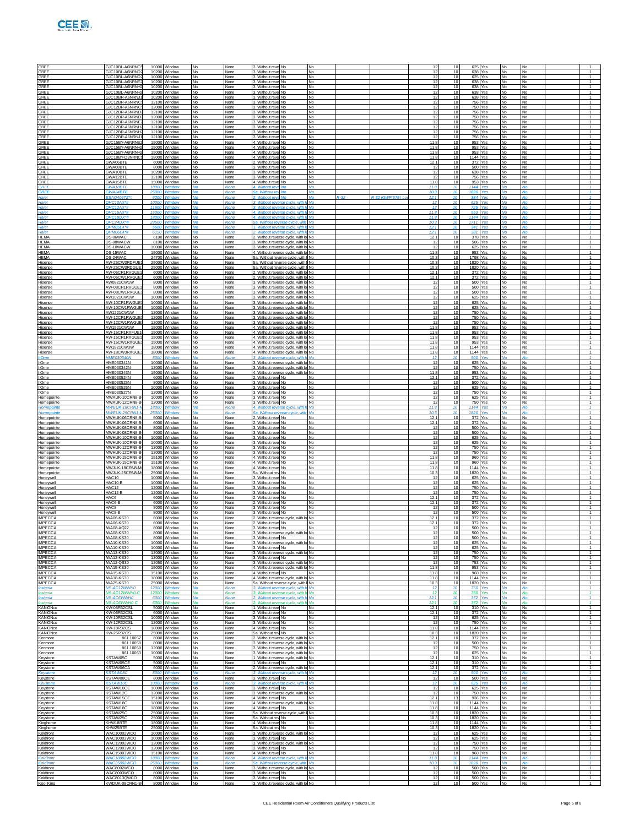|  | I<br>е | t<br>17 |  |
|--|--------|---------|--|

| GREE                                               | GJC10BL-A6NRNC                                                              | 10000 Window                                       |                       | None                        | 3. Without revel No                                                                                                    |                                   |                    | 12                    | $10^{-1}$                   |                                  | 625 Yes                       |                                     |                                   |                                                    |
|----------------------------------------------------|-----------------------------------------------------------------------------|----------------------------------------------------|-----------------------|-----------------------------|------------------------------------------------------------------------------------------------------------------------|-----------------------------------|--------------------|-----------------------|-----------------------------|----------------------------------|-------------------------------|-------------------------------------|-----------------------------------|----------------------------------------------------|
| <b>GREE</b><br>GREE<br><b>GREE</b>                 | GJC10BL-A6NRND<br>GJC10BL-A6NRND<br><b>GJC10BL-A6NRNE</b>                   | 10200 Window<br>10000 Window<br>10200 Window       |                       | None<br>None                | 3. Without revel No.<br>3. Without revel No.<br>3. Without revel No                                                    | <b>No</b><br>No                   |                    | 12<br>12<br>12        | 10<br>10<br>10              |                                  | 638 Yes<br>625 Yes<br>638 Yes | No<br>No                            | No<br>No                          | $\mathbf{1}$<br>$\overline{1}$<br>$\overline{1}$   |
| GREE<br><b>GREE</b>                                | GJC10BL-A6NRNH<br>GJC10BL-A6NRNH                                            | 10200 Window<br>10200 Window                       | No<br>No              | None<br>None<br>None        | 3. Without revel No.<br>3. Without revel No                                                                            | No<br><b>No</b><br><b>No</b>      |                    | 12<br>12              | 10<br>10                    |                                  | 638 Yes<br>638 Yes            | No<br><b>No</b><br>No               | No<br>No<br><b>No</b>             | $\mathbf{1}$<br>$\overline{1}$                     |
| <b>GREE</b><br><b>GREE</b>                         | GJC10BR-A6NRNJ<br>GJC12BR-A6NRNC                                            | 10200<br>Window<br>12100 Window                    |                       | None<br>None                | 3. Without revel No<br>3. Without revel No.                                                                            | No<br>No                          |                    | 12<br>12              | 10<br>10                    |                                  | 638 Yes<br>756 Yes            | No<br>No                            | No<br>No                          | 1<br>$\overline{1}$                                |
| <b>GREE</b><br>GREE<br><b>GREE</b>                 | GJC12BR-A6NRNC<br>GJC12BR-A6NRND<br>GJC12BR-A6NRNI                          | 12000 Window<br>12100 Window<br>12000<br>Window    | <b>No</b><br>No.      | None<br>None<br>None        | 3. Without revel No<br>3. Without revel No<br>3. Without revel No                                                      | No<br>No<br><b>No</b>             |                    | 12<br>12<br>12        | 10<br>10<br>10              |                                  | 750 Yes<br>756 Yes<br>750 Yes | No<br>No<br>No                      | No<br>No<br>No                    | $\mathbf{1}$<br>$\mathbf{1}$<br>$\overline{1}$     |
| <b>GREE</b><br><b>GREE</b>                         | GJC12BR-A6NRNE<br>GJC12BR-A6NRNH                                            | 12100<br>Window<br>12100 Window                    |                       | None<br>None                | 3. Without revel No<br>3. Without revel No.                                                                            | No<br>No                          |                    | 12<br>12              | 10<br>10                    |                                  | 756 Yes<br>756 Yes            | No<br>No                            | No<br>No                          | 1<br>$\overline{1}$                                |
| <b>GREE</b><br>GREE                                | GJC12BR-A6NRNH<br>GJC12BR-A6NRNJ                                            | 12100 Window<br>12100 Window                       | <b>No</b>             | None<br>None                | 3. Without revel No<br>3. Without revel No.                                                                            | No<br>No                          |                    | 12<br>12              | 10<br>10                    |                                  | 756 Yes<br>756 Yes            | No<br>No                            | <b>No</b><br>No                   | $\overline{1}$<br>$\overline{1}$                   |
| <b>GREE</b><br><b>GREE</b><br><b>GREE</b>          | GJC15BY-A6NRNE<br>GJC15BY-A6NRNH<br>GJC15BY-A6NRNH                          | 15000<br>Window<br>15000<br>Window<br>15000 Window | No                    | None<br>None<br>None        | 4. Without revel No<br>4. Without revel No<br>4. Without revel No.                                                     | <b>No</b><br>No<br>No             |                    | 11.8<br>11.8<br>11.8  | 10<br>10<br>10              |                                  | 953 Yes<br>953 Yes<br>953 Yes | No<br>No<br>No                      | <b>No</b><br>No<br>No             | $\overline{1}$<br>1<br>$\overline{1}$              |
| <b>GREE</b><br>GREE                                | GJC18BY-D3NRNO<br>GWA06BTE                                                  | 18000 Window<br>6000 Window                        | <b>No</b>             | None<br>None                | 4. Without revel No<br>2. Without revel No.                                                                            | No<br>No                          |                    | 11.8<br>12.1          | 10<br>10                    | 1144 Yes                         | 372 Yes                       | No<br><b>No</b>                     | No<br>No                          | $\overline{1}$<br>$\overline{1}$                   |
| <b>GREE</b><br><b>GREE</b>                         | GWA08BTE<br>GWA10BTE<br>GWA12BTE                                            | 8000<br>Window<br>10200<br>Window                  | No                    | None<br>None                | 3. Without revel No<br>3. Without revel No                                                                             | <b>No</b><br>No<br>No             |                    | -12<br>12<br>12       | 10<br>10<br>10              |                                  | 500 Yes<br>638 Yes<br>756 Yes | No<br>No                            | <b>No</b><br>No                   | $\overline{1}$<br>1<br>$\overline{1}$              |
| <b>GREE</b><br>GREE<br><b>ARFF</b>                 | <b>GWA15BTE</b><br><b>GWA18BTF</b>                                          | 12100 Window<br>15000 Window<br>18000<br>Window    |                       | None<br>None<br>None        | 3. Without revel No.<br>4. Without revel No<br>4. Without reve No.                                                     | No<br>No                          |                    | 11.8<br>11.8          | 10<br>10                    | 1144 Yes                         | 953 Yes                       | No<br>No<br>No                      | <b>No</b><br>No<br>No             | $\overline{1}$<br>$\mathcal{A}$                    |
| GRFF<br>Haier                                      | GWA24BTE<br>25000<br>ESAQ406TZ*                                             | <b>Mindou</b><br>6200<br>Window                    |                       | Vone                        | 5a. Without re<br>2. Without reve No.                                                                                  | No<br><b>No</b>                   | R-32 (GWP:675   Lo | 10.3<br>12.1          | 10<br>10                    | 1820<br>384                      | Voe<br>Yes                    | No                                  | Mo<br>No                          | $\mathcal{A}$<br>$\mathbf{1}$                      |
| Haier<br>Haier<br>Hajer                            | QHC10AX*#<br>1000<br><b>OHC12AX*#</b><br>OHC15AX*#                          | Windor<br>11600<br>Window<br>15000<br>Window       |                       | Jone<br><b>None</b>         | 3. Without reverse cycle, with<br>3. Without reverse cycle, with In<br>4. Without reverse cycle, with It No            | <b>No</b><br>No                   |                    | 12<br>12<br>11.8      | 10<br>10<br>10              | 625<br>725                       | Yes<br>953 Yes                | Nο<br>No                            | M <sub>0</sub>                    | $\mathbf{1}$<br>$\mathcal{L}$<br>$\mathcal{A}$     |
| Haier<br>Haier                                     | OHC18DX*#<br>18000<br>QHC24DX*#<br>23500                                    | <b>Window</b><br>Window                            |                       | None                        | 4. Without reverse cycle, with Id<br>5a. Without reverse cycle, with                                                   | <b>No</b><br>No                   |                    | 11R<br>10.3           | 10<br>10                    | 1144<br>1711                     | <b>Yes</b><br>Yes             | No                                  | Mo<br>No                          | $\mathcal{A}$<br>$\mathbf{1}$                      |
| Haier<br>Haier                                     | QHM05LX*#<br>OHM06LX*                                                       | 550<br>Windor<br>6150<br>Window                    |                       | Vone                        | 1. Without reverse cycle, with<br>. Without reverse cycle, with It No.                                                 |                                   |                    | 12.1<br>12.1          | 10<br>10                    | 341<br>381                       | Yes                           |                                     |                                   | $\mathbf{1}$<br>$\mathcal{L}$                      |
| <b>HFMA</b><br><b>HEMA</b><br><b>IEMA</b>          | DS-06WAC<br>DS-08WACW<br>DS-10WACW                                          | 6100 Window<br>8100 Window<br>10000<br>Window      | No                    | None<br>None<br>None        | 2. Without reverse cycle, with lo No<br>3. Without reverse cycle, with lo No<br>3. Without reverse cycle, with lo No   |                                   |                    | 12.1<br>12<br>12      | 10<br>10 <sup>1</sup><br>10 | 625                              | 378 Yes<br>506 Yes<br>Yes     | No<br>No<br>No                      | No<br>No<br>No                    | $\mathbf{1}$<br>$\sim$<br>1                        |
| HEMA<br><b>HEMA</b>                                | DS-15WAC<br>DS-24WAC                                                        | 15000<br>Window<br>24700 Window                    |                       | None<br>None                | 4. Without reverse cycle, with lo No.<br>5a. Without reverse cycle, with I No                                          |                                   |                    | 11.8<br>10.3          | 10<br>10                    | 1798 Yes                         | 953 Yes                       | No<br>No                            | No<br><b>No</b>                   | $\overline{1}$<br>$\mathbf{1}$                     |
| Hisense<br>Hisense                                 | AW-25CW3RDFUE<br>AW-25CW3RDGUE                                              | 25000 Window<br>25000<br>Window                    | <b>No</b><br>No       | None<br>None                | 5a. Without reverse cycle, with I No<br>5a. Without reverse cycle, with I No                                           |                                   |                    | 10.3<br>10.3          | 10 <sup>1</sup><br>10       | 1820 Yes<br>1820 Yes             |                               | <b>No</b><br>No                     | No<br>No                          | $\overline{1}$<br>$\overline{1}$                   |
| lisense<br>Hisense<br>Hisense                      | AW-06CR1RVGUE<br>AW-06CW1RVGUE<br>AW0821CW1W                                | 6000<br>Nindow<br>6000<br>Window<br>8000 Window    |                       | None<br>None<br>None        | 2. Without reverse cycle, with k<br>2. Without reverse cycle, with lo No.<br>3. Without reverse cycle, with lot No.    | No.                               |                    | 12.1<br>12.1<br>12    | 10<br>10<br>10              | 372<br>372                       | Yes<br>Yes<br>500 Yes         | No<br>No<br>No                      | No<br>No<br><b>No</b>             | $\overline{1}$<br>$\overline{1}$<br>$\overline{1}$ |
| Hisense<br>Hisense                                 | AW-08CR1RVGUE<br>AW-08CW1RVGUE                                              | 8000 Window<br>8000<br>Window                      | <b>No</b><br>No       | None<br>None                | 3. Without reverse cycle, with lo No<br>3. Without reverse cycle, with lo No                                           |                                   |                    | 12<br>12              | 10<br>10                    |                                  | 500 Yes<br>500 Yes            | <b>No</b><br>No                     | No<br>No                          | $\overline{1}$<br>1                                |
| lisense<br>Hisense<br>Hisense                      | AW1021CW1W<br>AW-10CR1RWGU<br>AW-10CW1RWGUI                                 | 1000<br>Nindow<br>10000<br>Window<br>10000 Window  |                       | None<br>None<br>None        | 3. Without reverse cycle, with I<br>3. Without reverse cycle, with lo No<br>3. Without reverse cycle, with lot No.     | No.                               |                    | 12<br>12<br>12        | 10<br>10<br>10              |                                  | 625 Yes<br>625 Yes<br>625 Yes | No<br>No<br>No                      | No<br>No<br><b>No</b>             | $\overline{1}$<br>$\overline{1}$<br>$\overline{1}$ |
| Hisense<br>Hisense                                 | AW1221CW1W<br>AW-12CR1RWGUE                                                 | 12000 Window<br>12000<br>Window                    | <b>No</b><br>No       | None<br>None                | 3. Without reverse cycle, with lo No<br>3. Without reverse cycle, with lo No                                           |                                   |                    | 12<br>12              | 10<br>10                    |                                  | 750 Yes<br>750 Yes            | <b>No</b><br>No                     | No<br>No                          | $\overline{1}$<br>$\overline{1}$                   |
| lisense<br>Hisense                                 | AW-12CW1RWGI<br>12000<br>AW1521CW1W                                         | Nindow<br>15000<br>Window                          |                       | None<br>None                | 3. Without reverse cycle, with I<br>4. Without reverse cycle, with lo No                                               | No.                               |                    | 12<br>11.8            | 10<br>10                    |                                  | 750 Yes<br>953 Yes            | No<br>No                            | No<br>No                          | $\overline{1}$<br>$\overline{1}$                   |
| Hisense<br>Hisense<br>Hisense                      | AW-15CR1RXFUF1<br>AW-15CR1RXGUE<br>AW-15CW1RXGUE                            | 15000 Window<br>15000 Window<br>15000<br>Window    | <b>No</b><br>No       | None<br>None<br>None        | 4. Without reverse cycle, with lol No.<br>4. Without reverse cycle, with lo No<br>4. Without reverse cycle, with lo No |                                   |                    | 11.8<br>11.8<br>11.8  | 10<br>10 <sup>1</sup><br>10 |                                  | 953 Yes<br>953 Yes<br>953 Yes | No<br><b>No</b><br>No               | <b>No</b><br>No<br>No             | $\overline{1}$<br>$\overline{1}$<br>$\overline{1}$ |
| lisense<br>Hisense                                 | AW1821CW3W<br>1800<br>AW-18CW3RXGU<br>1800                                  | Nindow<br>Window                                   | No                    | None<br>None                | 4. Without reverse cycle, with I<br>4. Without reverse cycle, with lo No                                               | No.                               |                    | 11.8<br>11.8          | 10<br>10                    | 1144 Yes<br>1144 Yes             |                               | No<br>No                            | No<br>No                          | $\overline{1}$<br>$\overline{1}$                   |
| 10me<br>hOme                                       | <b>HME030340N</b><br>HME030341N                                             | 8000<br>Window<br>10000 Window                     | <b>No</b>             | Voni<br>None                | 3. Without reverse cycle, with It No.<br>3. Without reverse cycle, with lo No                                          |                                   |                    | 12<br>12              | 10<br>10                    | 500                              | Yes<br>625 Yes                | No                                  | No<br>No                          | $\mathcal{L}$<br>$\overline{1}$<br>$\overline{1}$  |
| <b>Ome</b><br><b>Ome</b><br><b>Ome</b>             | HME030342N<br>HME030343N<br>1500<br><b>HME030524N</b>                       | 12000 Window<br>Nindow<br>6000<br>Window           | No                    | None<br>None<br>None        | 3. Without reverse cycle, with lo No<br>4. Without reverse cycle, with k<br>2. Without revel No.                       | No.<br>No                         |                    | 12<br>11.8<br>12.1    | 10<br>10<br>10              | 372                              | 750 Yes<br>953 Yes<br>Yes     | No<br>No<br>No                      | No<br>No<br><b>No</b>             | $\overline{1}$<br>$\overline{1}$                   |
| hOme<br>hOme                                       | HME030525N<br>HME030526N                                                    | 8000 Window<br>10000 Window                        | <b>No</b>             | None<br>None                | 3. Without revel No.<br>3. Without revel No                                                                            | No<br><b>No</b>                   |                    | 12<br>12              | 10<br>10 <sup>1</sup>       |                                  | 500 Yes<br>625 Yes            | No<br><b>No</b>                     | No<br>No                          | $\overline{1}$<br>$\overline{1}$                   |
| hOme<br><b>lomepointe</b><br>Homepointe            | HME030527N<br>MWAUK-10CRN8<br>MWAUK-12CRN8-E                                | 12000<br>Window<br>10000<br>Nindow<br>12000 Window | No<br>No              | None<br>None<br>None        | 3. Without revel No<br>3. Without revel No<br>3. Without revel No.                                                     | No<br>No<br>No                    |                    | 12<br>12<br>12        | 10<br>10<br>10              |                                  | 750 Yes<br>625 Yes<br>750 Yes | No<br>No<br>No                      | No<br>No<br>No                    | $\overline{1}$<br>$\overline{1}$<br>$\overline{1}$ |
| Homepoint<br>Homepoint                             | <b>MWEUK-18CRN1-</b><br>MWFUK-25CRN1-I                                      | 18000<br>Window<br>25000 Window                    | <b>No</b>             | Vone<br><b>None</b>         | 4. Without reverse cycle, with I<br>5a. Without reverse cycle, with                                                    | No<br><b>No</b>                   |                    | 11.8<br>10.3          | 10<br>10 <sup>10</sup>      | 1144<br>1820 Yes                 | Yes                           | Mo                                  | No<br>No                          | $\mathcal{L}$<br>$\overline{1}$                    |
| Homepointe<br><b>lomepointe</b>                    | MWHUK-06CRN8-E<br>MWHUK-06CRN8-I                                            | 6000 Window<br>6000<br>Nindow                      | No                    | None<br>None                | 2. Without revel No.<br>2. Without revel No                                                                            | No<br>No                          |                    | 12.1<br>12.1          | 10<br>10                    | 372                              | 372 Yes<br>Yes                | No<br>No                            | No<br>No                          | $\overline{1}$<br>$\overline{1}$                   |
| Homepointe<br>Homepointe<br>Homepointe             | MWHUK-08CRN8-B<br><b>MWHUK-08CRN8-B</b><br>MWHUK-10CRN8-B                   | 8000<br>Window<br>8000 Window<br>10000 Window      | <b>No</b>             | None<br>None<br>None        | 3. Without revel No.<br>3. Without revel No<br>3. Without revel No                                                     | No<br>No<br><b>No</b>             |                    | 12<br>12<br>12        | 10<br>10<br>10 <sup>1</sup> |                                  | 500 Yes<br>500 Yes<br>625 Yes | No<br>No<br><b>No</b>               | <b>No</b><br>No<br>No             | $\overline{1}$<br>$\overline{1}$<br>$\overline{1}$ |
| Homepointe<br>Homepointe                           | MWHUK-10CRN8-E<br>MWHUK-12CRN8-E                                            | 10000 Window<br>12000<br>Window                    | No<br>No              | None<br>None                | 3. Without revel No<br>3. Without revel No.                                                                            | No<br>No.                         |                    | 12<br>12              | 10<br>10                    |                                  | 625 Yes<br>750 Yes            | No<br>No                            | No<br><b>No</b>                   | $\overline{1}$<br>$\overline{1}$                   |
| Homepointe<br>Homepointe<br>Homepointe             | MWHUK-12CRN8-B<br>MWHUK-15CRN8-B<br>MWHUK-15CRN8-B                          | 12000<br>Window<br>15100 Window<br>15100 Window    | No<br><b>No</b>       | None<br>None<br>None        | 3. Without revel No<br>4. Without revel No.<br>4. Without revel No.                                                    | No<br>No<br><b>No</b>             |                    | 12<br>11.8<br>11.8    | 10<br>10<br>10 <sup>1</sup> |                                  | 750 Yes<br>960 Yes<br>960 Yes | No<br>No<br><b>No</b>               | <b>No</b><br>No<br>No             | $\overline{1}$<br>$\overline{1}$<br>$\overline{1}$ |
| Homepointe<br>Homepointe                           | MWJUK-18CRN8-M<br>MWJUK-25CRN8-                                             | 18000 Window<br>25000<br>Window                    | No<br>No              | None<br>None                | 4. Without revel No<br>5a. Without revi No.                                                                            | <b>No</b><br>No.                  |                    | 11.8<br>10.3          | 10<br>10                    | 1144 Yes<br>1820 Yes             |                               | No<br>No                            | No<br><b>No</b>                   | $\overline{1}$<br>$\overline{1}$                   |
| Honeywell<br>Honevwell                             | HAC10<br>HAC10-E                                                            | 10000<br>Window<br>10000 Window                    | No<br>N٥              | None<br>None                | 3. Without revel No.<br>3. Without revel No                                                                            | No<br>No                          |                    | 12<br>12              | 10<br>10<br>10 <sup>1</sup> |                                  | 625 Yes<br>625 Yes            | No<br>No                            | <b>No</b><br>No                   | $\overline{1}$<br>$\overline{1}$<br>$\overline{1}$ |
| Honeywell<br>Honeywell<br>Honevwell                | <b>HAC12</b><br>HAC12-B<br>HAC6                                             | 12000 Window<br>12000 Window<br>6000<br>Window     | No.<br>No<br>No.      | None<br>None<br>None        | 3. Without revel No.<br>3. Without revel No<br>. Without revel No.                                                     | <b>No</b><br>No<br>No.            |                    | 12<br>12<br>12.7      | 10<br>10                    |                                  | 750 Yes<br>750 Yes<br>372 Yes | <b>No</b><br>No<br>No               | No<br>No<br><b>No</b>             | $\overline{1}$<br>$\overline{1}$                   |
| Honeywell<br>Honevwell                             | HAC6-B<br>HAC <sub>8</sub>                                                  | 6000<br>Window<br>8000 Window                      |                       | None<br>None                | 2. Without revel No<br>3. Without revel No.                                                                            | No<br>No                          |                    | 12.7<br>12            | 10<br>10                    | 372                              | Yes<br>500 Yes                | No<br>No                            | <b>No</b><br>No                   | $\overline{1}$<br>$\overline{1}$                   |
| Honeywell<br><b>IMPECCA</b><br><b>IMPECCA</b>      | HAC8-B<br>IWA06-KS30<br><b>MA06-KS30</b>                                    | 8000 Window<br>6000<br>Window<br>6000 Window       | <b>No</b><br>No<br>No | None<br>None<br>None        | 3. Without revel No<br>2. Without reverse cycle, with lo No<br>2. Without revel No                                     | <b>No</b><br>No.                  |                    | 12<br>12.1<br>12.1    | 10 <sup>1</sup><br>10<br>10 |                                  | 500 Yes<br>372 Yes<br>372 Yes | <b>No</b><br><b>No</b><br><b>No</b> | No<br>No<br>No                    | $\overline{1}$<br>1<br>$\overline{1}$              |
| <b>IMPECCA</b><br><b>IMPECCA</b>                   | <b>MA08-AQ22</b><br><b>MA08-KS30</b>                                        | 8000 Window<br>8000 Window                         | No                    | None<br>None                | 3. Without revel No<br>3. Without reverse cycle, with lo No                                                            |                                   |                    | 12                    | 10                          |                                  | 500 Yes<br>500 Yes            | <b>No</b>                           | No                                | $\overline{1}$                                     |
| <b>IMPECCA</b><br><b>IMPECCA</b>                   | MADR-KS30<br><b>MA10-KS30</b>                                               | 8000 Window<br>10000 Window                        | No.<br>No             | None<br>None                | 3. Without revel No<br>3. Without reverse cycle, with k                                                                | No.<br>No.                        |                    | 12<br>12              | 10 <sup>1</sup><br>10       |                                  | 500 Yes<br>625 Yes            | <b>No</b><br>No                     | <b>No</b><br>No                   | $\mathbf{1}$<br>$\overline{1}$                     |
| <b>IMPECCA</b><br><b>IMPECCA</b><br><b>IMPECCA</b> | <b>MA10-KS30</b><br><b>MA12-KS30</b><br><b>MA12-KS30</b>                    | 10000 Window<br>12000 Window<br>12000 Window       | ło.<br>No<br>N٥       | None<br>None<br>None        | Without revel No<br>3. Without reverse cycle, with k<br>3. Without revel No                                            | No<br>No.<br>No.                  |                    | 12<br>12<br>12        | 10<br>10<br>10              |                                  | 625 Yes<br>750 Yes<br>750 Yes | No<br>No<br>No                      | No<br><b>No</b><br>No             | $\mathbf{1}$<br>$\top$<br>$\mathbf{1}$             |
| <b>IMPECCA</b><br><b>IMPECCA</b>                   | MA12-OS30<br>MA15-KS30                                                      | 12050 Window<br>15000 Window                       | No.<br>No             | None<br>None                | 3. Without reverse cycle, with lo No<br>4. Without reverse cycle, with lo No                                           |                                   |                    | 12<br>11.8            | 10<br>10                    |                                  | 753 Yes<br>953 Yes            | <b>No</b><br>No                     | <b>No</b><br>No                   | $\mathbf{1}$<br>$\overline{1}$                     |
| <b>IMPECCA</b><br><b>IMPECCA</b><br><b>IMPECCA</b> | <b>MA15-KS30</b><br><b>MA18-KS30</b><br><b>MA25-KS30</b>                    | 15100 Window<br>18000 Window<br>25000 Window       | ło.<br>No<br>N٥       | None<br>None<br>None        | 4. Without revel No<br>4. Without reverse cycle, with lo<br>5a. Without reverse cycle, with I                          | No<br><b>No</b><br><b>No</b>      |                    | 11.8<br>11.8<br>10.3  | 10<br>10<br>10              | 1144 Yes<br>1820 Yes             | 960 Yes                       | No<br>No<br>No                      | No<br>No<br>No                    | $\mathbf{1}$<br>$\top$<br>$\mathbf{1}$             |
| <i><b>Insignia</b></i><br>Insignia                 | NS-AC12WW<br>NS-AC12WWH0-C<br>12000                                         | 12000 Window<br>Window                             | No                    | <b>None</b><br>None         | 3. Without reverse cycle, with Ir No.<br>3. Without reverse cycle, with It No.                                         |                                   |                    | 12<br>12              | 10 <sup>10</sup><br>10      | 750                              | <b>750 Yes</b><br>Yes         | No<br>No                            | <b>No</b><br>No                   | $\mathcal{A}$<br>$\mathcal{L}$                     |
| nsignia<br>Insignia<br>KANIONco                    | <b>NS-AC6WWH0-</b><br>KW-05R32CSL                                           | Vindow<br>6000<br>Window<br>5000 Window            | N٥                    | lone<br>Vone<br>None        | . Without reverse cycle, with<br>2. Without reverse cycle, with I<br>. Without revel No                                | No<br><b>No</b><br>No             |                    | 12.1<br>12.1<br>12.1  | 10<br>10                    | 372<br>372                       | Yes<br>Yes<br>310 Yes         | No                                  | No<br><b>No</b>                   | $\mathbf{1}$<br>$\tau$<br>$\mathbf{1}$             |
| KANIONco<br>KANIONco                               | KW-06R32CSL<br><b>KW-10R32CSL</b>                                           | 6000 Window<br>10000 Window                        | No.<br>No             | None<br>None                | 2. Without revel No.<br>3. Without revel No                                                                            | <b>No</b><br>No                   |                    | 12.1<br>12            | 10<br>10                    |                                  | 372 Yes<br>625 Yes            | <b>No</b><br>No                     | <b>No</b><br>No                   | $\mathbf{1}$<br>$\overline{1}$                     |
| KANIONco<br>KANIONco                               | <b>KW-12R32CSI</b><br><b>KW-18R32CS</b>                                     | 12000 Window<br>18000 Window                       | ło.<br>No             | None<br>None                | . Without revel No<br>4. Without revel No                                                                              | No<br>No                          |                    | 12<br>11.8            | 10<br>10                    | 1144 Yes                         | 750 Yes                       | No<br>No                            | No<br>No                          | $\mathbf{1}$<br>$\top$                             |
| KANIONco<br>Kenmore<br>Kenmore                     | KW-25R32CS<br>861.10057<br>861,10058                                        | 25000 Window<br>6000 Window<br>8000 Window         | N٥<br>No.<br>No       | None<br>None<br>None        | 5a Without rew No.<br>2. Without reverse cycle, with lo No<br>3. Without reverse cycle, with lo No                     | No                                |                    | 10.3<br>12.1<br>12    | 10<br>10<br>10              | 1820 Yes                         | 372 Yes<br>500 Yes            | No<br><b>No</b><br>No               | No<br><b>No</b><br>No             | $\mathbf{1}$<br>$\mathbf{1}$<br>$\overline{1}$     |
| Kenmore<br>Kenmore                                 | 861.1005<br>861.1006                                                        | 12000 Window<br>10000 Window                       | ło.<br>No             | None<br>None                | . Without reverse cycle, with lo No<br>3. Without reverse cycle, with lo No.                                           |                                   |                    | 12<br>12              | 10<br>10                    |                                  | 750 Yes<br>625 Yes            | No<br>No                            | No<br>No                          | $\mathbf{1}$<br>$\top$                             |
| Keystone<br>Keystone<br>Keystone                   | <b><staw05c< b=""><br/><b>KSTAW05CE</b><br/><u>KSTAW06CÅ</u></staw05c<></b> | 5000 Window<br>5000 Window<br>6000 Window          | No<br>No.<br>No       | None<br>None<br>None        | 1. Without reverse cycle, with lot No.<br>1. Without revel No<br>2. Without reverse cycle, with lo No                  | No.                               |                    | 12.1<br>12.1<br>12.1  | 10<br>10<br>10              |                                  | 310 Yes<br>310 Yes<br>372 Yes | No<br><b>No</b><br>No               | No<br><b>No</b><br>No             | $\mathbf{1}$<br>$\mathbf{1}$<br>$\overline{1}$     |
| <i><b>Cevstone</b></i><br>Keystone                 | <b>STAW08</b><br><b>KSTAW08CE</b>                                           | /indov<br>8000 Window                              | No                    | lone<br>None                | 3. Without reverse cycle<br>3. Without revel No.                                                                       | No<br>No.                         |                    | 12<br>12              | 10                          | 500                              | 500 Yes                       | No                                  | ٧o<br>No                          | $\mathbf{1}$<br>$\mathbf{1}$                       |
| Kevstone<br>Keystone                               | (STAW10C<br>KSTAW10CF                                                       | 10000<br>Window<br>10000 Window                    | No.                   | Vone<br>None                | 3. Without reverse cvcle, with I<br>3. Without revel No                                                                | No<br><b>No</b>                   |                    | 12<br>12              | 10<br>10<br>10              | 625                              | Yes<br>625 Yes                | No                                  | <b>No</b>                         | $\tau$<br>$\mathbf{1}$<br>$\overline{1}$           |
| Keystone<br>Keystone<br>Keystone                   | KSTAW12C<br>KSTAW15CE<br>KSTAW18C                                           | 12000 Window<br>15100 Window<br>18000 Window       | No<br>No<br>No        | None<br>None<br>None        | 3. Without reverse cycle, with k<br>4. Without revel No<br>4. Without reverse cycle, with I                            | No.<br>No<br><b>No</b>            |                    | 12<br>12.1<br>11.8    | 13<br>10                    | 936<br>1144 Yes                  | 750 Yes<br>Yes                | No<br>No<br>No                      | No<br>No<br>No                    | $\mathbf{1}$<br>$\mathbf{1}$                       |
| Keystone<br>Keystone                               | KSTAW18C<br>KSTAW25C                                                        | 18000 Window<br>25000 Window                       | No<br>No.             | None<br>None                | 4. Without revel No<br>5a. Without reverse cycle, with I No                                                            | No                                |                    | 11.8<br>10.3          | 10<br>10                    | 1144 Yes<br>1820 Yes             |                               | No<br><b>No</b>                     | <b>No</b><br><b>No</b>            | $\mathbf{1}$<br>$\mathbf{1}$                       |
| Keystone<br>Kinghome<br>Kinghome                   | KSTAW25C<br>KHW18BTE<br>KHW25BTE                                            | 25000 Window<br>18000 Window<br>25000 Window       | No<br>No<br>No        | None<br>None<br>None        | 5a. Without rev No<br>4. Without revel No.<br>5a. Without rew No.                                                      | No<br>No<br>No                    |                    | 10.3<br>11.8<br>10.3  | 10<br>10<br>10              | 1820 Yes<br>1144 Yes<br>1820 Yes |                               | No<br>No<br>No                      | No<br>No<br>No                    | $\overline{1}$<br>$\mathbf{1}$<br>$\mathbf{1}$     |
| Koldfront<br>Koldfront                             | WAC10002WCO<br>WAC10003WCO                                                  | 10000 Window<br>10000 Window                       | No<br>No.             | None<br>None                | 3. Without reverse cycle, with lo No<br>3. Without revel No                                                            | <b>No</b>                         |                    | 12<br>12              | 10<br>10                    |                                  | 625 Yes<br>625 Yes            | No<br><b>No</b>                     | No<br><b>No</b>                   | $\mathbf{1}$<br>$\mathbf{1}$                       |
| Koldfront<br>Koldfront                             | WAC12002WCO<br>WAC12003WCO                                                  | 12000 Window<br>12000 Window                       | No<br>۹o              | None<br>None                | 3. Without reverse cycle, with k<br>3. Without revel No                                                                | No.<br>No                         |                    | 12<br>12<br>11.8      | 10<br>10<br>10              | 750                              | 750 Yes<br>Yes<br>960 Yes     | No<br>No                            | No<br>No                          | $\overline{1}$<br>$\mathbf{1}$<br>$\overline{1}$   |
| Koldfront<br>Koldfront<br>Koldfron                 | WAC15003WCO<br><b>WAC18002WCO</b><br><b>WAC25002WCO</b>                     | 15100 Window<br>18000 Window<br>25000 Window       | No<br>No.<br>۷n       | None<br>None<br><b>None</b> | 4. Without revel No.<br>4. Without reverse cycle, with Io<br>5a Without reverse cycle, with                            | No<br><b>No</b><br>M <sub>0</sub> |                    | 11.8<br>10.3          | 10<br>10 <sub>1</sub>       | 1144 Yes<br>1820                 | Voe                           | No<br>No<br>Mo                      | No<br><b>No</b><br>M <sub>0</sub> | $\mathbf{1}$<br>$\mathcal{A}$                      |
| Koldfront<br>Koldfront                             | WAC8002WCO<br>WAC8003WCO                                                    | 8000 Window<br>8000 Window                         | No<br>No.             | None<br>None                | 3. Without reverse cycle, with lo No<br>Without revel No                                                               | No                                |                    | 12<br>12              | 10<br>10                    | 500                              | 500 Yes<br>Yes                | No<br>No                            | No<br>No                          | $\overline{1}$<br>1                                |
| Koldfront<br>Kool King                             | WAC8013QWCO<br>KWDUK-08CRN1-B                                               | 8000 Window<br>8000 Window                         | No<br><b>No</b>       | None<br>None                | 3. Without revel No.<br>3. Without reverse cycle, with lo No                                                           | <b>No</b>                         |                    | 12<br>12 <sub>1</sub> | 10<br>10 <sup>1</sup>       |                                  | 500 Yes<br>500 Yes            | No<br><b>No</b>                     | No<br><b>No</b>                   | $\overline{1}$                                     |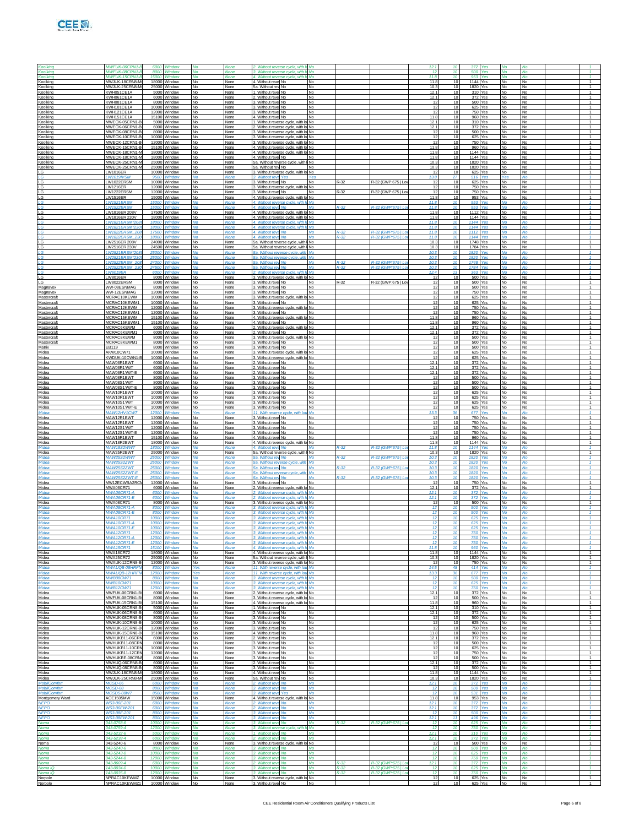

| <b>Koolking</b>                         | MWFUK-06CRN1                            | 6000                  | Window                       |                                  |                            | 2. Without reverse cycle, with It No.                                          |                        |                  |                                          | 12.1                    |                       |                  |                    |                        |                        |                                  |
|-----------------------------------------|-----------------------------------------|-----------------------|------------------------------|----------------------------------|----------------------------|--------------------------------------------------------------------------------|------------------------|------------------|------------------------------------------|-------------------------|-----------------------|------------------|--------------------|------------------------|------------------------|----------------------------------|
| Koolking                                | <b>MWFUK-08CRN1-</b>                    | 8000                  | Window                       |                                  | None                       | 3. Without reverse cycle, with Ic No.                                          |                        |                  |                                          | 12                      | 10                    | 500              | Yes                | Nο                     |                        |                                  |
| Koolking<br>Koolking                    | MWFUK-15CRN1<br>MWJUK-18CRN8-M          | 18000                 | 15000 Window<br>Window       | M <sub>0</sub><br>No             | <b>None</b><br>None        | 4. Without reverse cycle, with Ir No.<br>4. Without revel No                   | <b>No</b>              |                  |                                          | 11R<br>11.8             | 10<br>10              | 953<br>1144 Yes  | Voe                | No<br>No               | No<br>No               | $\mathcal{F}$<br>$\overline{1}$  |
| Koolking<br>Koolking                    | MWJUK-25CRN8-<br>KWH051CE1A             | 2500<br>5000          | Window<br>Window             | I No<br>No                       | None<br>None               | 5a. Without rev No<br>1. Without revel No.                                     | <b>No</b><br>No        |                  |                                          | 10.3<br>12.7            | 10<br>10              | 1820<br>310      | Yes<br>Yes         | No<br>No               | No                     | $\mathbf{1}$<br>$\overline{1}$   |
| Koolking                                | KWH061CE1A<br>KWH081CF1A                |                       | 6000 Window                  | No<br>No.                        | None                       | . Without revel No                                                             | No<br><b>No</b>        |                  |                                          | 12.1<br>-12             | 10<br>10              | 372              | Yes<br>500 Yes     | No<br>No               | No<br>No.              | $\overline{1}$<br>$\overline{1}$ |
| Koolking<br>Koolking                    | KWH101CE1A                              | 10000                 | 8000 Window<br>Window        | No                               | None<br>None               | 3. Without revel No<br>3. Without revel No                                     | <b>No</b>              |                  |                                          | 12                      | 10                    | 625              | Yes                | No                     | No                     | $\overline{1}$                   |
| Koolking<br>Koolking                    | KWH121CE1A<br>KWH151CE1A                | 12000<br>15100        | Window<br>Window             | No<br>No                         | None<br>None               | . Without reve No<br>4. Without revel No.                                      | <b>No</b><br>No        |                  |                                          | 12<br>11.8              | 10<br>10              | 750<br>960       | Yes<br>Yes         | No<br>No               | No<br>No               | $\mathbf{1}$<br>$\overline{1}$   |
| Koolking<br>Koolking                    | MWECK-05CRN1-<br>MWECK-06CRN1-          |                       | 5000 Window<br>6000 Window   | No<br>No.                        | None<br>None               | . Without reverse cycle, with lo No<br>2. Without reverse cycle, with lo No    |                        |                  |                                          | 12.7<br>12.1            | 10<br>10              | 310<br>372       | Yes<br>Yes         | No<br>No               | No<br>No.              | $\overline{1}$<br>$\mathbf{1}$   |
| Koolking<br>Koolking                    | MWECK-08CRN1-E<br>MWECK-10CRN1-         | 8000<br>10000         | Window<br>Window             | No<br>No                         | None<br>None               | 3. Without reverse cycle, with lo No<br>. Without reverse cycle, with lo No.   |                        |                  |                                          | 12<br>12                | 10<br>10              | 500<br>625       | Yes<br>Yes         | No<br>No               | No<br>No               | $\overline{1}$<br>$\mathbf{1}$   |
| Koolking                                | MWECK-12CRN1-                           | 12000                 | Window                       | No                               | None                       | 3. Without reverse cycle, with lo No                                           |                        |                  |                                          | $\overline{1}$<br>11.8  | 10                    | 750<br>960       | Yes                | No                     | No                     | $\overline{1}$<br>$\overline{1}$ |
| Koolking<br>Koolking                    | MWECK-15CRN1-<br>MWECK-18CRN1-          |                       | 15100 Window<br>18000 Window | No<br>No.                        | None<br>None               | 4. Without reverse cycle, with lo No.<br>4. Without reverse cycle, with lo No  |                        |                  |                                          | 11.8                    | 10<br>10              | 1144 Yes         | Yes                | No<br>No               | No<br>No.              | $\mathbf{1}$                     |
| Koolking<br>Koolking                    | MWECK-18CRN1-M<br>MWECK-25CRN1-         | 18000<br>2500         | Window<br>Window             | No<br>No                         | None<br>None               | 4. Without revel No.<br>5a. Without reverse cycle, with I No                   | <b>No</b>              |                  |                                          | 11.8<br>10.3            | 10<br>10              | 1144 Yes<br>1820 | Yes                | No<br>No               | No<br>No               | $\overline{1}$<br>$\mathbf{1}$   |
| Koolking<br>LG                          | MWECK-25CRN1<br>LW1016ER                | 25000                 | Window<br>10000 Window       | No<br>No                         | None<br>None               | 5a. Without rew No<br>3. Without reverse cycle, with lo No                     | No                     |                  |                                          | 10.3<br>-12             | 10<br>10              | 1820<br>625      | Yes<br>Yes         | No<br>No               | No<br>No               | $\overline{1}$<br>$\overline{1}$ |
| IG                                      | I W1019IVSM<br>LW1022ERSM               | 10000                 | 9500 Window<br>Window        | <b>No</b><br>No                  | <b>None</b><br>None        | 3. Without reve Yes<br>3. Without revel No                                     | <b>Yes</b><br>No       | R-32             | R-32 (GWP:675   Lov                      | 13.8<br>12              | 27<br>10              | 516<br>625       | Yes<br>Yes         | Yes<br>No              | M <sub>0</sub><br>No   | $\mathcal{A}$<br>$\overline{1}$  |
| LG<br>LG                                | LW1216ER                                | 12000                 | Window                       | No                               | None                       | . Without reverse cycle, with lo No                                            |                        |                  |                                          | 12                      | 10                    | 750              | Yes                | No                     | <b>No</b>              | $\mathbf{1}$                     |
| LG<br>LG                                | LW1222ERSM<br>LW1516ER                  |                       | 12000 Window<br>15000 Window | No<br>No                         | None<br>None               | 3. Without revel No<br>4. Without reverse cycle, with lo No                    | <b>No</b>              | $R - 32$         | R-32 (GWP:675   L                        | 12<br>11.8              | 10<br>10              | 750<br>953       | Yes<br>Yes         | No<br>No               | No<br>No               | $\overline{1}$                   |
| IG<br>LG                                | <b>I W1521ERSM</b><br><b>LW1522ERSM</b> | 15000                 | 15000 Window<br>Window       | M <sub>0</sub><br>M <sub>0</sub> | <b>None</b><br><b>None</b> | 4. Without reverse cycle, with It No.<br>4. Without reve No                    | <b>No</b>              | $R-32$           | R-32 (GWP:675   Lo                       | 11.8<br>11.8            | 10<br>10              | 953<br>953       | Yes<br>Yes         | No<br>No               | M <sub>0</sub><br>No   | $\mathcal{A}$<br>$\mathbf{1}$    |
| LG<br>LG                                | LW1816ER 208V<br>LW1816ER 230V          | 1750                  | Window<br>18000 Window       | No<br>No                         | None<br>None               | 4. Without reverse cycle, with lo No.<br>4. Without reverse cycle, with lo No  |                        |                  |                                          | 11.8<br>11.8            | 10<br>10              | 1112<br>1144     | Yes<br>Yes         | No<br>No               | No<br>No               | $\mathbf{1}$                     |
| LG                                      | LW1821ERSM/20<br><b>I W1821FRSM(23)</b> | 18000                 | Window                       | M <sub>0</sub>                   | None                       | 4. Without reverse cycle, with It No.<br>4. Without reverse cycle, with It No  |                        |                  |                                          | 11.8<br>11.8            | -16                   | 1144<br>1144     | Yes                | Nο<br>No               |                        | $\mathcal{A}$                    |
| IG<br>LG.                               | LW1822ERSM_20                           | 17500                 | 18000 Window<br>Window       | No                               | <b>None</b><br><b>None</b> | 4. Without reve No                                                             | No                     | $R-32$           | R-32 (GWP:675   Lo                       | 11.8                    | 10<br>$\overline{10}$ | 1112             | Ves<br>Yes         | <b>No</b>              | No<br>No               | $\mathbf{1}$                     |
| LG<br>LG                                | LW1822ERSM 2<br>LW2516ER 208V           | 1800<br>24000         | Nindov<br>Window             | No                               | None                       | 4. Without reve No.<br>5a. Without reverse cycle, with I No                    | <b>No</b>              | $R-32$           | 2-32 (GWP:6751)                          | 11.8<br>10.3            | 10                    | 1144<br>1748     | 'es<br>Yes         | No                     | No                     |                                  |
| LG<br>IG                                | LW2516ER 230V<br><b>LW2521ERSM/20</b>   |                       | 24500 Window<br>25000 Window | No<br>M <sub>0</sub>             | None<br><b>None</b>        | 5a. Without reverse cycle, with I No<br>5a. Without reverse cycle, with No.    |                        |                  |                                          | 10.3<br>10.3            | 10<br>10              | 1784<br>1820     | Yes<br>Yes         | No<br>No               | No<br>M <sub>0</sub>   | $\mathbf{1}$<br>$\mathcal{A}$    |
| LG<br>LG                                | LW2521ERSM(23)<br>LW2522ER              | 25000<br>2400         | Window<br>Window             | No                               | <b>None</b>                | 5a. Without reverse cycle, with No.<br>5a. Without rev<br>No                   |                        | $R-32$           | -32 (GWP:675   L                         | 10.3<br>10.3            | $\overline{10}$       | 1820<br>1748     | Ves<br>'es         | <b>No</b>              | No                     | $\mathbf{1}$                     |
| LG                                      | <b>LW2522ERSM 23</b>                    | 24500                 | Window                       | No                               | <b>None</b>                | 5a. Without rev No.                                                            | No                     | $R - 32$         | R-32 (GWP:6751L                          | 10.3                    | 10                    | 1784             | Yes                | No                     | No                     | $\overline{1}$                   |
| LG<br>LG                                | <b>LW6019ER</b><br>I W8016ER            |                       | 6000 Window<br>8000 Window   | <b>No</b><br>No.                 | None<br>None               | 2. Without reverse cycle, with It No<br>3. Without reverse cycle, with lo No.  |                        |                  |                                          | 12.4<br>-12             | -13<br>10             | 363<br>500       | Yes<br>Yes         | Nο<br>No               | No<br>No.              | $\mathcal{I}$<br>$\mathbf{1}$    |
| LG<br>Magnavox                          | LW8022ERSM<br>WW-08ESNMAG               | 8000                  | 8000 Window<br>Window        | No<br>No                         | None<br>None               | 3. Without revel No<br>. Without reve No                                       | <b>No</b><br><b>No</b> | R-32             | R-32 (GWP:675   Lo                       | 12<br>12                | 10<br>10              | 500<br>500       | Yes<br>Yes         | No<br>No               | No<br><b>No</b>        | $\overline{1}$<br>$\mathbf{1}$   |
| Magnavox<br>Mastercraft                 | WW-12ESNMAG<br>MCRAC10KEWM              |                       | 12000 Window<br>10000 Window | No<br><b>No</b>                  | None<br>None               | 3. Without revel No<br>3. Without reverse cycle, with lo No                    | <b>No</b>              |                  |                                          | 12<br>12                | 10<br>10              | 750              | Yes<br>625 Yes     | No<br>No               | No<br><b>No</b>        | $\overline{1}$<br>$\overline{1}$ |
| Mastercraft                             | MCRAC10KEWM1                            |                       | 10000 Window                 | No.                              | None                       | 3. Without revel No                                                            | <b>No</b>              |                  |                                          | 12                      | 10                    | 625              | Yes                | No                     | <b>No</b>              | $\mathbf{1}$                     |
| Mastercraft<br>Mastercraft              | MCRAC12KEWM<br>MCRAC12KEWM1             | 12000                 | 12000 Window<br>Window       | No<br>No                         | None<br>None               | 3. Without reverse cycle, with lo No<br>. Without reve No                      | <b>No</b>              |                  |                                          | 12<br>12                | 10<br>10              | 750<br>750       | Yes<br>Yes         | No<br>No               | No<br><b>No</b>        | $\overline{1}$<br>$\mathbf{1}$   |
| Mastercraft<br>Mastercraft              | MCRAC15KEWM<br>MCRAC15KEWM1             |                       | 15100 Window<br>15100 Window | No<br><b>No</b>                  | None<br>None               | 4. Without reverse cycle, with lo No<br>4. Without revel No                    | <b>No</b>              |                  |                                          | 11.8<br>11.8            | 10<br>10              | 960 Yes          | 960 Yes            | No<br>No               | No<br><b>No</b>        | $\overline{1}$<br>$\overline{1}$ |
| Mastercraft<br>Mastercraft              | MCRAC6KEWM<br>MCRAC6KEWM1               |                       | 6000 Window<br>6000 Window   | No.<br>No                        | None<br>None               | 2. Without reverse cycle, with lo No<br>2. Without revel No                    | No                     |                  |                                          | 12.1<br>12.1            | 10<br>10              | 372<br>372       | Yes<br>Yes         | No<br>No               | <b>No</b><br>No        | $\mathbf{1}$<br>$\overline{1}$   |
| Mastercraft                             | MCRAC8KEWM                              | 8000                  | Window                       | No                               | None                       | . Without reverse cycle, with lo No                                            |                        |                  |                                          | 12<br>12                | 10                    | 500<br>500       | Yes                | No                     | <b>No</b>              | $\mathbf{1}$<br>$\overline{1}$   |
| Mastercraft<br>Matrix                   | MCRAC8KEWM1<br>EB119                    |                       | 8000 Window<br>8000 Window   | No<br><b>No</b>                  | None<br>None               | 3. Without revel No<br>3. Without revel No                                     | <b>No</b><br>No        |                  |                                          | 12                      | 10<br>10              |                  | Yes<br>500 Yes     | No<br>No               | No<br><b>No</b>        | $\overline{1}$                   |
| Midea<br>Midea                          | AKW10CW71<br>KWDUK-10CWN1-              |                       | 10000 Window<br>10000 Window | No.<br>No                        | None<br>None               | 3. Without reverse cycle, with lo No<br>3. Without reverse cycle, with lo No   |                        |                  |                                          | -12<br>12               | 10<br>10              | 625              | 625 Yes<br>Yes     | No<br>No               | No<br>No               | $\mathbf{1}$<br>$\overline{1}$   |
| Midea<br>Midea                          | MAW06R1BWT<br>MAW06R1YWT                | 6000                  | Window<br>6000 Window        | No<br>No                         | None<br>None               | . Without reve: No<br>2. Without revel No                                      | <b>No</b><br><b>No</b> |                  |                                          | 12.7<br>12.1            | 10<br>10              | 372<br>372       | Yes<br>Yes         | No<br>No               | <b>No</b><br>No        | $\mathbf{1}$<br>$\overline{1}$   |
| Midea<br>Midea                          | MAW06R1YWT-E<br>MAW08R1BWT              |                       | 6000 Window                  | <b>No</b><br>No.                 | None                       | 2. Without revel No<br>3. Without revel No                                     | <b>No</b><br><b>No</b> |                  |                                          | 12.1<br>-12             | 10<br>10              |                  | 372 Yes<br>500 Yes | No<br>No               | <b>No</b><br>No        | $\overline{1}$<br>$\mathbf{1}$   |
| Midea                                   | MAW08S1YWT                              |                       | 8000 Window<br>8000 Window   | No                               | None<br>None               | 3. Without revel No                                                            | No                     |                  |                                          | 12                      | 10                    | 500              | Yes                | No                     | No                     | $\overline{1}$                   |
| Midea<br>Midea                          | MAW08S1YWT-E<br>MAW10R1BWT              | 8000                  | Window<br>10000 Window       | No<br>No                         | None<br>None               | . Without revel No<br>3. Without revel No                                      | <b>No</b><br><b>No</b> |                  |                                          | 12<br>12                | 10<br>10              | 500<br>625       | Yes<br>Yes         | No<br>No               | <b>No</b><br>No        | $\mathbf{1}$<br>$\overline{1}$   |
| Midea<br>Midea                          | MAW10R1BWT<br>MAW10S1YWT                |                       | 10000 Window<br>10000 Window | <b>No</b><br>No.                 | None<br>None               | 3. Without revel No<br>3. Without revel No                                     | <b>No</b><br><b>No</b> |                  |                                          | 12<br>12                | 10<br>10              | 625              | 625 Yes<br>Yes     | No<br>No               | <b>No</b><br>No        | $\overline{1}$<br>$\mathbf{1}$   |
| Midea<br>Midea                          | MAW10S1YWT-E<br>MAW12HV1CW7             |                       | 10000 Window                 | No                               | None<br>None               | 3. Without revel No<br>11. With reverse cycle                                  | <b>No</b><br><b>No</b> |                  |                                          | 12<br>13.3              | 10                    | 625<br>677       | Yes                | No                     | No                     | $\overline{1}$<br>$\mathbf{1}$   |
| Midea                                   | MAW12R1BWT                              |                       | 12000 Window                 | No                               | None                       | 3. Without revel No.                                                           | No                     |                  |                                          | 12                      | 10                    | 750              | Yes                | No                     | No                     | $\overline{1}$                   |
| Midea<br>Midea                          | MAW12R1BWT<br>MAW12S1YWT                |                       | 12000 Window<br>12000 Window | <b>No</b><br>No.                 | None<br>None               | 3. Without revel No<br>3. Without revel No                                     | No<br><b>No</b>        |                  |                                          | 12<br>12                | 10<br>10              | 750              | 750 Yes<br>Yes     | <b>No</b><br>No        | No<br>No               | $\overline{1}$<br>$\mathbf{1}$   |
| Midea<br>Midea                          | MAW12S1YWT-E<br>MAW15R1BWT              | 15100                 | 12000 Window<br>Window       | No<br>No                         | None<br>None               | 3. Without revel No<br>4. Without revel No                                     | <b>No</b><br><b>No</b> |                  |                                          | 12<br>11.8              | 10<br>10              | 750<br>960       | Yes<br>Yes         | No<br>No               | No<br><b>No</b>        | $\overline{1}$<br>$\mathbf{1}$   |
| Midea<br>Midea                          | MAW18R2BWT<br>MAW18S2WW7                |                       | 18000 Window<br>18000 Window | No                               | None<br>None               | 4. Without reverse cycle, with lo No<br>4. Without reve No.                    | No                     |                  | R-32 (GWP:675   L                        | 11.8<br>11.8            | 10<br>$\overline{11}$ | 1144 Yes<br>1144 | Yes                | No                     | No                     | $\overline{1}$<br>$\mathcal{I}$  |
| Midea<br>Midea                          | MAW25R2BWT<br>MAW25S2WWT                | 25000                 | 25000 Window<br>Window       | No<br>No                         | None<br><b>None</b>        | 5a. Without reverse cycle<br>with I No<br>5a. Without rev No                   | No                     | $R - 32$         | R-32 (GWP:675   Lo                       | 10.3<br>10.3            | 10<br>10              | 1820<br>1820     | Yes<br>Yes         | No<br><b>No</b>        | No<br>No               | $\mathbf{1}$<br>$\mathcal{I}$    |
| Midea                                   | <b>MAW25</b>                            |                       |                              |                                  |                            | 5a. Without rever                                                              | <b>No</b>              |                  |                                          | 10.3                    |                       | 182              |                    |                        |                        |                                  |
| Midea<br>Midea                          | MAW25S2ZWT<br><b>MAW25S2ZWT-F</b>       | 25000<br>25000 Windov | Window                       | No                               | <b>None</b><br>None        | 5a Without rey No.<br>5a. Without reverse cycle, with No.                      | No                     | R-32             | R-32 (GWP:6751L                          | 10.3<br>10.3            | 10<br>-16             | 1820<br>1820     | Yes<br>٧es         | No                     | No                     | $\overline{1}$                   |
| Midea<br>Midea                          | MAW25S2ZWT-F<br>MW12ECWBA2RC            |                       | 25000 Window<br>12000 Window | <b>No</b><br>No                  | <b>None</b><br>None        | 5a Without rei<br>M <sub>0</sub><br>3. Without revel No                        | No<br><b>No</b>        | R-32             | R-32 (GWP 675 LL                         | 10.3<br>12              | 10<br>10              | 1820<br>750      | Ves<br>Yes         | No<br>No               | M <sub>0</sub><br>No   | и.<br>$\overline{1}$             |
| Midea<br>Midea                          | MWA06CR71<br><b>MWA06CR71-A</b>         | 600<br>6000           | Window<br>Window             | No<br>Nc                         | None<br>None               | . Without reverse cycle, with lo No.<br>?. Without reverse cycle, with It No   |                        |                  |                                          | 12.7<br>12.1            | 10<br>10              | 372<br>372       | Yes<br>Yes         | No<br>No               | <b>No</b><br>No        | $\mathbf{1}$<br>$\overline{1}$   |
| Midea                                   | MWA06CR71-F<br><b>MWA08CR71</b>         | 6000                  | Window                       | No                               | Non.                       | Without reverse cycle, with Ir No.                                             |                        |                  |                                          | 12.1<br>-12             | $\overline{11}$<br>10 | 372              | Ι۵۹                |                        | No                     | $\mathbf{1}$                     |
| Midea<br>Midea                          | <b>MWA08CR71-A</b>                      | 8000                  | 8000 Window<br>Window        | No                               | None<br><b>None</b>        | 3. Without reverse cycle, with lo No.<br>3. Without reverse cycle, with It No  |                        |                  |                                          | 12                      | 10                    | 500<br>500       | Yes<br>Ves         | No<br>No               | No                     | $\mathbf{1}$                     |
| Midea<br>Midea                          | <b>MWA08CR71-</b><br><b>MWA10CR71</b>   | 10000                 | Window                       | No                               | None                       | 3. Without reverse cycle, with Io<br>3 Without reverse cycle, with In No.      |                        |                  |                                          | 12<br>12                | 10                    | 50<br>625        | Yes                | No                     | No                     |                                  |
| Midea                                   | <b>MWA10CR71-A</b>                      |                       | 10000 Window                 | <b>No</b>                        | None                       | 3. Without reverse cycle, with It No                                           |                        |                  |                                          | 12                      | 10                    | 625              | Yes                | <b>No</b>              | No                     | $\mathbf{1}$                     |
| Midea<br>Midea                          | <b>MWA12CR71</b><br>MWA12CR71-A         |                       | 12000 Window                 | <b>No</b>                        | None                       | 3. Without reverse cycle, with It No.<br>3. Without reverse cycle, with It No  |                        |                  |                                          | 12<br>12                | $\overline{10}$       | 750              | Yes                | No                     | No                     | $\mathbf{1}$<br>$\mathbf{f}$     |
| Midea                                   | <b>MWA12CR71-E</b>                      | 12000                 | Window                       | No                               | None                       | 3 Without reverse cycle, with In No.                                           |                        |                  |                                          | 12                      | 10                    | 750              | Yes                | No                     | No                     | $\mathbf{1}$                     |
| Midea<br>Midea                          | <b>MWA15CR71</b><br>MWA18CR72           |                       | 15100 Window<br>18000 Window | <b>No</b><br>No                  | None<br>None               | 4. Without reverse cycle, with Ir No.<br>4. Without reverse cycle, with lo No  |                        |                  |                                          | 11.8<br>11.8            | 10<br>10              | 960<br>1144      | Yes<br>Yes         | No<br>No               | No<br>No               | $\mathcal{I}$<br>$\overline{1}$  |
| Midea<br>Midea                          | <b>MWA25CR72</b><br>MWAUK-12CRN8-       | 12000                 | 25000 Window<br>Window       | No<br>No                         | None<br>None               | 5a. Without reverse cycle, with I No<br>3. Without reverse cycle, with lo No   |                        |                  |                                          | 10.3<br>12              | 10                    | 1820 Yes<br>750  | Yes                | No<br>No               | No<br>No               | $\overline{1}$<br>$\mathbf{1}$   |
| Midea<br>Midea                          | MWAUQB-08HRF<br>MWALIOR-12HRE           |                       | 8000 Window<br>12000 Window  | <b>Yes</b><br><b>Yes</b>         | None<br><b>None</b>        | 11. With reverse cycle, with lou No.<br>11. With reverse cycle, with lou No.   |                        |                  |                                          | 14.5<br>13.3            | 48<br>36              | 414<br>677       | Yes<br>Yes         | <b>No</b><br>No        | No<br>No               | $\mathbf{1}$<br>$\mathbf{1}$     |
| Midea<br>Midea                          | MWB08CW71                               | 8000                  | Window<br>10000 Window       | <b>No</b><br><b>No</b>           | <b>None</b><br>None        | 3. Without reverse cycle, with Ic No.<br>3. Without reverse cycle, with It No. |                        |                  |                                          | 12<br>12                | 10<br>10              | 500<br>625       | Yes<br>Yes         | No.                    | No<br><b>No</b>        | $\mathcal{I}$<br>$\mathbf{1}$    |
| Midea                                   | <b>MWB10CW71</b><br><b>MWB12CW71</b>    |                       |                              |                                  |                            | 3. Without reverse cycle, with It No.                                          |                        |                  |                                          | 12                      |                       | 750              | 'es                | No<br>No               |                        | $\mathbf{f}$                     |
| Midea<br>Midea                          | MWFUK-06CRN1-F<br>MWFUK-08CRN1-B        |                       | 6000 Window<br>8000 Window   | No<br>No                         | None<br>None               | 2. Without reverse cycle, with lo No.<br>3. Without reverse cycle, with lo No  |                        |                  |                                          | 12.1<br>12              | 10<br>10              |                  | 372 Yes<br>500 Yes | <b>No</b><br>No        | No<br>No               | $\overline{1}$<br>$\sim$         |
| Midea<br>Midea                          | MWFUK-15CRN1-B<br>MWHUK-05CRN8-B        |                       | 15100 Window<br>5000 Window  | <b>No</b><br>No                  | None<br>None               | 4. Without reverse cycle, with lo No<br>1. Without revel No                    | No                     |                  |                                          | 11.8<br>12.1            | 10<br>10              |                  | 960 Yes<br>310 Yes | <b>No</b><br><b>No</b> | No<br>No               | $\overline{1}$<br>$\overline{1}$ |
| Midea<br>Midea                          | MWHUK-06CRN8-I<br>MWHUK-08CRN8-B        | 6000                  | Window<br>8000 Window        | No<br>No                         | None<br>None               | . Without reve No<br>3. Without revel No                                       | <b>No</b><br><b>No</b> |                  |                                          | 12.1<br>12              | 10<br>10              | 372              | Yes<br>500 Yes     | No<br><b>No</b>        | No<br><b>No</b>        | $\mathbf{1}$<br>$\overline{1}$   |
| Midea                                   | MWHUK-10CRN8-E                          |                       | 10000 Window                 | No                               | None                       | 3. Without revel No                                                            | <b>No</b>              |                  |                                          | 12                      | 10                    |                  | 625 Yes            | No                     | No                     | $\sim$                           |
| Midea<br>Midea                          | MWHUK-12CRN8-F<br>MWHUK-15CRN8-B        |                       | 12000 Window<br>15100 Window | <b>No</b><br>No                  | None<br>None               | 3. Without revel No<br>4. Without revel No                                     | <b>No</b><br><b>No</b> |                  |                                          | -12<br>11.8             | 10<br>10              | 750              | Yes<br>960 Yes     | No<br><b>No</b>        | <b>No</b><br>No        | $\overline{1}$<br>$\overline{1}$ |
| Midea<br>Midea                          | MWHUKB11-06CR<br>MWHUKB11-08CRI         | 6000                  | Window<br>8000 Window        | No<br>No                         | None<br>None               | 2. Without revel No<br>3. Without revel No.                                    | <b>No</b><br><b>No</b> |                  |                                          | 12.1<br>12              | 10<br>10              | 372              | Yes<br>500 Yes     | No<br>No               | <b>No</b><br><b>No</b> | $\mathbf{1}$<br>$\overline{1}$   |
| Midea<br>Midea                          | MWHUKB11-10CRN<br>MWHUKB11-12CRN        |                       | 10000 Window<br>12000 Window | No<br><b>No</b>                  | None<br>None               | 3. Without revel No<br>3. Without revel No                                     | <b>No</b><br><b>No</b> |                  |                                          | 12<br>-12               | 10<br>10              | 750              | 625 Yes<br>Yes     | No<br><b>No</b>        | No<br><b>No</b>        | $\sim$<br>$\overline{1}$         |
| Midea                                   | MWHUKBE-08CRN                           |                       | 8000 Window                  | No                               | None                       | 3. Without revel No                                                            | <b>No</b>              |                  |                                          | 12                      | 10                    |                  | 500 Yes            | <b>No</b>              | No                     | $\overline{1}$                   |
| Midea<br>Midea                          | MWHUQ-06CRN8-E<br>MWHUQ-08CRN8-B        | 6000                  | Window<br>8000 Window        | No<br>No                         | None<br>None               | . Without reve No<br>3. Without revel No.                                      | <b>No</b><br><b>No</b> |                  |                                          | 12.1<br>12              | 10<br>10              | 372<br>500 Yes   | Yes                | No<br>No               | <b>No</b><br><b>No</b> | $\mathbf{1}$<br>$\overline{1}$   |
| Midea<br>Midea                          | MWJUK-18CRN8-M<br>MWJUK-25CRN8-M        |                       | 18000 Window<br>25000 Window | No<br><b>No</b>                  | None<br>None               | 4. Without revel No.<br>5a. Without rew No.                                    | <b>No</b><br><b>No</b> |                  |                                          | 11.8<br>10.3            | 10<br>10              | 1144 Yes<br>1820 | Yes                | No<br>No               | No<br><b>No</b>        | $\sim$<br>1                      |
| <b>MobilComfort</b><br><b>MobilComi</b> | MCSD-06<br>MCSD-08                      |                       | 6000 Window                  | <b>No</b>                        | None                       | 2. Without reve No.<br>3. Without re                                           | <b>No</b><br><b>No</b> |                  |                                          | 12.1<br>12              | 10                    | 372<br>500       | Yes                | No<br>No               | <b>No</b>              | $\mathbf{1}$<br>$\mathbf{f}$     |
| <b>MobilComfort</b>                     | <b>MCSD5-08W7</b>                       | 8500                  | Window                       | No                               | <b>None</b>                | 3. Without reve Yes                                                            | No                     |                  |                                          | 12<br>11.8              | 10<br>10              | 531              | Yes                | No                     | No                     | $\mathbf{1}$<br>$\sim$           |
| Montgomery Ward<br><b>NEPO</b>          | ACE1505MW<br><b>WS3-06E-201</b>         | <b>BOOD</b>           | 15000 Window<br>Window       | No<br>M <sub>0</sub>             | None<br>None               | 4. Without reverse cycle, with lo No<br>2. Without reve No                     | M <sub>0</sub>         |                  |                                          | 12.1                    | $\overline{10}$       | 372              | 953 Yes<br>Ves     | No<br>M <sub>0</sub>   | No<br>Mo               | $\mathcal{A}$                    |
| <b>NEPO</b><br><b>NEPO</b>              | WS3-06EW-201<br>WS3-08E-201             | 6000<br>8000          | Window<br>Window             | <b>No</b><br><b>No</b>           | None                       | 2. Without reve<br>No<br>3. Without re                                         | <b>No</b><br><b>No</b> |                  |                                          | 12.1<br>12              | 10                    | 372<br>500       | Yes<br>'es         | <b>No</b><br>No        | <b>No</b>              | $\mathbf{1}$<br>$\mathbf{f}$     |
| <b>NEPO</b><br>Noma                     | WS3-08EW-201<br>043-0758-6              | 8000                  | Window<br>10000 Window       | No<br><b>No</b>                  | <b>None</b><br>None        | 3. Without revi<br>No<br>3. Without reve No                                    | No<br><b>No</b>        | $R-32$           | R-32 (GWP:675   Lo                       | 12.1<br>12              | 11<br>10              | 496<br>625       | Yes<br>Yes         | No<br><b>No</b>        | No<br><b>No</b>        | $\mathbf{1}$<br>$\mathcal{I}$    |
| Noma<br>Noma                            | 043-0759-4<br>043-5232-6                | 12000                 | Window<br>5000 Window        | M <sub>0</sub><br><b>No</b>      | <b>None</b><br><b>None</b> | 3. Without reverse cycle.<br>with In No.<br>1. Without reve No                 | <b>No</b>              |                  |                                          | 12 <sub>2</sub><br>12.1 | $\overline{10}$<br>10 | 750<br>310       | Yes<br>Yes         | No<br>No               | No<br><b>No</b>        | $\mathcal{A}$<br>$\mathbf{1}$    |
| Noma                                    | 043-5238-4                              | 6000                  | Window                       | <b>No</b>                        | <b>None</b>                | 2. Without reve No                                                             | <b>No</b>              |                  |                                          | 12.1                    |                       | 372              | /es                | No                     | No                     | $\mathbf{1}$                     |
| Noma<br>Noma                            | 043-5240-6<br>043-5240-6                |                       | 8000 Window<br>8000 Window   | No<br><b>No</b>                  | None<br>None               | 3. Without reverse cycle, with lo No<br>3. Without reve No                     | No                     |                  |                                          | 12<br>12                | 10<br>10              | 500              | 500 Yes<br>Yes     | No<br>No               | No<br><b>No</b>        | $\overline{1}$<br>$\mathbf{1}$   |
| Noma<br>Noma                            | 043-5243-0<br>043-5244-8                | 10000<br>12000        | Window<br>Window             | <b>No</b><br><b>No</b>           | <b>None</b>                | 3. Without rev<br><b>No</b><br>3. Without reve<br><b>No</b>                    | No<br>No               |                  |                                          | 12<br>12                | $\overline{10}$<br>10 | 625<br>750       | Yes<br>Yes         | No<br><b>No</b>        | <b>No</b><br><b>No</b> | $\mathbf{f}$<br>$\mathbf{1}$     |
| Noma<br>Noma iC                         | 043-8609-4<br>143-0034-0                | 6000<br>10000         | Window<br>Window             | <b>No</b><br>No                  | <b>None</b><br>None        | 2. Without rev<br>No<br>3. Without reve<br>No                                  | <b>No</b><br>No        | $R-32$<br>$R-32$ | 2-32 (GWP:675   Lo<br>R-32 (GWP:675   Lo | 12.1<br>12              | 10                    | 372<br>625       | /es<br>Yes         | No                     | No<br>No               | $\mathbf{1}$<br>$\overline{1}$   |
| Noma iO                                 | 143-0035-8<br>NPRAC10KEWMZ              |                       | 12000 Window<br>10000 Window | <b>No</b><br>No                  | <b>None</b>                | 3 Without reve No                                                              | No<br>No               | $R - 32$         | R-32 (GWP:675   Lot                      | 12<br>12                | 10<br>10              | 750              | Yes<br>Yes         | No<br>No               | <b>No</b><br>No        | $\mathbf{1}$<br>1                |
| Norpole<br>Norpole                      | NPRAC10KEWMZ1                           | 10000 Window          |                              | No                               | None<br>None               | 3. Without reverse cycle, with k<br>3. Without revel No                        | No                     |                  |                                          |                         |                       | 625<br>625 Yes   |                    | No                     | <b>No</b>              |                                  |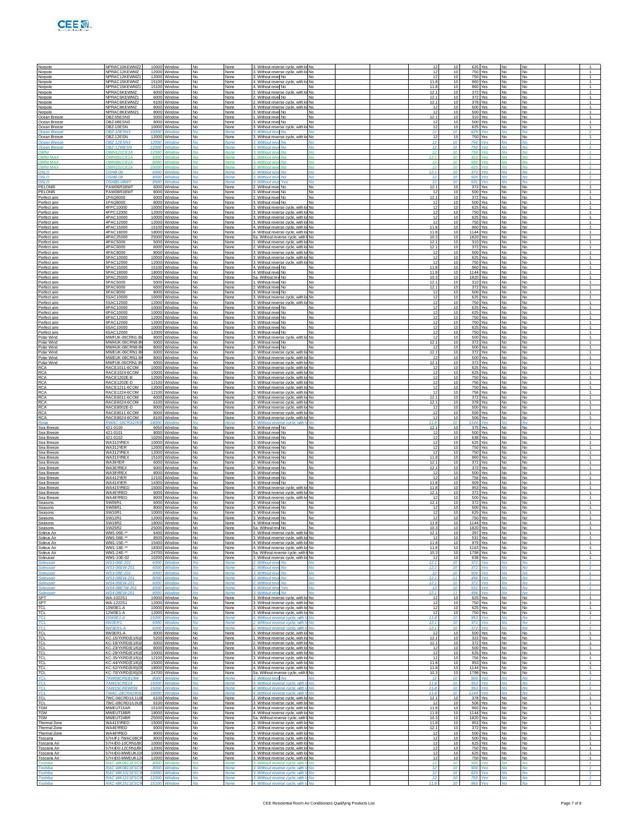| Norpole<br>Norpole                    | NPRAC10KEWMZ2<br>NPRAC12KEWMZ                     |                | 10000 Window<br>12000 Window               | No<br>No                         | None<br>None                | 3. Without reverse cycle, with lo No<br>3. Without reverse cycle, with lo No                                          |                  |  | 12<br>12     | 10<br>10                    | 625 Yes<br>750 Yes                   |                    | <b>No</b><br>No        | No<br>No               |
|---------------------------------------|---------------------------------------------------|----------------|--------------------------------------------|----------------------------------|-----------------------------|-----------------------------------------------------------------------------------------------------------------------|------------------|--|--------------|-----------------------------|--------------------------------------|--------------------|------------------------|------------------------|
| Norpole<br>Norpole                    | NPRAC12KEWMZ1<br>NPRAC15KEWMZ                     | 12000<br>15100 | Window<br>Window                           | No.<br>No                        | None<br>None                | 3. Without revel No<br>4. Without reverse cycle, with I                                                               | No<br>No         |  | 12<br>11.8   | 10<br>10                    | 750 Yes<br>960 Yes                   |                    | No<br>No               | No<br>No               |
| Norpole<br>Norpole                    | NPRAC15KEWMZ1<br>NPRAC6KEWMZ                      | 15100          | Window<br>6000 Window                      | No<br><b>No</b>                  | None<br>None                | 4. Without revel No.<br>2. Without reverse cycle                                                                      | No.<br>ı No      |  | 11.8<br>12.1 | 10<br>10                    | 960<br>372 Yes                       | Yes                | No<br><b>No</b>        | No<br><b>No</b>        |
| Norpole<br>Norpole                    | NPRAC6KEWMZ1<br>NPRAC6KEWMZ2                      | 6100           | 6000 Window<br>Window                      | No<br>No                         | None<br>None                | 2. Without revel No<br>2. Without reverse cycle, with                                                                 | <b>No</b><br>No  |  | 12.1<br>12.1 | 10<br>10                    | 372 Yes<br>378 Yes                   |                    | <b>No</b><br><b>No</b> | No<br>No               |
| Norpole<br>Norpole                    | NPRAC8KEWMZ<br>NPRAC8KEWMZ1                       | 8000<br>8000   | Window<br>Window                           | No<br>No                         | None<br>None                | 3. Without reverse cycle, with I<br>3. Without revel No                                                               | No<br>No         |  | 12<br>12     | 10<br>10                    | 500 Yes<br>500                       | Yes                | No<br><b>No</b>        | <b>No</b><br>No        |
| Ocean Breeze<br>Ocean Breeze          | OB7-05ESN3<br>OBZ-08ESN3                          |                | 5000 Window<br>8000 Window                 | <b>No</b><br>No                  | None<br>None                | 1. Without revel No<br>3. Without revel No                                                                            | No<br><b>No</b>  |  | 12.1<br>12   | 10<br>10                    | 500 Yes                              | 310 Yes            | <b>No</b><br>No        | <b>No</b><br><b>No</b> |
| Ocean Breeze<br>Ocean Breez           | OBZ-10ESN<br>OBZ-10ESN                            | 10000<br>1000  | Window<br>Window                           | No                               | None<br><b>None</b>         | 3. Without reverse cycle, with I<br>3. Without reve No                                                                | No               |  | 12<br>12     | 10                          | 625 Yes<br>625                       | Yes                | <b>No</b>              | No<br>No               |
| Ocean Breeze                          | OB7-12FSN                                         | 12000          | Window                                     | No                               | None                        | 3. Without reverse cycle, with I                                                                                      | No               |  | 12           | 10                          | 750                                  | Yes                | <b>No</b>              | No                     |
| Ocean Breeze<br>Ocean Breeze          | OBZ-12ESN3<br>OBZ-12WESN                          | 12000<br>12000 | Window<br>Window                           | No<br>No                         | None<br>None                | 3. Without revel No.<br>3. Without reve<br>No                                                                         | Nο<br>No         |  | 12<br>12     | 10<br>10                    | <b>750 Yes</b>                       | <b>750 Yes</b>     | <b>No</b><br>No        | <b>No</b><br>No        |
| <b>OMNI</b><br><b>OMNI MAX</b>        | <b>OWH121CE1A</b><br>OWH051CE1A                   | 12000<br>500   | Window<br>Window                           | No                               | None<br><b>None</b>         | 3. Without rev<br>No<br>1. Without rev<br>No                                                                          | No               |  | 12<br>12.1   | 10                          | 750<br>310                           | Yes<br>Yes         | <b>No</b><br>No        | No<br>No               |
| <b>OMNI MAX</b><br><b>OMNI MAX</b>    | OWH081CE1A<br><b>OWH101CE1A</b>                   | 8000<br>10000  | Window<br>Window                           | No<br><b>No</b>                  | Vone<br><b>None</b>         | 3. Without reve No.<br>3. Without reve No.                                                                            | Nο<br>No         |  | 12<br>12     | 10<br>10                    | 500<br>625 Yes                       | Yes                | N٥<br><b>No</b>        | ٧o<br><b>No</b>        |
| OSLO<br>OSLO                          | $OSHB-06$<br>OSHB-08                              | 6000<br>8000   | Window<br>Window                           | No<br>No                         | <b>None</b><br>None         | 2. Without reve No.<br>3. Without rev<br>No                                                                           | No               |  | 12.1<br>12   | 10                          | 372 Voe<br>500                       | Yes                | No                     | No<br>No               |
| OSLO<br>PELONIS                       | OSHB5-08W<br>PAW06R1BWT                           | 8500<br>6000   | Window<br>Window                           | No                               | <b>None</b><br>None         | 3. Without ret<br>2. Without revel No                                                                                 | No               |  | 12<br>12.1   | 10<br>10                    | 531 Yes<br>372                       | Yes                | <b>No</b>              | <b>No</b><br>No        |
| PELONIS<br>Perfect aire               | PAW08R1BWT<br>1PAQ6000                            | 6000           | 8000 Window<br>Window                      | No<br>No                         | None<br>None                | 3. Without revel No.<br>2. Without revel No                                                                           | No<br><b>No</b>  |  | 12<br>12.1   | 10<br>10                    | 500 Yes                              | 372 Yes            | <b>No</b><br>No        | No<br>No               |
| Perfect aire<br>Perfect aire          | 1PAQ8000<br>4FPC10000                             | 8000<br>10000  | Window<br>Window                           | No<br>No                         | None<br>None                | 3. Without revel No<br>3. Without reverse cycle, with I                                                               | No<br><b>No</b>  |  | 12<br>12     | 10<br>10                    | 500                                  | Yes<br>625 Yes     | <b>No</b><br>No        | No<br>No               |
| Perfect aire<br>Perfect aire          | 4FPC12000<br>4PAC10000                            | 12000          | Window<br>10000 Window                     | No<br>No                         | None<br>None                | 3. Without reverse cycle, with I<br>3. Without reverse cycle, with lo No.                                             | No.              |  | 12<br>12     | 10<br>10                    | 750<br>625 Yes                       | Yes                | <b>No</b><br><b>No</b> | No<br>No               |
| Perfect aire<br>Perfect aire          | 4PAC12000<br>4PAC15000                            | 12000<br>15100 | Window<br>Window                           | No<br>No                         | None<br>None                | 3. Without reverse cycle, with lo No<br>4. Without reverse cycle, with I                                              | No               |  | 12<br>11.8   | 10<br>10                    | 750 Yes<br>960 Yes                   |                    | No<br><b>No</b>        | No<br>No               |
| Perfect aire                          | 4PAC18000<br>4PAC25000                            | 18000<br>25000 | Window<br>Window                           | No                               | None<br>None                | 4. Without reverse cycle, with k<br>5a. Without reverse cycle, with                                                   | No               |  | 11.8<br>10.3 | 10<br>10                    | 1144 Yes<br>1820 Yes                 |                    | No<br>No               | No                     |
| Perfect aire<br>Perfect aire          | 4PAC5000<br>4PAC6000                              |                | 5000 Window<br>6000 Window                 | No<br>No                         | None<br>None                | 1. Without reverse cycle, with lo No                                                                                  | <b>No</b>        |  | 12.1<br>12.1 | 10<br>10                    | 310 Yes                              |                    | <b>No</b>              | No<br><b>No</b><br>No  |
| Perfect aire<br>Perfect aire          | 4PAC8000                                          | 8000           | Window                                     | No<br>No                         | None                        | 2. Without reverse cycle, with lo No<br>3. Without reverse cycle, with I                                              | No               |  | 12           | 10                          | 372 Yes<br>500                       | Yes                | No<br><b>No</b>        | No                     |
| Perfect aire<br>Perfect aire          | 5PAC10000<br>5PAC12000                            | 10000<br>12000 | Window<br>Window                           | No<br>No                         | None<br>None                | 3. Without reverse cycle, with k<br>3. Without reverse cycle, with k                                                  | No<br><b>No</b>  |  | 12<br>12     | 10<br>10                    | 750                                  | 625 Yes<br>Yes     | <b>No</b><br><b>No</b> | No<br>No               |
| Perfect aire<br>Perfect aire          | 5PAC15000<br>5PAC18000                            | 15100<br>18000 | Window<br>Window                           | No<br>No                         | None<br>None                | 4. Without revel No<br>4. Without revel No.                                                                           | <b>No</b><br>No  |  | 11.8<br>11.8 | 10<br>10                    | 960 Yes<br>1144 Yes                  |                    | <b>No</b><br><b>No</b> | No<br>No               |
| Perfect aire<br>Perfect aire          | 5PAC25000<br>5PAC5000                             | 25000<br>5000  | Window<br>Window                           | No<br>No                         | None<br>None                | 5a. Without rew No<br>1. Without revel No                                                                             | No<br>No         |  | 10.3<br>12.7 | 10<br>10                    | 1820<br>310 Yes                      | Yes                | <b>No</b><br>No        | No<br>No               |
| Perfect aire<br>Perfect aire          | 5PAC6000<br>5PAC8000                              | 6000<br>8000   | Window<br>Window                           | No<br>No                         | None<br>None                | 2. Without revel No<br>3. Without revel No                                                                            | No.<br><b>No</b> |  | 12.1<br>12   | 10<br>10                    | 372<br>500 Yes                       | Yes                | No<br>No               | No<br>No               |
| Perfect aire<br>Perfect aire          | 5SAC10000<br>5SAC12000                            | 10000<br>12000 | Window<br>Window                           | No<br>No                         | None<br>None                | 3. Without reverse cycle, with lo No<br>3. Without reverse cycle, with lo                                             | No               |  | 12<br>12     | 10<br>10                    | 625 Yes<br>750 Yes                   |                    | <b>No</b><br><b>No</b> | <b>No</b><br>No        |
| Perfect aire<br>Perfect aire          | 6PAC10000<br>6PAC10000                            | 10000<br>10000 | Window<br>Window                           | No<br>No                         | None<br>None                | 3. Without revel No<br>3. Without revel No                                                                            | No<br>No         |  | 12<br>12     | 10<br>10                    | 625 Yes<br>625 Yes                   |                    | No<br>No               | No<br><b>No</b>        |
| Perfect aire<br>Perfect aire          | 6PAC12000<br>6PAC12000                            |                | 12000 Window<br>12000 Window               | No<br>No                         | None<br>None                | 3. Without revel No<br>3. Without revel No                                                                            | No<br><b>No</b>  |  | 12<br>12     | 10<br>10                    | 750 Yes                              | <b>750 Yes</b>     | No<br><b>No</b>        | <b>No</b><br>No        |
| Perfect aire                          | 6SAC10000<br>6SAC12000                            | 10000          | Window                                     | No<br>No                         | None                        | 3. Without revel No<br>3. Without revel No                                                                            | No<br>No         |  | 12<br>12     | 10<br>10                    | 625 Yes                              | 750 Yes            | <b>No</b><br>No        | No<br>No               |
| Perfect aire<br>Polar Wind            | MWFUK-08CRN1-E                                    | 12000<br>8000  | Window<br>Window                           | No                               | None<br>None                | 3. Without reverse cycle, with k                                                                                      | <b>No</b>        |  | 12           | 10                          | 500                                  | Yes                | <b>No</b>              | No                     |
| Polar Wind<br>Polar Wind              | MWHUK-06CRN8-E<br>MWHUK-08CRN8-E                  | 6000<br>8000   | Window<br>Window                           | No<br>No                         | None<br>None                | 2. Without revel No<br>3. Without revel No                                                                            | <b>No</b><br>No  |  | 12.1<br>-12  | 10<br>10                    | 500 Yes                              | 372 Yes            | <b>No</b><br><b>No</b> | <b>No</b><br><b>No</b> |
| Polar Wind<br>Polar Wind              | MWEUK-06CRN1-E<br>MWEUK-08CRN1-I                  | 6000<br>8000   | Window<br>Window                           | No<br>No                         | None<br>None                | 2. Without reverse cycle, with<br>3. Without reverse cycle, with k                                                    | No<br>No         |  | 12.1<br>12   | 10<br>10                    |                                      | 372 Yes<br>500 Yes | No.<br>No              | No<br>No               |
| Polar Wind<br><b>RCA</b>              | MWFUK-06CRN1-E<br>RACE1011-6COM                   | 6000<br>10000  | Window<br>Window                           | No<br>No                         | None<br>None                | 2. Without reverse cycle, with k<br>3. Without reverse cycle, with lo No.                                             | No.              |  | 12.1<br>12   | 10<br>10                    | 372 Yes<br>625 Yes                   |                    | No<br>No               | No<br><b>No</b>        |
| RCA<br><b>RCA</b>                     | RACE1024-6COM<br>RACE1202E-B                      | 12000          | 10000 Window<br>Window                     | No<br>No                         | None<br>None                | 3. Without reverse cycle, with lo No<br>3. Without reverse cycle, with k                                              | No               |  | 12<br>12     | 10<br>10                    | 625 Yes<br>750 Yes                   |                    | <b>No</b><br><b>No</b> | No<br>No               |
| <b>RCA</b><br><b>RCA</b>              | RACE1202E-D<br>RACE1211-6COM                      | 12100<br>12000 | Window<br>Window                           | No<br>No                         | None<br>None                | 3. Without reverse cycle, with k<br>3. Without reverse cycle, with lo                                                 | No<br><b>No</b>  |  | 12<br>12     | 10<br>10                    | 750                                  | 756 Yes<br>Yes     | No<br><b>No</b>        | No<br>No               |
| RCA<br><b>RCA</b>                     | RACE1224-6COM<br>RACE6011-6COM                    | 6000           | 12100 Window<br>Window                     | No<br>No                         | None<br>None                | 3. Without reverse cycle, with lo No<br>2. Without reverse cycle, with lo No                                          |                  |  | 12<br>12.1   | 10<br>10                    | 372 Yes                              | <b>756 Yes</b>     | <b>No</b><br><b>No</b> | <b>No</b><br>No        |
| <b>RCA</b><br>RCA                     | RACE6024-6COM<br>RACE8002E-D                      | 6100<br>8000   | Window<br>Window                           | No<br>No                         | None<br>None                | 2. Without reverse cycle, with I<br>3. Without reverse cycle, with k                                                  | No<br>No         |  | 12.1<br>12   | 10<br>10                    | 378                                  | Yes<br>500 Yes     | No.<br>No              | No<br>No               |
| <b>RCA</b>                            | RACE8011-6COM                                     | 8000<br>8100   | Window                                     | No<br>No                         | None                        | 3. Without reverse cycle, with I                                                                                      | No<br>No         |  | 12<br>12     | 10<br>10                    | 500                                  | Yes                | <b>No</b><br><b>No</b> | No<br>No               |
| <b>RCA</b><br>Rova                    | RACE8024-6COM<br>RWAC-18CR/                       | 18000          | Window<br>Window                           |                                  | None<br>Vone                | 3. Without reverse cycle, with lo<br>4. Without reverse cycle, with                                                   | Nο               |  | 11.8         | $\overline{10}$<br>10       | 1144 Yes                             | 506 Yes            | No                     | <b>No</b>              |
| Sea Breeze<br>Sea Breeze              | 421-0100<br>421-0101                              | 6050<br>8000   | Window<br>Window                           | No<br>No                         | None<br>None                | 2. Without revel No<br>3. Without revel No.                                                                           | No<br>No         |  | 12.1<br>12   | 10                          | 375<br>500 Yes                       | Yes                | No                     | No<br>No               |
| Sea Breeze<br>Sea Breeze              | 421-0102<br>WA310YRE)                             | 10200          | Window<br>10000 Window                     | No<br>No                         | None<br>None                | 3. Without revel No<br>3. Without revel No                                                                            | No<br>No         |  | 12<br>12     | 10<br>10                    | 638<br>625 Yes                       | Yes                | No<br><b>No</b>        | No<br><b>No</b>        |
| Sea Breeze<br>Sea Breeze              | WA312YER<br>WA312YRE)                             | 12000          | 12000 Window<br>Window                     | No<br>No                         | None<br>None                | 3. Without revel No.<br>3. Without revel No                                                                           | No<br>No         |  | 12<br>12     | 10<br>10                    | 750 Yes<br>750 Yes                   |                    | No<br><b>No</b>        | <b>No</b><br>No        |
| Sea Breeze<br><u>Sea Breeze</u>       | WA315YRE)<br>WA36YER                              | 15100<br>6000  | Window<br>Window                           | No<br>No                         | None<br>None                | 4. Without revel No<br>2. Without revel No                                                                            | <b>No</b><br>No. |  | 11.8<br>12.1 | 10<br>10                    | 372 Yes                              | 960 Yes            | No<br><b>No</b>        | No<br>No               |
| Sea Breeze<br>Sea Breeze              | WA36YREX<br>WA38YREX                              | 8000           | 6000 Window<br>Window                      | No<br>No                         | None<br>None                | 2. Without revel No<br>3. Without revel No                                                                            | No<br><b>No</b>  |  | 12.1<br>-12  | 10<br>10                    | 500 Yes                              | 372 Yes            | <b>No</b><br><b>No</b> | <b>No</b><br>No        |
| Sea Breeze<br>Sea Breeze              | WA412YER<br>WA414YER                              | 12100<br>14300 | Window<br>Window                           | No<br>No                         | None<br>None                | 3. Without revel No<br>4. Without revel No                                                                            | No<br>No         |  | 12<br>11.8   | 10<br>10                    | 756                                  | Yes<br>909 Yes     | No<br>No               | No<br>No               |
| <u>Sea Breeze</u><br>Sea Breeze       | WA415YRED<br>WA46YRED                             | 15000<br>6000  | Window<br>Window                           | No<br>No                         | None<br>None                | 4. Without reverse cycle, with I<br>2. Without reverse cycle, with lo                                                 | No.<br><b>No</b> |  | 11.8<br>12.1 | 10<br>10                    | 953                                  | Yes<br>372 Yes     | <b>No</b><br><b>No</b> | No<br>No               |
| Sea Breeze<br>Seasons                 | WA48YRED<br>SW06R1                                | 8000<br>6000   | Window<br>Window                           | No<br>No.                        | None<br>None                | 3. Without reverse cycle, with lol No.<br>2. Without revel No                                                         | No               |  | -12<br>12.1  | 10<br>10                    | 500 Yes<br>372 Yes                   |                    | No<br><b>No</b>        | No<br>No               |
| Seasons<br>Seasons                    | SW08R1<br><b>SW10R1</b>                           | 8000<br>10000  | Window<br>Window                           | No<br>No                         | None<br>None                | 3. Without revel No.<br>3. Without revel No                                                                           | No<br>No.        |  | 12<br>12     | 10                          | 500 Yes<br>625 Yes                   |                    | No<br>No               | No<br>No               |
| Seasons                               | <b>SW12R1</b>                                     |                | 12000 Window<br>18000 Window               | No                               | None                        | 3. Without revel No                                                                                                   | <b>No</b>        |  | 12<br>11.8   | 10                          | 750 Yes                              |                    | No                     | <b>No</b>              |
| Seasons<br>Seasons                    | <b>SW18R2</b><br>SW25R2<br>WM1-06E-**             | 2500           | Window                                     | No<br>No                         | None<br>None                | 4. Without revel No<br>5a. Without rew No                                                                             | No<br>No         |  | 10.3<br>12.  | 10<br>10                    | 1144 Yes<br>1820 Yes                 | 397 Yes            | No<br>No               | No<br>No               |
| Soleus Air<br><u>Soleus Air</u>       | WM1-08E-**                                        |                | 6400 Window<br>8500 Window                 | No                               | None<br>None                | 2. Without reverse cycle, with lo No<br>3. Without reverse cycle, with lo No                                          |                  |  | 12           | 10                          | 531 Yes                              |                    | <b>No</b>              | No                     |
| Soleus Air<br>Soleus Air              | WM1-15E-**<br>WM1-18E-**                          |                | 15400 Window<br>18300 Window               | No<br>No                         | None<br>None                | 4. Without reverse cycle, with lo No<br>4. Without reverse cycle, with lo No                                          |                  |  | 11.8<br>11.8 | 10<br>10                    | 979 Yes<br>1163 Yes                  |                    | <b>No</b><br>No        | No<br>No               |
| Soleus Air<br>Soleusair               | WM1-24E-**<br>WM1-10E-02                          | 24700          | Window<br>10200 Window                     | No<br>No                         | None<br>None                | 5a. Without reverse cycle, with<br>3. Without reverse cycle, with k                                                   | No               |  | 10.3<br>12   | 10<br>10                    | 1798                                 | Yes<br>638 Yes     | No<br><b>No</b>        | No<br><b>No</b>        |
| Soleusair<br>Soleusair                | WS3-06E-201<br>WS3-06EW-201                       | 6000<br>6000   | Window<br>Window                           | No<br>No                         | Vone<br>None                | 2. Without revel No<br>2. Without reve No.                                                                            | Nο<br>No         |  | 12.1<br>12.1 | 10<br>10                    | 372<br>372                           | Yes<br>Yes         | Nο<br><b>No</b>        | ٧o<br>No               |
| Soleusair                             | WS3-08E-201                                       | 8000           | Window                                     | No                               | None                        | 3. Without revi<br>No<br>3. W<br>hout rev<br>No                                                                       |                  |  | 12<br>12.1   | $\overline{1}$<br>11        | <b>500 Yes</b><br>496                |                    | <b>No</b>              | No<br>No               |
| Soleusai<br>Soleusair                 | <b>WS4-06EW-20</b><br><b>WS4-08F7W-201</b>        | 6000<br>8500   | Window<br>Window                           | No                               | <b>None</b><br>Vone         | 2. Without ret<br>3. Without reve Yes                                                                                 | Nο               |  | 12.1<br>12   | 10                          | 372<br>531                           | Yes<br>Yes         | <b>No</b><br>Nο        | <b>No</b><br>N۵        |
| Soleusair<br>SPT                      | WS4-08FW-201<br>WA-1022S1                         | 8000           | Window<br>10000 Window                     | No<br>No                         | <b>None</b><br>None         | 3. Without reve No<br>3. Without reverse cycle, with k                                                                | No<br>No.        |  | 12.1<br>12   | 11<br>10                    | 625 Yes                              | 496 Yes            | <b>No</b><br>No        | <b>No</b><br>No        |
| SPT.<br>TCL                           | WA-1222S1<br>10W3E1-A                             | 12000<br>10000 | Window<br>Window                           | No<br>No                         | None<br>None                | 3. Without reverse cycle, with<br>3. Without reverse cycle, with k                                                    | <b>No</b><br>No  |  | 12<br>12     | 10<br>10                    | 750 Yes                              | 625 Yes            | No<br><b>No</b>        | No<br>No               |
| TCL<br><b>TCL</b>                     | 12W3E1-A<br>15W3F1-A                              | 15000          | 12000 Window<br>Window                     | No<br>No                         | None<br>None                | 3. Without reverse cycle, with lo No<br>4. Without reverse cycle, with                                                | No               |  | 12<br>11.8   | 10<br>10                    | 953 Yes                              | 750 Yes            | <b>No</b><br><b>No</b> | No<br>No               |
| <b>TCL</b>                            | 6W3ER1<br>6W3ER1-A                                | 6000<br>6000   | Window<br>Window                           | No                               | None<br>None                | 2. Without reverse cycle, with<br>2. Without reverse cycle, with                                                      | No               |  | 12.1<br>12.1 | 10<br>10                    | 372 Yes                              | Yes                | No<br><b>No</b>        | <b>No</b><br>No        |
| TCL                                   | 8W3FR1-A                                          | 8000           | Window                                     | No                               | None                        | 3. Without reverse cycle, with k                                                                                      | No               |  | 12           | 10                          |                                      | 500 Yes            | No                     | No                     |
| TCL<br>TCL                            | KC-15/YXRD(E1/6)(<br>KC-18/YXRD(E1/6)             |                | 5200 Window<br>6000 Window                 | No<br>No                         | None<br>None                | 1. Without reverse cycle, with Ic<br>2. Without reverse cycle, with lo No                                             | <b>No</b>        |  | 12.1<br>12.1 | 10<br>10                    |                                      | 322 Yes<br>372 Yes | No<br>No               | No<br><b>No</b>        |
| TCL<br>TCL                            | KC-23/YXRD(E1/6)(<br>(C-29/YXRD(E1/6)             | 10000          | 8000 Window<br>Window                      | No<br>No                         | None<br>None                | 3. Without reverse cycle, with lo No<br>3. Without reverse cycle, with                                                |                  |  | 12<br>12     | 10<br>1(                    | 500 Yes<br>625 Yes                   |                    | <b>No</b><br><b>No</b> | No<br>No               |
| TCL<br>TCL                            | KC-35/YXRD(E1/6)(<br>KC-44/YXRD(F1/6)(            |                | 12100 Window<br>15000 Window               | No<br>No                         | None<br>None                | 3. Without reverse cycle, with k<br>4. Without reverse cycle, with lo No.                                             | No               |  | 12<br>11.8   | 10<br>10                    | 953 Yes                              | 756 Yes            | <b>No</b><br><b>No</b> | <b>No</b><br><b>No</b> |
| TCL<br>TCL                            | KC-52/YXRD(E/6)(0)<br>KC-70/YXRD(E/6)(0           |                | 18000 Window<br>24700 Window               | No<br>No                         | None<br>None                | 4. Without reverse cycle, with lo No<br>5a. Without reverse cycle, with I No                                          |                  |  | 11.8<br>10.3 | 10<br>10                    | 1144 Yes<br>1798 Yes                 |                    | <b>No</b><br>No        | <b>No</b><br>No        |
| TCI<br>TCL                            | TAW08CREB19W<br><b>TAW15CRE19</b>                 | 800<br>15000   | <b>Nindow</b><br>Window                    | <b>No</b>                        | <b>None</b><br><b>None</b>  | 3. Without reve No.<br>4. Without reverse cycle, with                                                                 |                  |  | 12<br>11.8   | $\overline{1}$              | 500<br>953                           | Yes<br>Yes         | <b>No</b><br><b>No</b> | <b>No</b><br><b>No</b> |
| <b>TCL</b><br>TCI                     | TAW15CREW0W<br>TWAC-18CRA2/KF                     | 15000<br>18000 | Window<br>Window                           | No<br>No                         | None<br>None                | 4. Without reverse cycle, with I<br>4. Without reverse cycle, with I                                                  | Nο<br>No         |  | 11.8<br>11.8 | 10<br>10                    | 953<br>1144 Yes                      | Yes                | No<br><b>No</b>        | ٧o<br>No               |
| TCL<br>TCL                            | TWC-06CRD1/L1U(I<br>TWC-08CRD1/L0U(               |                | 6100 Window<br>8100 Window                 | No.<br>No                        | None<br>None                | 2. Without reverse cycle, with lo No<br>3. Without reverse cycle, with lo No                                          |                  |  | 12.1<br>12   | 10<br>10                    | 378 Yes                              | 506 Yes            | No<br><b>No</b>        | No<br><b>No</b>        |
| <b>TGM</b><br>TGM                     | MWEUT15AR<br>MWEUT18BR                            |                | 15100 Window<br>18000 Window               | No<br>No                         | None<br>None                | 4. Without reverse cycle, with lo No<br>4. Without reverse cycle, with lo No.                                         |                  |  | 11.8<br>11.8 | 10<br>10                    | 1144 Yes                             | 960 Yes            | <b>No</b><br><b>No</b> | No<br>No               |
| TGM                                   | MWEUT24BR                                         |                | 25000 Window                               | No                               | None                        | 5a. Without reverse cycle, with I No                                                                                  |                  |  | 10.3         | 10                          | 1820 Yes                             |                    | <b>No</b>              | <b>No</b>              |
| Thermal Zone<br>Thermal Zone          | WA415YRED<br>WA46YRED                             |                | 15000 Window<br>6000 Window                | No<br>No                         | None<br>None                | 4. Without reverse cycle, with lo No<br>2. Without reverse cycle, with lo No                                          |                  |  | 11.8<br>12.  | 10<br>10                    | 953 Yes                              | 372 Yes            | No<br>No               | No<br>No               |
| Thermal Zone<br>Toscana<br>Toecana Ai | WA48YRED<br>57H-IFJ-TWAC08CF<br>57H-IDO-10CRN1/RO |                | 8000 Window<br>8000 Window<br>10000 Mindow | No<br>No<br><b>N<sub>A</sub></b> | None<br>None<br><b>None</b> | 3. Without reverse cycle, with lo No.<br>3. Without reverse cycle, with lo No<br>2 Without rounten pupilo with In No. |                  |  | 12<br>12     | 10<br>10<br>10 <sub>1</sub> | 500 Yes<br>500 Yes<br><b>GOE Voe</b> |                    | No<br><b>No</b>        | No<br><b>No</b>        |
|                                       |                                                   |                |                                            |                                  |                             |                                                                                                                       |                  |  |              |                             |                                      |                    |                        |                        |

Toscana Air 57H-ID0-10CRN1/BCl 10000 Window No None 3. Without reverse cycle, with lot No 13,999 Btu/h No 12 12 10 625 Yes No No

Toscana Air 57H-ID0-12CRN1/BCL0W12000 Window No None 3. Without reverse cycle, with louvered sides, and 8,000 to 13,999 Btu/h No 12 10 750 Yes No No

Toscana Air 57H-ID0-MWEUK100 10000 Window No None 3. Without reverse cycle, with lot No 13,999 Btu/h No 12 12 10 625 Yes No No

Toscana Air 57H-ID0-MWEUK12CRN112000 Window No None 3. Without reverse cycle, with louvered sides, and 8,000 to 13,999 Btu/h No 12 10 750 Yes No No

Toshiba 12 10 500 Vies No No None 3. Without reverse cycle, with It No No 12 10 500 Yes No No

*Toshiba RAC-WK0811ESCWU 8000 Window No None 3. Without reverse cycle, with louvered sides, and 8,000 to 13,999 Btu/h No 12 10 500 Yes No No*

*Toshiba RAC-WK1011ESCWU 10000 Window No None 3. Without reverse cycle, with louvered sides, and 8,000 to 13,999 Btu/h No 12 10 625 Yes No No Toshiba RAC-WK1211ESCWU 12000 Window No None 3. Without reverse cycle, with louvered sides, and 8,000 to 13,999 Btu/h No 12 10 750 Yes No No*

*Toshiba RAC-WK1511ESCRU 15100 Window No None 4. Without reverse cycle, with louvered sides, and 14,000 to 19,999 Btu/h No 11.8 10 960 Yes No No*

1

1

1

1

1

1

1

1

1

1

1

1

1

*1*

1

*1*

*1*

*1*

*1*

*1*

*1*

1

1

1

1

1

1

1

1

1

1

1

1

1

1

1

1

1

1

1

1

1

1

1

1

1

1

1

1

1

1

1

1

1

1

1

1

1

1

1

1

1

1

1

1

1

1

1

1

1

1

1

1

1

1

1

1

1

1

1

1

1

1

1

1

1

1

1

1

1

1

1

1

1

*1*

*1*

*1*

*1*

*1*

1

1

1

1

*1*

*1*

1

1

1

1

1

1

1

1

1

*1*

*1*

*1*

1

1

1

1

1

1

1

1

1

1

1

1

1

*1*

*1*

*1*

1